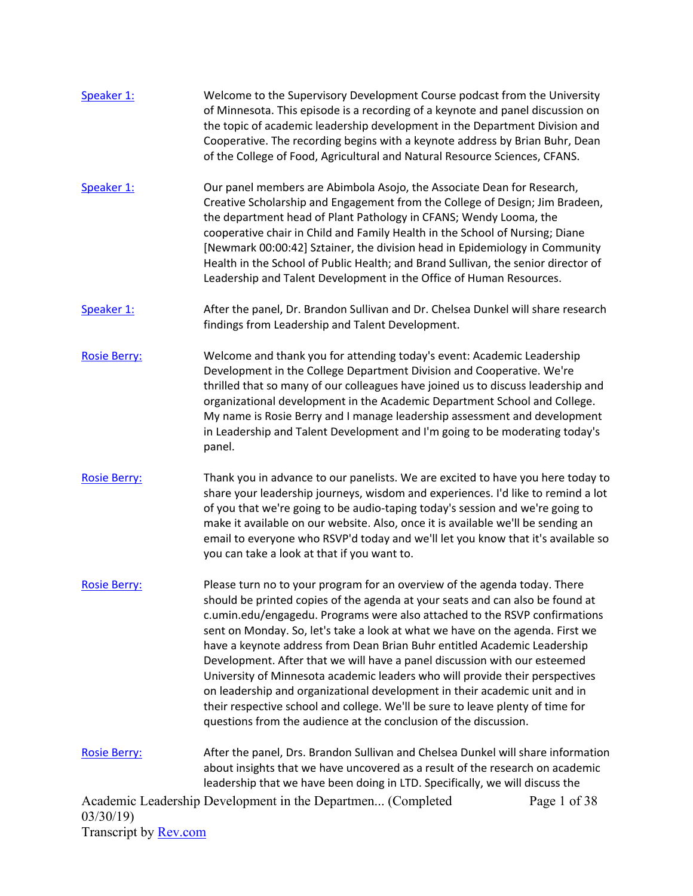| Speaker 1:                   | Welcome to the Supervisory Development Course podcast from the University<br>of Minnesota. This episode is a recording of a keynote and panel discussion on<br>the topic of academic leadership development in the Department Division and<br>Cooperative. The recording begins with a keynote address by Brian Buhr, Dean<br>of the College of Food, Agricultural and Natural Resource Sciences, CFANS.                                                                                                                                                                                                                                                                                                                                                                                               |              |
|------------------------------|--------------------------------------------------------------------------------------------------------------------------------------------------------------------------------------------------------------------------------------------------------------------------------------------------------------------------------------------------------------------------------------------------------------------------------------------------------------------------------------------------------------------------------------------------------------------------------------------------------------------------------------------------------------------------------------------------------------------------------------------------------------------------------------------------------|--------------|
| Speaker 1:                   | Our panel members are Abimbola Asojo, the Associate Dean for Research,<br>Creative Scholarship and Engagement from the College of Design; Jim Bradeen,<br>the department head of Plant Pathology in CFANS; Wendy Looma, the<br>cooperative chair in Child and Family Health in the School of Nursing; Diane<br>[Newmark 00:00:42] Sztainer, the division head in Epidemiology in Community<br>Health in the School of Public Health; and Brand Sullivan, the senior director of<br>Leadership and Talent Development in the Office of Human Resources.                                                                                                                                                                                                                                                 |              |
| Speaker 1:                   | After the panel, Dr. Brandon Sullivan and Dr. Chelsea Dunkel will share research<br>findings from Leadership and Talent Development.                                                                                                                                                                                                                                                                                                                                                                                                                                                                                                                                                                                                                                                                   |              |
| <b>Rosie Berry:</b>          | Welcome and thank you for attending today's event: Academic Leadership<br>Development in the College Department Division and Cooperative. We're<br>thrilled that so many of our colleagues have joined us to discuss leadership and<br>organizational development in the Academic Department School and College.<br>My name is Rosie Berry and I manage leadership assessment and development<br>in Leadership and Talent Development and I'm going to be moderating today's<br>panel.                                                                                                                                                                                                                                                                                                                 |              |
| <b>Rosie Berry:</b>          | Thank you in advance to our panelists. We are excited to have you here today to<br>share your leadership journeys, wisdom and experiences. I'd like to remind a lot<br>of you that we're going to be audio-taping today's session and we're going to<br>make it available on our website. Also, once it is available we'll be sending an<br>email to everyone who RSVP'd today and we'll let you know that it's available so<br>you can take a look at that if you want to.                                                                                                                                                                                                                                                                                                                            |              |
| <b>Rosie Berry:</b>          | Please turn no to your program for an overview of the agenda today. There<br>should be printed copies of the agenda at your seats and can also be found at<br>c.umin.edu/engagedu. Programs were also attached to the RSVP confirmations<br>sent on Monday. So, let's take a look at what we have on the agenda. First we<br>have a keynote address from Dean Brian Buhr entitled Academic Leadership<br>Development. After that we will have a panel discussion with our esteemed<br>University of Minnesota academic leaders who will provide their perspectives<br>on leadership and organizational development in their academic unit and in<br>their respective school and college. We'll be sure to leave plenty of time for<br>questions from the audience at the conclusion of the discussion. |              |
| <b>Rosie Berry:</b>          | After the panel, Drs. Brandon Sullivan and Chelsea Dunkel will share information<br>about insights that we have uncovered as a result of the research on academic<br>leadership that we have been doing in LTD. Specifically, we will discuss the                                                                                                                                                                                                                                                                                                                                                                                                                                                                                                                                                      |              |
| 03/30/19                     | Academic Leadership Development in the Departmen (Completed                                                                                                                                                                                                                                                                                                                                                                                                                                                                                                                                                                                                                                                                                                                                            | Page 1 of 38 |
| Transcript by <b>Rev.com</b> |                                                                                                                                                                                                                                                                                                                                                                                                                                                                                                                                                                                                                                                                                                                                                                                                        |              |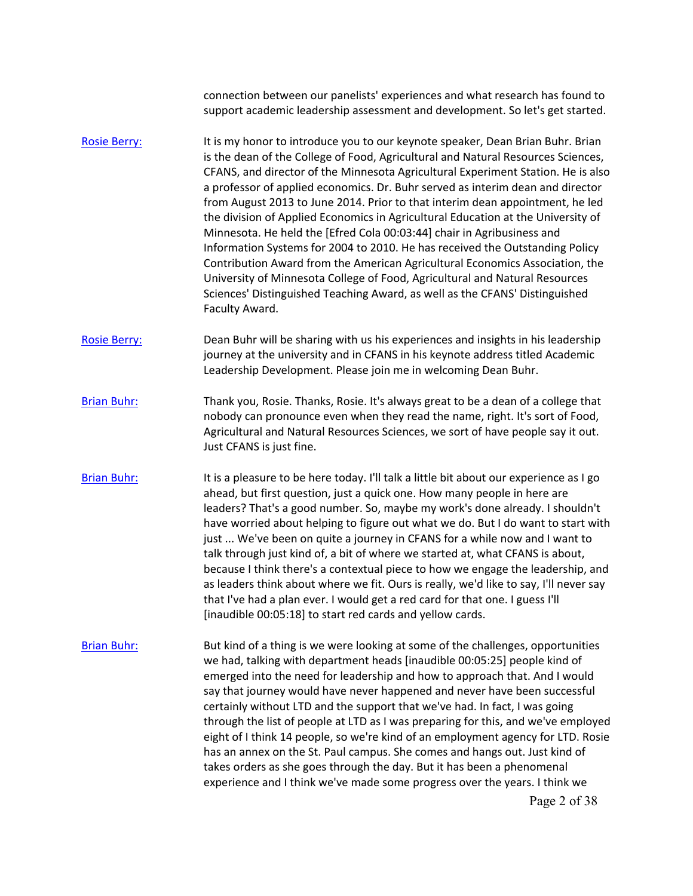connection between our panelists' experiences and what research has found to support academic leadership assessment and development. So let's get started.

- [Rosie Berry:](https://www.rev.com/transcript-editor/Edit?token=NrXgy0J5HQlz-3t2L3sTNsUyQu06k8c8HW62SfUx9hHQralwZNgOJyXPujvsH18nEJDMpTMvF995Txie1bB2Xq9XPjE&loadFrom=DocumentSpeakerNameDeeplink&ts=187.57) It is my honor to introduce you to our keynote speaker, Dean Brian Buhr. Brian is the dean of the College of Food, Agricultural and Natural Resources Sciences, CFANS, and director of the Minnesota Agricultural Experiment Station. He is also a professor of applied economics. Dr. Buhr served as interim dean and director from August 2013 to June 2014. Prior to that interim dean appointment, he led the division of Applied Economics in Agricultural Education at the University of Minnesota. He held the [Efred Cola 00:03:44] chair in Agribusiness and Information Systems for 2004 to 2010. He has received the Outstanding Policy Contribution Award from the American Agricultural Economics Association, the University of Minnesota College of Food, Agricultural and Natural Resources Sciences' Distinguished Teaching Award, as well as the CFANS' Distinguished Faculty Award.
- [Rosie Berry:](https://www.rev.com/transcript-editor/Edit?token=oZb_hh2S6UFD4Th8BkBhf6PRhCLGMMbzzfBN2pnM1lW410FMIaIwhfJ1u4wx7zHmTETjolL_dsv7OdfvIlpNMJl3Bdk&loadFrom=DocumentSpeakerNameDeeplink&ts=248.18) Dean Buhr will be sharing with us his experiences and insights in his leadership journey at the university and in CFANS in his keynote address titled Academic Leadership Development. Please join me in welcoming Dean Buhr.
- [Brian Buhr:](https://www.rev.com/transcript-editor/Edit?token=9lspxQebf672_aC7V13-csrLTWQrSDn7w2qpa3ziAfDfXUCvGntUUdIZvDjdXAjjpoqcH09vBC46EGH3jFQ8tSdKbCI&loadFrom=DocumentSpeakerNameDeeplink&ts=261.05) Thank you, Rosie. Thanks, Rosie. It's always great to be a dean of a college that nobody can pronounce even when they read the name, right. It's sort of Food, Agricultural and Natural Resources Sciences, we sort of have people say it out. Just CFANS is just fine.
- because I think there's a contextual piece to how we engage the leadership, and [Brian Buhr:](https://www.rev.com/transcript-editor/Edit?token=sR96HQ9NIXWP2BUR2bWQOTaAe3MNy3lq0wEbuLrBFNa7c_SSZ7TO3qn5GyJAt8j92LrCECD-aoSi6PXJ9XIK1uL7neo&loadFrom=DocumentSpeakerNameDeeplink&ts=282.61) It is a pleasure to be here today. I'll talk a little bit about our experience as I go ahead, but first question, just a quick one. How many people in here are leaders? That's a good number. So, maybe my work's done already. I shouldn't have worried about helping to figure out what we do. But I do want to start with just ... We've been on quite a journey in CFANS for a while now and I want to talk through just kind of, a bit of where we started at, what CFANS is about, as leaders think about where we fit. Ours is really, we'd like to say, I'll never say that I've had a plan ever. I would get a red card for that one. I guess I'll [inaudible 00:05:18] to start red cards and yellow cards.
- [Brian Buhr:](https://www.rev.com/transcript-editor/Edit?token=tEhu4a3TDGvTWeTn3Io9J61DyNkEe26NFFBZrSVYtdcsiQMS8wT0y9j3QwaqHwGDiyUH8FfgYFLM0FAZp9LVl3mxris&loadFrom=DocumentSpeakerNameDeeplink&ts=320.53) But kind of a thing is we were looking at some of the challenges, opportunities we had, talking with department heads [inaudible 00:05:25] people kind of emerged into the need for leadership and how to approach that. And I would say that journey would have never happened and never have been successful certainly without LTD and the support that we've had. In fact, I was going through the list of people at LTD as I was preparing for this, and we've employed eight of I think 14 people, so we're kind of an employment agency for LTD. Rosie has an annex on the St. Paul campus. She comes and hangs out. Just kind of takes orders as she goes through the day. But it has been a phenomenal experience and I think we've made some progress over the years. I think we Page 2 of 38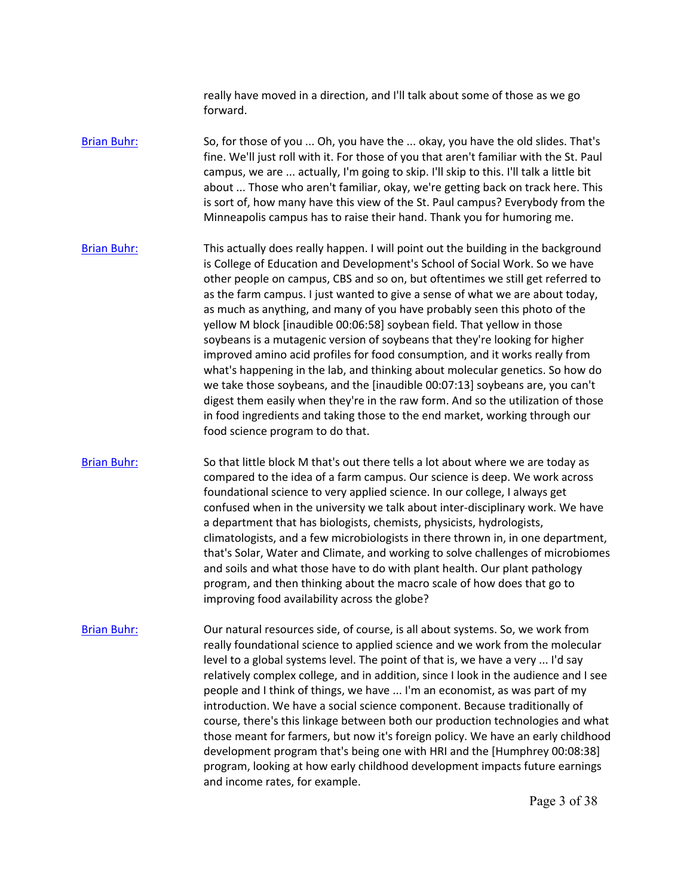really have moved in a direction, and I'll talk about some of those as we go forward.

[Brian Buhr:](https://www.rev.com/transcript-editor/Edit?token=EVcniKqci0SWOA4O2a5vBUHpA7lc9PDCB4UB3aiWIKR-IX1VrJq5uba-zTkSS6KxTDfsOzoaAT48miYbCJFU3MaRTlQ&loadFrom=DocumentSpeakerNameDeeplink&ts=362.31) So, for those of you ... Oh, you have the ... okay, you have the old slides. That's fine. We'll just roll with it. For those of you that aren't familiar with the St. Paul campus, we are ... actually, I'm going to skip. I'll skip to this. I'll talk a little bit about ... Those who aren't familiar, okay, we're getting back on track here. This is sort of, how many have this view of the St. Paul campus? Everybody from the Minneapolis campus has to raise their hand. Thank you for humoring me.

[Brian Buhr:](https://www.rev.com/transcript-editor/Edit?token=6n16oSX5K7SLTii-plyUZQ04Somh_Hdqs6Qk7IjquWJZyIZhdy4xlnWjGD_CLplwVgW86J8t4bF_ZJXbInQpTlDIqbs&loadFrom=DocumentSpeakerNameDeeplink&ts=394.52) This actually does really happen. I will point out the building in the background is College of Education and Development's School of Social Work. So we have other people on campus, CBS and so on, but oftentimes we still get referred to as the farm campus. I just wanted to give a sense of what we are about today, as much as anything, and many of you have probably seen this photo of the yellow M block [inaudible 00:06:58] soybean field. That yellow in those soybeans is a mutagenic version of soybeans that they're looking for higher improved amino acid profiles for food consumption, and it works really from what's happening in the lab, and thinking about molecular genetics. So how do we take those soybeans, and the [inaudible 00:07:13] soybeans are, you can't digest them easily when they're in the raw form. And so the utilization of those in food ingredients and taking those to the end market, working through our food science program to do that.

[Brian Buhr:](https://www.rev.com/transcript-editor/Edit?token=tENrIxIbyxYdbBNh7Q_aZcQqqc06xyifZ1Tmp7O63Gcj1VRD_9_DUuEfYxFLGYe_EhUcXukkoL7T3hn91hPXDvFT5Gc&loadFrom=DocumentSpeakerNameDeeplink&ts=442.39) So that little block M that's out there tells a lot about where we are today as compared to the idea of a farm campus. Our science is deep. We work across foundational science to very applied science. In our college, I always get confused when in the university we talk about inter-disciplinary work. We have a department that has biologists, chemists, physicists, hydrologists, climatologists, and a few microbiologists in there thrown in, in one department, that's Solar, Water and Climate, and working to solve challenges of microbiomes and soils and what those have to do with plant health. Our plant pathology program, and then thinking about the macro scale of how does that go to improving food availability across the globe?

 level to a global systems level. The point of that is, we have a very ... I'd say [Brian Buhr:](https://www.rev.com/transcript-editor/Edit?token=Eqzm_0gEbL_AX-zbIU_L2Sts-3cqpb4n2NE_keiC-6JXT7nsZn_Ir3ukE5vqBwM1YGmuom53nTpkZdPvJfLwCvG6AeY&loadFrom=DocumentSpeakerNameDeeplink&ts=481.43) Our natural resources side, of course, is all about systems. So, we work from really foundational science to applied science and we work from the molecular relatively complex college, and in addition, since I look in the audience and I see people and I think of things, we have ... I'm an economist, as was part of my introduction. We have a social science component. Because traditionally of course, there's this linkage between both our production technologies and what those meant for farmers, but now it's foreign policy. We have an early childhood development program that's being one with HRI and the [Humphrey 00:08:38] program, looking at how early childhood development impacts future earnings and income rates, for example.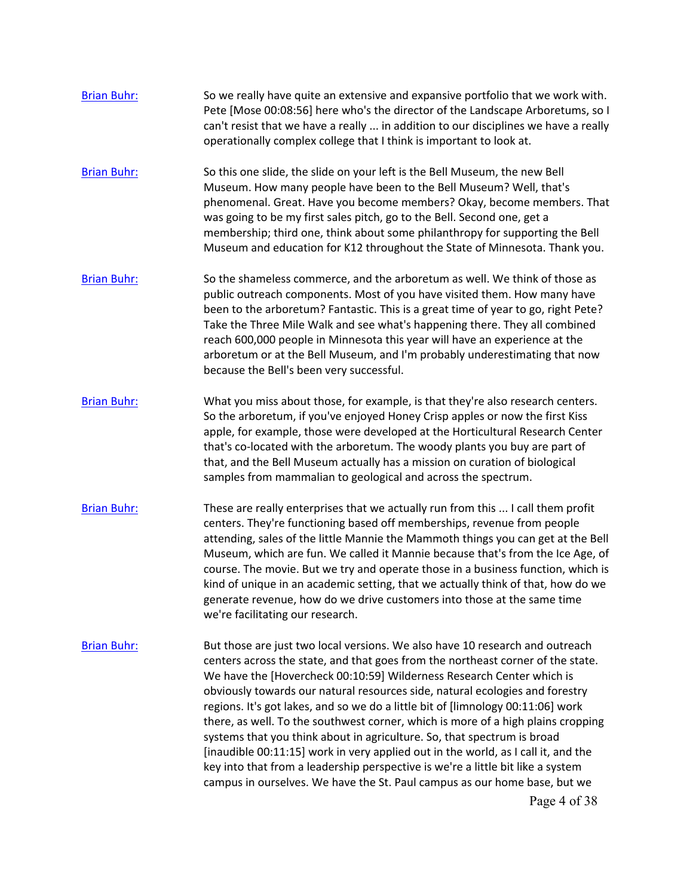| <b>Brian Buhr:</b> | So we really have quite an extensive and expansive portfolio that we work with.<br>Pete [Mose 00:08:56] here who's the director of the Landscape Arboretums, so I<br>can't resist that we have a really  in addition to our disciplines we have a really<br>operationally complex college that I think is important to look at.                                                                                                                                                                                                                                                                                                                                                                                                                                                                                                                 |
|--------------------|-------------------------------------------------------------------------------------------------------------------------------------------------------------------------------------------------------------------------------------------------------------------------------------------------------------------------------------------------------------------------------------------------------------------------------------------------------------------------------------------------------------------------------------------------------------------------------------------------------------------------------------------------------------------------------------------------------------------------------------------------------------------------------------------------------------------------------------------------|
| <b>Brian Buhr:</b> | So this one slide, the slide on your left is the Bell Museum, the new Bell<br>Museum. How many people have been to the Bell Museum? Well, that's<br>phenomenal. Great. Have you become members? Okay, become members. That<br>was going to be my first sales pitch, go to the Bell. Second one, get a<br>membership; third one, think about some philanthropy for supporting the Bell<br>Museum and education for K12 throughout the State of Minnesota. Thank you.                                                                                                                                                                                                                                                                                                                                                                             |
| <b>Brian Buhr:</b> | So the shameless commerce, and the arboretum as well. We think of those as<br>public outreach components. Most of you have visited them. How many have<br>been to the arboretum? Fantastic. This is a great time of year to go, right Pete?<br>Take the Three Mile Walk and see what's happening there. They all combined<br>reach 600,000 people in Minnesota this year will have an experience at the<br>arboretum or at the Bell Museum, and I'm probably underestimating that now<br>because the Bell's been very successful.                                                                                                                                                                                                                                                                                                               |
| <b>Brian Buhr:</b> | What you miss about those, for example, is that they're also research centers.<br>So the arboretum, if you've enjoyed Honey Crisp apples or now the first Kiss<br>apple, for example, those were developed at the Horticultural Research Center<br>that's co-located with the arboretum. The woody plants you buy are part of<br>that, and the Bell Museum actually has a mission on curation of biological<br>samples from mammalian to geological and across the spectrum.                                                                                                                                                                                                                                                                                                                                                                    |
| <b>Brian Buhr:</b> | These are really enterprises that we actually run from this  I call them profit<br>centers. They're functioning based off memberships, revenue from people<br>attending, sales of the little Mannie the Mammoth things you can get at the Bell<br>Museum, which are fun. We called it Mannie because that's from the Ice Age, of<br>course. The movie. But we try and operate those in a business function, which is<br>kind of unique in an academic setting, that we actually think of that, how do we<br>generate revenue, how do we drive customers into those at the same time<br>we're facilitating our research.                                                                                                                                                                                                                         |
| <b>Brian Buhr:</b> | But those are just two local versions. We also have 10 research and outreach<br>centers across the state, and that goes from the northeast corner of the state.<br>We have the [Hovercheck 00:10:59] Wilderness Research Center which is<br>obviously towards our natural resources side, natural ecologies and forestry<br>regions. It's got lakes, and so we do a little bit of [limnology 00:11:06] work<br>there, as well. To the southwest corner, which is more of a high plains cropping<br>systems that you think about in agriculture. So, that spectrum is broad<br>[inaudible 00:11:15] work in very applied out in the world, as I call it, and the<br>key into that from a leadership perspective is we're a little bit like a system<br>campus in ourselves. We have the St. Paul campus as our home base, but we<br>Page 4 of 38 |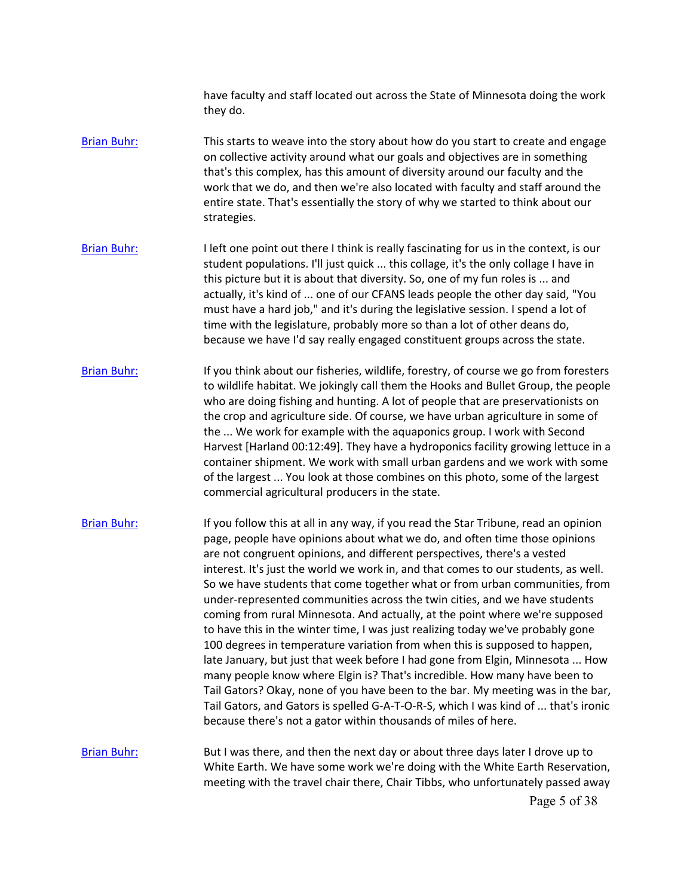have faculty and staff located out across the State of Minnesota doing the work they do.

- [Brian Buhr:](https://www.rev.com/transcript-editor/Edit?token=9g54nbWrE4vDqq2-feosw813uWtnOJKSZD3D9trpszaRBCLqpADwy8DWn5Aio-O4fjX1Mf-M_g2J2D1eEJCRaiEdt5Q&loadFrom=DocumentSpeakerNameDeeplink&ts=693.14) This starts to weave into the story about how do you start to create and engage on collective activity around what our goals and objectives are in something that's this complex, has this amount of diversity around our faculty and the work that we do, and then we're also located with faculty and staff around the entire state. That's essentially the story of why we started to think about our strategies.
- must have a hard job," and it's during the legislative session. I spend a lot of time with the legislature, probably more so than a lot of other deans do, [Brian Buhr:](https://www.rev.com/transcript-editor/Edit?token=TvEah69lPcjHeA0dhRPE93see3BVqhi4mVmQLCl_aCGG-JwYfW5xK__eJtw4jb-UJibR8wBjlvLb6LtssiclnhSCXPI&loadFrom=DocumentSpeakerNameDeeplink&ts=714.66) I left one point out there I think is really fascinating for us in the context, is our student populations. I'll just quick ... this collage, it's the only collage I have in this picture but it is about that diversity. So, one of my fun roles is ... and actually, it's kind of ... one of our CFANS leads people the other day said, "You because we have I'd say really engaged constituent groups across the state.
- the ... We work for example with the aquaponics group. I work with Second [Brian Buhr:](https://www.rev.com/transcript-editor/Edit?token=DcZbPUAUsH96bhzxEMN5zHyVXDiUTwAFUu5cwuz23LMvDf5xTz7K7LcpvTp1qU1vso-fZKTXNOBlh_8bbr9nvzTiTIo&loadFrom=DocumentSpeakerNameDeeplink&ts=749.52) If you think about our fisheries, wildlife, forestry, of course we go from foresters to wildlife habitat. We jokingly call them the Hooks and Bullet Group, the people who are doing fishing and hunting. A lot of people that are preservationists on the crop and agriculture side. Of course, we have urban agriculture in some of Harvest [Harland 00:12:49]. They have a hydroponics facility growing lettuce in a container shipment. We work with small urban gardens and we work with some of the largest ... You look at those combines on this photo, some of the largest commercial agricultural producers in the state.
- Tail Gators? Okay, none of you have been to the bar. My meeting was in the bar, [Brian Buhr:](https://www.rev.com/transcript-editor/Edit?token=LQxmxJ3Ki6dVRQLdiSunz547GH3TrEHK-yVghgIBLPxRyCdOI5ibcSMidZAnQ4xGptwlVyEUfyzyymBuIS_X3bZGTXA&loadFrom=DocumentSpeakerNameDeeplink&ts=781.39) If you follow this at all in any way, if you read the Star Tribune, read an opinion page, people have opinions about what we do, and often time those opinions are not congruent opinions, and different perspectives, there's a vested interest. It's just the world we work in, and that comes to our students, as well. So we have students that come together what or from urban communities, from under-represented communities across the twin cities, and we have students coming from rural Minnesota. And actually, at the point where we're supposed to have this in the winter time, I was just realizing today we've probably gone 100 degrees in temperature variation from when this is supposed to happen, late January, but just that week before I had gone from Elgin, Minnesota ... How many people know where Elgin is? That's incredible. How many have been to Tail Gators, and Gators is spelled G-A-T-O-R-S, which I was kind of ... that's ironic because there's not a gator within thousands of miles of here.
- [Brian Buhr:](https://www.rev.com/transcript-editor/Edit?token=toGfeM7f2lDCcCo12UjOws6-xaTeWmkB2Ly-FwWtga3MbXdgtQ4wvKNSmzgxo9LEClky8ngVukoqvIA1BL5cGDlVsQ0&loadFrom=DocumentSpeakerNameDeeplink&ts=835.59) But I was there, and then the next day or about three days later I drove up to White Earth. We have some work we're doing with the White Earth Reservation, meeting with the travel chair there, Chair Tibbs, who unfortunately passed away Page 5 of 38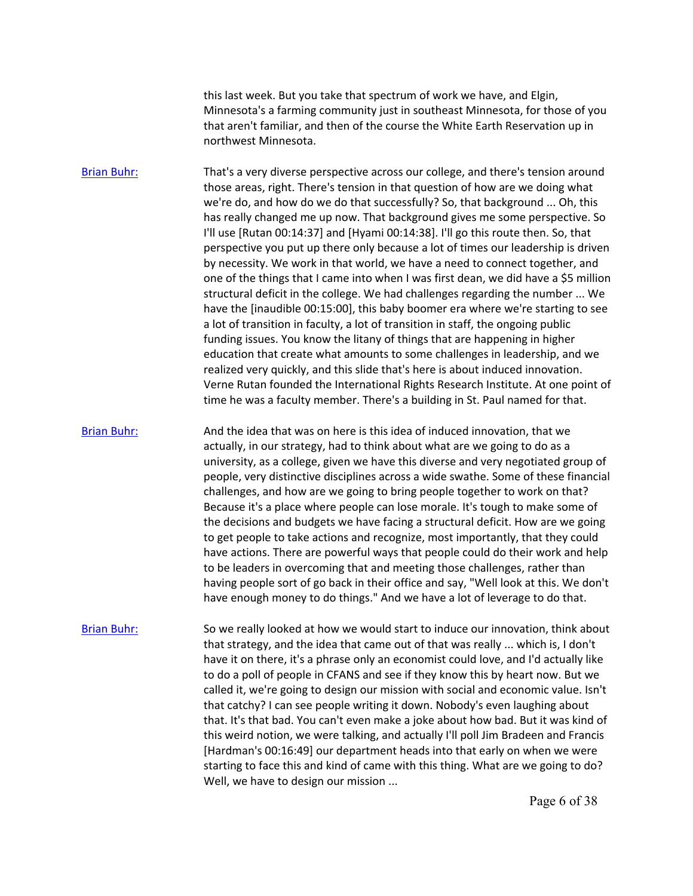this last week. But you take that spectrum of work we have, and Elgin, Minnesota's a farming community just in southeast Minnesota, for those of you that aren't familiar, and then of the course the White Earth Reservation up in northwest Minnesota.

 we're do, and how do we do that successfully? So, that background ... Oh, this perspective you put up there only because a lot of times our leadership is driven one of the things that I came into when I was first dean, we did have a \$5 million structural deficit in the college. We had challenges regarding the number ... We [Brian Buhr:](https://www.rev.com/transcript-editor/Edit?token=_h-b1RDUu_3IKuKHPX9z5UUOGZQwd3cEm7nscIAtVgShOlqY6qFlcN2d1l80-zvzTgQIl6DAk6BTPHdg-hOZF6FKRJs&loadFrom=DocumentSpeakerNameDeeplink&ts=859.83) That's a very diverse perspective across our college, and there's tension around those areas, right. There's tension in that question of how are we doing what has really changed me up now. That background gives me some perspective. So I'll use [Rutan 00:14:37] and [Hyami 00:14:38]. I'll go this route then. So, that by necessity. We work in that world, we have a need to connect together, and have the [inaudible 00:15:00], this baby boomer era where we're starting to see a lot of transition in faculty, a lot of transition in staff, the ongoing public funding issues. You know the litany of things that are happening in higher education that create what amounts to some challenges in leadership, and we realized very quickly, and this slide that's here is about induced innovation. Verne Rutan founded the International Rights Research Institute. At one point of time he was a faculty member. There's a building in St. Paul named for that.

 to be leaders in overcoming that and meeting those challenges, rather than having people sort of go back in their office and say, "Well look at this. We don't [Brian Buhr:](https://www.rev.com/transcript-editor/Edit?token=WsHC9fvfCWC_z20nFvuUwVYq_RGH5kYziDVsIKkzT2atZHLo5tpVxYoTJIaSIec0ZIk72yxZ2tSpSURvo3oHVzI_htI&loadFrom=DocumentSpeakerNameDeeplink&ts=925.44) And the idea that was on here is this idea of induced innovation, that we actually, in our strategy, had to think about what are we going to do as a university, as a college, given we have this diverse and very negotiated group of people, very distinctive disciplines across a wide swathe. Some of these financial challenges, and how are we going to bring people together to work on that? Because it's a place where people can lose morale. It's tough to make some of the decisions and budgets we have facing a structural deficit. How are we going to get people to take actions and recognize, most importantly, that they could have actions. There are powerful ways that people could do their work and help have enough money to do things." And we have a lot of leverage to do that.

 that strategy, and the idea that came out of that was really ... which is, I don't [Brian Buhr:](https://www.rev.com/transcript-editor/Edit?token=DYkRqrjriimIHCX9EUJ_uZgmYOJIH4IdgUezGQ2B1uXU3rThjzsiryCHTquCzOF9Fld_kC2ULJ8HbFXVZJoOdc77Tms&loadFrom=DocumentSpeakerNameDeeplink&ts=971.65) So we really looked at how we would start to induce our innovation, think about have it on there, it's a phrase only an economist could love, and I'd actually like to do a poll of people in CFANS and see if they know this by heart now. But we called it, we're going to design our mission with social and economic value. Isn't that catchy? I can see people writing it down. Nobody's even laughing about that. It's that bad. You can't even make a joke about how bad. But it was kind of this weird notion, we were talking, and actually I'll poll Jim Bradeen and Francis [Hardman's 00:16:49] our department heads into that early on when we were starting to face this and kind of came with this thing. What are we going to do? Well, we have to design our mission ...

Page 6 of 38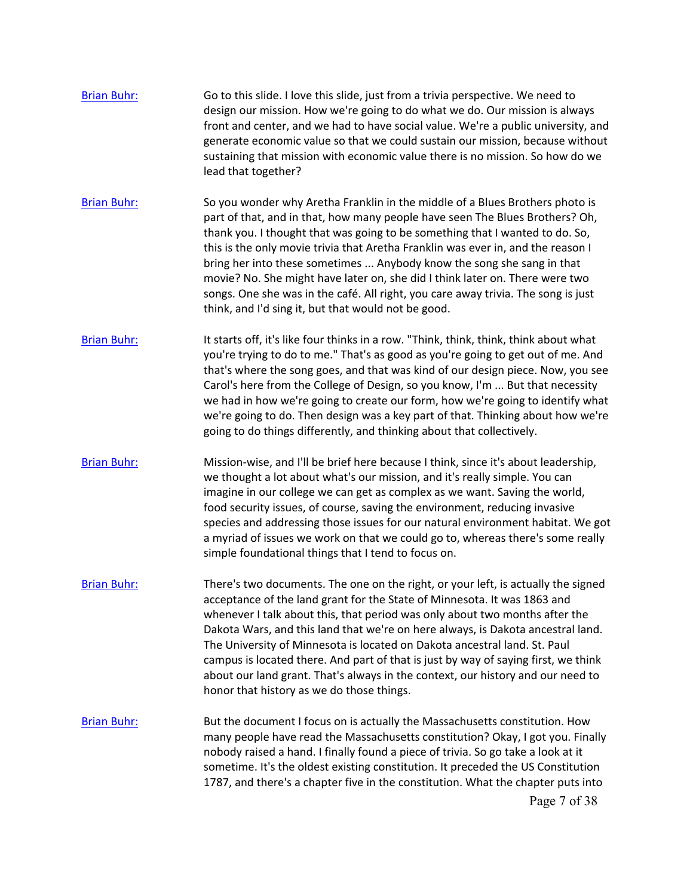- [Brian Buhr:](https://www.rev.com/transcript-editor/Edit?token=ZvU0TtnJUF3jlwJtltzoLsYuAD7WjSS7pJgLy6fIGUqeHgAvsBKWecOs-rd7Ozq1w7USeZ-tQloHexciOZsxAoRaf9s&loadFrom=DocumentSpeakerNameDeeplink&ts=1016.07) Go to this slide. I love this slide, just from a trivia perspective. We need to design our mission. How we're going to do what we do. Our mission is always front and center, and we had to have social value. We're a public university, and generate economic value so that we could sustain our mission, because without sustaining that mission with economic value there is no mission. So how do we lead that together?
- [Brian Buhr:](https://www.rev.com/transcript-editor/Edit?token=jgT050dAl4yX7skhFu02Uzf9rjy4ZeabL04hTsvYU1VcBgpB37cJzfu-HaH4OXY_1CbpX46q2uWkRlsniFLDRH-AZMU&loadFrom=DocumentSpeakerNameDeeplink&ts=1036.81) So you wonder why Aretha Franklin in the middle of a Blues Brothers photo is part of that, and in that, how many people have seen The Blues Brothers? Oh, thank you. I thought that was going to be something that I wanted to do. So, this is the only movie trivia that Aretha Franklin was ever in, and the reason I bring her into these sometimes ... Anybody know the song she sang in that movie? No. She might have later on, she did I think later on. There were two songs. One she was in the café. All right, you care away trivia. The song is just think, and I'd sing it, but that would not be good.
- Carol's here from the College of Design, so you know, I'm ... But that necessity [Brian Buhr:](https://www.rev.com/transcript-editor/Edit?token=o9M8RxPCPd0kG8362wVuXUrqOhQ4WPFv9TLCMKQ01xKrpzVfBn5enTU-pedzDVuuJNjBt5cUODwi2ALpjFaIunZ6ycQ&loadFrom=DocumentSpeakerNameDeeplink&ts=1077.38) It starts off, it's like four thinks in a row. "Think, think, think, think about what you're trying to do to me." That's as good as you're going to get out of me. And that's where the song goes, and that was kind of our design piece. Now, you see we had in how we're going to create our form, how we're going to identify what we're going to do. Then design was a key part of that. Thinking about how we're going to do things differently, and thinking about that collectively.
- [Brian Buhr:](https://www.rev.com/transcript-editor/Edit?token=FgU_ljGbEQ8WYluXX0JPRkgW-1oaC7mZWhYl9D8wxvHM41WBWTHjrkZ4jUGIdb-2YuW1OVdwtYISFQQqkuHPf_GoGZI&loadFrom=DocumentSpeakerNameDeeplink&ts=1100.16) Mission-wise, and I'll be brief here because I think, since it's about leadership, we thought a lot about what's our mission, and it's really simple. You can imagine in our college we can get as complex as we want. Saving the world, food security issues, of course, saving the environment, reducing invasive species and addressing those issues for our natural environment habitat. We got a myriad of issues we work on that we could go to, whereas there's some really simple foundational things that I tend to focus on.
- [Brian Buhr:](https://www.rev.com/transcript-editor/Edit?token=rtfwsVwpRHCnCKXRj0_nJd3kcm5BEAxw1mFD8gBAwiI5li0WyrOX_ICdK62-t9BliYByjezSk0BdotOSaqdW0AI_5xE&loadFrom=DocumentSpeakerNameDeeplink&ts=1124.58) There's two documents. The one on the right, or your left, is actually the signed campus is located there. And part of that is just by way of saying first, we think acceptance of the land grant for the State of Minnesota. It was 1863 and whenever I talk about this, that period was only about two months after the Dakota Wars, and this land that we're on here always, is Dakota ancestral land. The University of Minnesota is located on Dakota ancestral land. St. Paul about our land grant. That's always in the context, our history and our need to honor that history as we do those things.
- [Brian Buhr:](https://www.rev.com/transcript-editor/Edit?token=EuVbcizehlsWtRrp5rWF0Un-4htyZqfDJEDaQ6oZmkZONSldx3Q6r157nI6GmUd_qsDGJq60wyVk0QkfG9I2qZxWtWw&loadFrom=DocumentSpeakerNameDeeplink&ts=1157.29) But the document I focus on is actually the Massachusetts constitution. How many people have read the Massachusetts constitution? Okay, I got you. Finally nobody raised a hand. I finally found a piece of trivia. So go take a look at it sometime. It's the oldest existing constitution. It preceded the US Constitution 1787, and there's a chapter five in the constitution. What the chapter puts into Page 7 of 38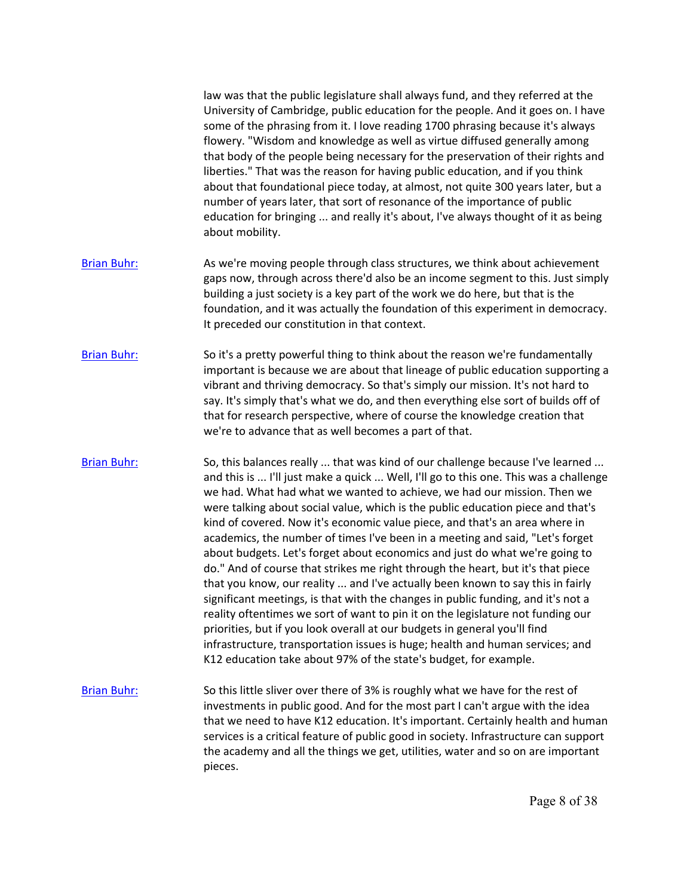|                    | law was that the public legislature shall always fund, and they referred at the<br>University of Cambridge, public education for the people. And it goes on. I have<br>some of the phrasing from it. I love reading 1700 phrasing because it's always<br>flowery. "Wisdom and knowledge as well as virtue diffused generally among<br>that body of the people being necessary for the preservation of their rights and<br>liberties." That was the reason for having public education, and if you think<br>about that foundational piece today, at almost, not quite 300 years later, but a<br>number of years later, that sort of resonance of the importance of public<br>education for bringing  and really it's about, I've always thought of it as being<br>about mobility.                                                                                                                                                                                                                                                                                                                                                                                 |
|--------------------|------------------------------------------------------------------------------------------------------------------------------------------------------------------------------------------------------------------------------------------------------------------------------------------------------------------------------------------------------------------------------------------------------------------------------------------------------------------------------------------------------------------------------------------------------------------------------------------------------------------------------------------------------------------------------------------------------------------------------------------------------------------------------------------------------------------------------------------------------------------------------------------------------------------------------------------------------------------------------------------------------------------------------------------------------------------------------------------------------------------------------------------------------------------|
| <b>Brian Buhr:</b> | As we're moving people through class structures, we think about achievement<br>gaps now, through across there'd also be an income segment to this. Just simply<br>building a just society is a key part of the work we do here, but that is the<br>foundation, and it was actually the foundation of this experiment in democracy.<br>It preceded our constitution in that context.                                                                                                                                                                                                                                                                                                                                                                                                                                                                                                                                                                                                                                                                                                                                                                              |
| <b>Brian Buhr:</b> | So it's a pretty powerful thing to think about the reason we're fundamentally<br>important is because we are about that lineage of public education supporting a<br>vibrant and thriving democracy. So that's simply our mission. It's not hard to<br>say. It's simply that's what we do, and then everything else sort of builds off of<br>that for research perspective, where of course the knowledge creation that<br>we're to advance that as well becomes a part of that.                                                                                                                                                                                                                                                                                                                                                                                                                                                                                                                                                                                                                                                                                  |
| <b>Brian Buhr:</b> | So, this balances really  that was kind of our challenge because I've learned<br>and this is  I'll just make a quick  Well, I'll go to this one. This was a challenge<br>we had. What had what we wanted to achieve, we had our mission. Then we<br>were talking about social value, which is the public education piece and that's<br>kind of covered. Now it's economic value piece, and that's an area where in<br>academics, the number of times I've been in a meeting and said, "Let's forget<br>about budgets. Let's forget about economics and just do what we're going to<br>do." And of course that strikes me right through the heart, but it's that piece<br>that you know, our reality  and I've actually been known to say this in fairly<br>significant meetings, is that with the changes in public funding, and it's not a<br>reality oftentimes we sort of want to pin it on the legislature not funding our<br>priorities, but if you look overall at our budgets in general you'll find<br>infrastructure, transportation issues is huge; health and human services; and<br>K12 education take about 97% of the state's budget, for example. |
| <b>Brian Buhr:</b> | So this little sliver over there of 3% is roughly what we have for the rest of<br>investments in public good. And for the most part I can't argue with the idea<br>that we need to have K12 education. It's important. Certainly health and human<br>services is a critical feature of public good in society. Infrastructure can support<br>the academy and all the things we get, utilities, water and so on are important<br>pieces.                                                                                                                                                                                                                                                                                                                                                                                                                                                                                                                                                                                                                                                                                                                          |
|                    | Page 8 of 38                                                                                                                                                                                                                                                                                                                                                                                                                                                                                                                                                                                                                                                                                                                                                                                                                                                                                                                                                                                                                                                                                                                                                     |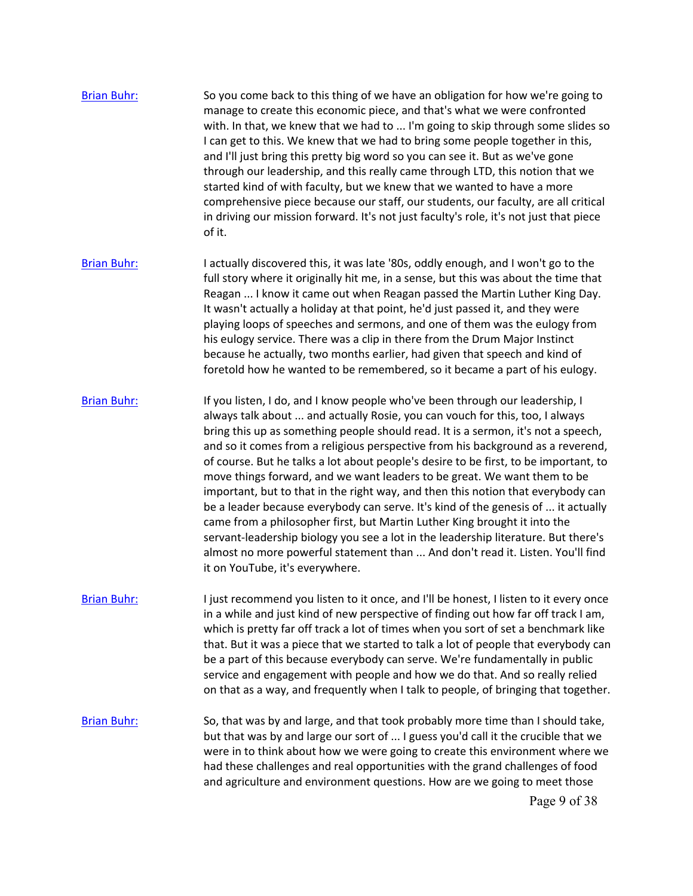- manage to create this economic piece, and that's what we were confronted [Brian Buhr:](https://www.rev.com/transcript-editor/Edit?token=SsdujlL8vErSKGPID8NppkYdmIVfdWq-pg1HByClkGP4m06dMgYe-soJ2ZIz2E6retAXBNHcklGVKThDyWWy95QYDIw&loadFrom=DocumentSpeakerNameDeeplink&ts=1339.67) So you come back to this thing of we have an obligation for how we're going to with. In that, we knew that we had to ... I'm going to skip through some slides so I can get to this. We knew that we had to bring some people together in this, and I'll just bring this pretty big word so you can see it. But as we've gone through our leadership, and this really came through LTD, this notion that we started kind of with faculty, but we knew that we wanted to have a more comprehensive piece because our staff, our students, our faculty, are all critical in driving our mission forward. It's not just faculty's role, it's not just that piece of it.
- [Brian Buhr:](https://www.rev.com/transcript-editor/Edit?token=ROb6xReol14nBvaNvGur_DhltFkAz0Mo2nwMlTNNL3SHaDFfNgR6gvWlm_RK6UlD2dbW65CoCTZMUoj632LL4Gg96sI&loadFrom=DocumentSpeakerNameDeeplink&ts=1379.82) I actually discovered this, it was late '80s, oddly enough, and I won't go to the full story where it originally hit me, in a sense, but this was about the time that Reagan ... I know it came out when Reagan passed the Martin Luther King Day. It wasn't actually a holiday at that point, he'd just passed it, and they were playing loops of speeches and sermons, and one of them was the eulogy from his eulogy service. There was a clip in there from the Drum Major Instinct because he actually, two months earlier, had given that speech and kind of foretold how he wanted to be remembered, so it became a part of his eulogy.
- always talk about ... and actually Rosie, you can vouch for this, too, I always [Brian Buhr:](https://www.rev.com/transcript-editor/Edit?token=-DaFW7rLQfiuvaFAISz7R-ODr_5TOehrzOZ651BpdmeDe-cfC55NzswP0JphaTenKUTkYoBGYWkf3KCmYUIqgsTRNI4&loadFrom=DocumentSpeakerNameDeeplink&ts=1411.87) If you listen, I do, and I know people who've been through our leadership, I bring this up as something people should read. It is a sermon, it's not a speech, and so it comes from a religious perspective from his background as a reverend, of course. But he talks a lot about people's desire to be first, to be important, to move things forward, and we want leaders to be great. We want them to be important, but to that in the right way, and then this notion that everybody can be a leader because everybody can serve. It's kind of the genesis of ... it actually came from a philosopher first, but Martin Luther King brought it into the servant-leadership biology you see a lot in the leadership literature. But there's almost no more powerful statement than ... And don't read it. Listen. You'll find it on YouTube, it's everywhere.
- [Brian Buhr:](https://www.rev.com/transcript-editor/Edit?token=96nzYt2WRwFOUVZj1FZb7uJDl70VzfDinXzhzyOsErqW4YsalhRplfVOiuRdvrwZPuxuRVaVBpjGWRJKvGAykJ5OB54&loadFrom=DocumentSpeakerNameDeeplink&ts=1457.18) I just recommend you listen to it once, and I'll be honest, I listen to it every once in a while and just kind of new perspective of finding out how far off track I am, which is pretty far off track a lot of times when you sort of set a benchmark like that. But it was a piece that we started to talk a lot of people that everybody can be a part of this because everybody can serve. We're fundamentally in public service and engagement with people and how we do that. And so really relied on that as a way, and frequently when I talk to people, of bringing that together.
- [Brian Buhr:](https://www.rev.com/transcript-editor/Edit?token=1uYZDMFywbSPbEHSEzRXS1hhdCSWFrqUq4a17uAKQ2lAlDjnRYR4DEUJUwvMaHEgFaC9StD7gTSwZVJ_EY13SJTOYcE&loadFrom=DocumentSpeakerNameDeeplink&ts=1484.41) So, that was by and large, and that took probably more time than I should take, but that was by and large our sort of ... I guess you'd call it the crucible that we were in to think about how we were going to create this environment where we had these challenges and real opportunities with the grand challenges of food and agriculture and environment questions. How are we going to meet those Page 9 of 38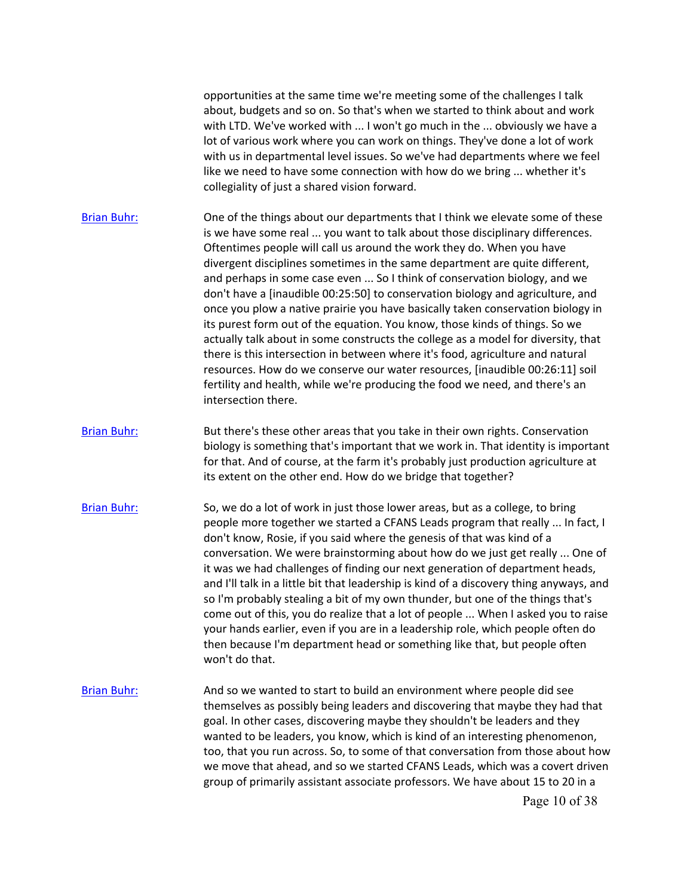opportunities at the same time we're meeting some of the challenges I talk about, budgets and so on. So that's when we started to think about and work with LTD. We've worked with ... I won't go much in the ... obviously we have a lot of various work where you can work on things. They've done a lot of work with us in departmental level issues. So we've had departments where we feel like we need to have some connection with how do we bring ... whether it's collegiality of just a shared vision forward.

[Brian Buhr:](https://www.rev.com/transcript-editor/Edit?token=Pq2SnQP6KfmvQjW4tKCKKq1Asbjgy73PKsB2JyuA5x-b3DLlSmAjCLh6RiT1smIcdIEwW_NCWsAVpEsw59D2DgRSQbQ&loadFrom=DocumentSpeakerNameDeeplink&ts=1529.16) One of the things about our departments that I think we elevate some of these is we have some real ... you want to talk about those disciplinary differences. Oftentimes people will call us around the work they do. When you have divergent disciplines sometimes in the same department are quite different, and perhaps in some case even ... So I think of conservation biology, and we don't have a [inaudible 00:25:50] to conservation biology and agriculture, and once you plow a native prairie you have basically taken conservation biology in its purest form out of the equation. You know, those kinds of things. So we actually talk about in some constructs the college as a model for diversity, that there is this intersection in between where it's food, agriculture and natural resources. How do we conserve our water resources, [inaudible 00:26:11] soil fertility and health, while we're producing the food we need, and there's an intersection there.

[Brian Buhr:](https://www.rev.com/transcript-editor/Edit?token=6YrJVEUKLAv0ax17D0JKrTNqNXsHxSx7_SJK3V3e7ZI7yPvg0oYJbK2NR4Xj5rGx6gZKA2zHpxwmUJ7zv1V4yqrSGNc&loadFrom=DocumentSpeakerNameDeeplink&ts=1576.2) But there's these other areas that you take in their own rights. Conservation biology is something that's important that we work in. That identity is important for that. And of course, at the farm it's probably just production agriculture at its extent on the other end. How do we bridge that together?

[Brian Buhr:](https://www.rev.com/transcript-editor/Edit?token=lCaazrQIvIo4V7BgI3BsjPiwAjYBFIGx0aouGO0gGwB2ZexM4NKxCFTHpxyNlEuoR9JgavLdXVSk7uowyXJmvdst5TI&loadFrom=DocumentSpeakerNameDeeplink&ts=1592.05) So, we do a lot of work in just those lower areas, but as a college, to bring people more together we started a CFANS Leads program that really ... In fact, I don't know, Rosie, if you said where the genesis of that was kind of a conversation. We were brainstorming about how do we just get really ... One of it was we had challenges of finding our next generation of department heads, and I'll talk in a little bit that leadership is kind of a discovery thing anyways, and so I'm probably stealing a bit of my own thunder, but one of the things that's come out of this, you do realize that a lot of people ... When I asked you to raise your hands earlier, even if you are in a leadership role, which people often do then because I'm department head or something like that, but people often won't do that.

[Brian Buhr:](https://www.rev.com/transcript-editor/Edit?token=zgPG5The-d7oDoLBeOPSde7zhkSkDQU87qDKghKTXDl3kAa4J2MPZhzhZJudC8DhgwSJo0MIkl6d3YHLfBpQvF87BfQ&loadFrom=DocumentSpeakerNameDeeplink&ts=1631.28) And so we wanted to start to build an environment where people did see themselves as possibly being leaders and discovering that maybe they had that goal. In other cases, discovering maybe they shouldn't be leaders and they wanted to be leaders, you know, which is kind of an interesting phenomenon, too, that you run across. So, to some of that conversation from those about how we move that ahead, and so we started CFANS Leads, which was a covert driven group of primarily assistant associate professors. We have about 15 to 20 in a

Page 10 of 38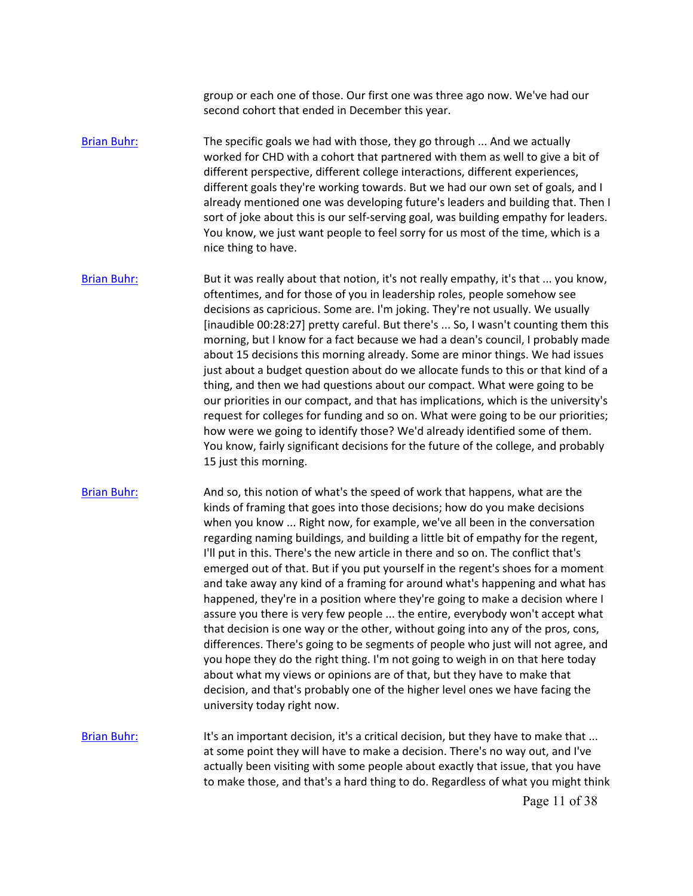group or each one of those. Our first one was three ago now. We've had our second cohort that ended in December this year.

[Brian Buhr:](https://www.rev.com/transcript-editor/Edit?token=o3RtDes0r3JqHeMtT_71UNarQW7XZHBfa5waV7pBgsbRu3pF8QeBHqaCCq5sevuGnJDrovAL1MUqDYo2dbx2i0Xy5rM&loadFrom=DocumentSpeakerNameDeeplink&ts=1664.27) The specific goals we had with those, they go through ... And we actually worked for CHD with a cohort that partnered with them as well to give a bit of different perspective, different college interactions, different experiences, different goals they're working towards. But we had our own set of goals, and I already mentioned one was developing future's leaders and building that. Then I sort of joke about this is our self-serving goal, was building empathy for leaders. You know, we just want people to feel sorry for us most of the time, which is a nice thing to have.

 [inaudible 00:28:27] pretty careful. But there's ... So, I wasn't counting them this request for colleges for funding and so on. What were going to be our priorities; [Brian Buhr:](https://www.rev.com/transcript-editor/Edit?token=ngXELf9s1zAznNYugdkDWk518jtCoo_7F01XQgDINXHkN-AJ937ulRC9qeX13bn4kzcUFGIS8OujONPGt5A56RlzYu4&loadFrom=DocumentSpeakerNameDeeplink&ts=1694.04) But it was really about that notion, it's not really empathy, it's that ... you know, oftentimes, and for those of you in leadership roles, people somehow see decisions as capricious. Some are. I'm joking. They're not usually. We usually morning, but I know for a fact because we had a dean's council, I probably made about 15 decisions this morning already. Some are minor things. We had issues just about a budget question about do we allocate funds to this or that kind of a thing, and then we had questions about our compact. What were going to be our priorities in our compact, and that has implications, which is the university's how were we going to identify those? We'd already identified some of them. You know, fairly significant decisions for the future of the college, and probably 15 just this morning.

[Brian Buhr:](https://www.rev.com/transcript-editor/Edit?token=sD9YtnKEJQAg0jP7YO_61fcXILx8UxTX1oXr3LYn_SvAyamqf4PuCOUcwuDYEaFwvfzg4EEwAuFtTq04YlMGUav2O4Q&loadFrom=DocumentSpeakerNameDeeplink&ts=1740.21) And so, this notion of what's the speed of work that happens, what are the regarding naming buildings, and building a little bit of empathy for the regent, kinds of framing that goes into those decisions; how do you make decisions when you know ... Right now, for example, we've all been in the conversation I'll put in this. There's the new article in there and so on. The conflict that's emerged out of that. But if you put yourself in the regent's shoes for a moment and take away any kind of a framing for around what's happening and what has happened, they're in a position where they're going to make a decision where I assure you there is very few people ... the entire, everybody won't accept what that decision is one way or the other, without going into any of the pros, cons, differences. There's going to be segments of people who just will not agree, and you hope they do the right thing. I'm not going to weigh in on that here today about what my views or opinions are of that, but they have to make that decision, and that's probably one of the higher level ones we have facing the university today right now.

[Brian Buhr:](https://www.rev.com/transcript-editor/Edit?token=75tSveNzpAa5_ub_ozKhzsCg6YQVK6u_KbojW5Y_DYSz4cHTCudBOQ0PLmoGUobpw9luJgBHicJR-O9tM6YvZeD8NDY&loadFrom=DocumentSpeakerNameDeeplink&ts=1797.9) It's an important decision, it's a critical decision, but they have to make that ... at some point they will have to make a decision. There's no way out, and I've actually been visiting with some people about exactly that issue, that you have to make those, and that's a hard thing to do. Regardless of what you might think

Page 11 of 38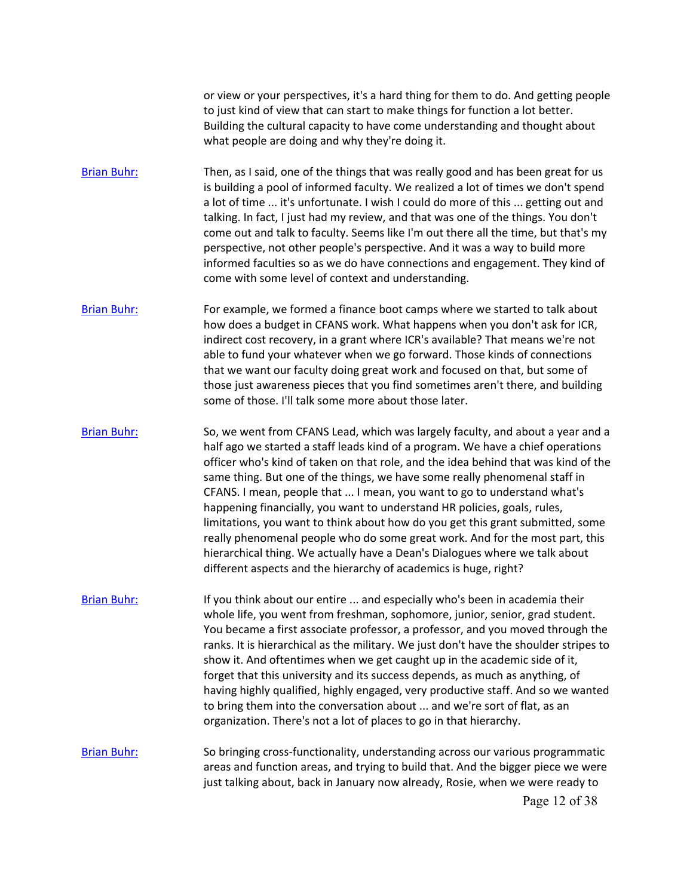or view or your perspectives, it's a hard thing for them to do. And getting people to just kind of view that can start to make things for function a lot better. Building the cultural capacity to have come understanding and thought about what people are doing and why they're doing it.

- [Brian Buhr:](https://www.rev.com/transcript-editor/Edit?token=7BaI8NOcAGufUm5YDLcDmldsUvKhiUg9Oj46QHbkC3hpVoYCFJw_FI3hk-5ziM149fmUaSEpflPZNi-0V-1LdfjXAXw&loadFrom=DocumentSpeakerNameDeeplink&ts=1827.94) Then, as I said, one of the things that was really good and has been great for us is building a pool of informed faculty. We realized a lot of times we don't spend a lot of time ... it's unfortunate. I wish I could do more of this ... getting out and talking. In fact, I just had my review, and that was one of the things. You don't come out and talk to faculty. Seems like I'm out there all the time, but that's my perspective, not other people's perspective. And it was a way to build more informed faculties so as we do have connections and engagement. They kind of come with some level of context and understanding.
- [Brian Buhr:](https://www.rev.com/transcript-editor/Edit?token=qO05EyfsVhnCElpG5ClWGYQEhgcvZKt_9CY0y3eMNZuNL96WcmWnbtg1zquAqXurfEJ6Zb1AdxZgRuaq903GdWmL9eg&loadFrom=DocumentSpeakerNameDeeplink&ts=1854.74) For example, we formed a finance boot camps where we started to talk about how does a budget in CFANS work. What happens when you don't ask for ICR, indirect cost recovery, in a grant where ICR's available? That means we're not able to fund your whatever when we go forward. Those kinds of connections that we want our faculty doing great work and focused on that, but some of those just awareness pieces that you find sometimes aren't there, and building some of those. I'll talk some more about those later.
- [Brian Buhr:](https://www.rev.com/transcript-editor/Edit?token=Vo6Vj3yav5bEYPOTt3OZJZDIRuhYcqAKhHVzd1_Iq69OGP2zSYN8pHw6ViTCylitS1eRFSHz6Lb5FwH9tFxx7sX988Y&loadFrom=DocumentSpeakerNameDeeplink&ts=1882.74) So, we went from CFANS Lead, which was largely faculty, and about a year and a half ago we started a staff leads kind of a program. We have a chief operations officer who's kind of taken on that role, and the idea behind that was kind of the same thing. But one of the things, we have some really phenomenal staff in CFANS. I mean, people that ... I mean, you want to go to understand what's happening financially, you want to understand HR policies, goals, rules, limitations, you want to think about how do you get this grant submitted, some really phenomenal people who do some great work. And for the most part, this hierarchical thing. We actually have a Dean's Dialogues where we talk about different aspects and the hierarchy of academics is huge, right?
- [Brian Buhr:](https://www.rev.com/transcript-editor/Edit?token=U-rpvGN7lwIxaA9ds5Z8vpT85u9kxh4NLmRlU3dSab28p5EOpW3HYnXwRWQgKWni5l1CISBBTl5nBGap5TLDen_8i8I&loadFrom=DocumentSpeakerNameDeeplink&ts=1921.33) If you think about our entire ... and especially who's been in academia their whole life, you went from freshman, sophomore, junior, senior, grad student. You became a first associate professor, a professor, and you moved through the ranks. It is hierarchical as the military. We just don't have the shoulder stripes to show it. And oftentimes when we get caught up in the academic side of it, forget that this university and its success depends, as much as anything, of having highly qualified, highly engaged, very productive staff. And so we wanted to bring them into the conversation about ... and we're sort of flat, as an organization. There's not a lot of places to go in that hierarchy.
- [Brian Buhr:](https://www.rev.com/transcript-editor/Edit?token=EDPkf4U-zAUxtKGyZeutRQdPGyW2r4Ix5TmikwcvjnphUuEqpachf1fTb8emKqzvind8cMnpaJqRUj_LPbfypkqwHNw&loadFrom=DocumentSpeakerNameDeeplink&ts=1957.49) So bringing cross-functionality, understanding across our various programmatic areas and function areas, and trying to build that. And the bigger piece we were just talking about, back in January now already, Rosie, when we were ready to Page 12 of 38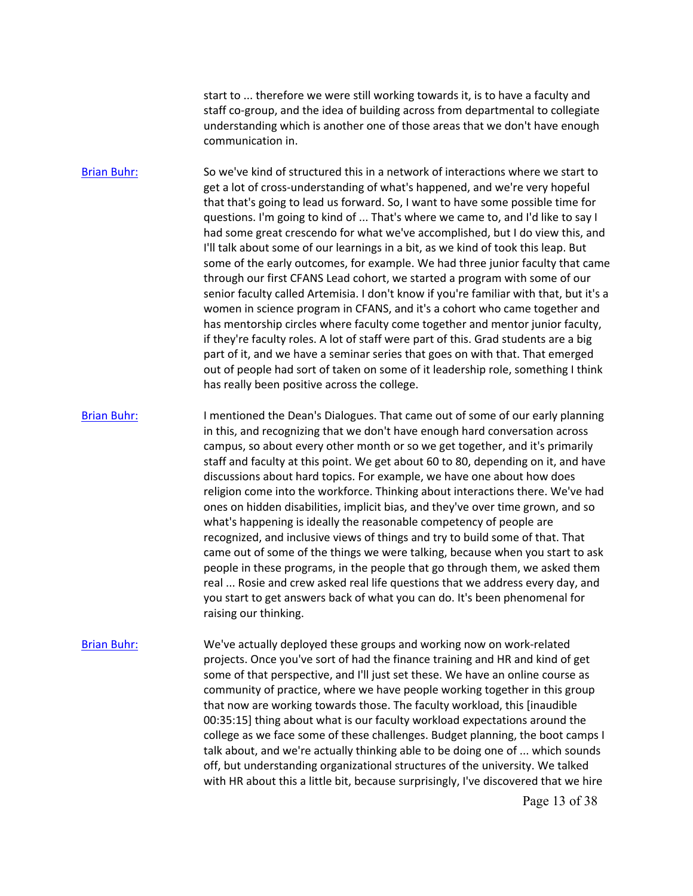start to ... therefore we were still working towards it, is to have a faculty and staff co-group, and the idea of building across from departmental to collegiate understanding which is another one of those areas that we don't have enough communication in.

 if they're faculty roles. A lot of staff were part of this. Grad students are a big [Brian Buhr:](https://www.rev.com/transcript-editor/Edit?token=qw3k-99ZtjcUqgHozocVLwmA316LWVI8vRHk9GVKzYNzO0rQhWeNg5p-JqsJPnsALO4gU20sHrhUnEb5wR8xTIX3Zh0&loadFrom=DocumentSpeakerNameDeeplink&ts=1981.2) So we've kind of structured this in a network of interactions where we start to get a lot of cross-understanding of what's happened, and we're very hopeful that that's going to lead us forward. So, I want to have some possible time for questions. I'm going to kind of ... That's where we came to, and I'd like to say I had some great crescendo for what we've accomplished, but I do view this, and I'll talk about some of our learnings in a bit, as we kind of took this leap. But some of the early outcomes, for example. We had three junior faculty that came through our first CFANS Lead cohort, we started a program with some of our senior faculty called Artemisia. I don't know if you're familiar with that, but it's a women in science program in CFANS, and it's a cohort who came together and has mentorship circles where faculty come together and mentor junior faculty, part of it, and we have a seminar series that goes on with that. That emerged out of people had sort of taken on some of it leadership role, something I think has really been positive across the college.

[Brian Buhr:](https://www.rev.com/transcript-editor/Edit?token=HplU6tb2odeDiEVotQw7rXJmpeb_V-AGYUoAfDJ7a6m9GqfDd3WzNI_2zoD16ajWenZWIlgrpQhBb1ayk2hAYZg3W64&loadFrom=DocumentSpeakerNameDeeplink&ts=2042.4) I mentioned the Dean's Dialogues. That came out of some of our early planning in this, and recognizing that we don't have enough hard conversation across campus, so about every other month or so we get together, and it's primarily staff and faculty at this point. We get about 60 to 80, depending on it, and have discussions about hard topics. For example, we have one about how does religion come into the workforce. Thinking about interactions there. We've had ones on hidden disabilities, implicit bias, and they've over time grown, and so what's happening is ideally the reasonable competency of people are recognized, and inclusive views of things and try to build some of that. That came out of some of the things we were talking, because when you start to ask people in these programs, in the people that go through them, we asked them real ... Rosie and crew asked real life questions that we address every day, and you start to get answers back of what you can do. It's been phenomenal for raising our thinking.

[Brian Buhr:](https://www.rev.com/transcript-editor/Edit?token=zXKrsQj-Kf-FnI-k5z8PDpahjvM4BHHBJyqHOsTZ_giGV3EhcYQhEiqfr4hKwSQWljTkuCfDhuVnQ6cgCU1yaBqm_rI&loadFrom=DocumentSpeakerNameDeeplink&ts=2095.61) We've actually deployed these groups and working now on work-related projects. Once you've sort of had the finance training and HR and kind of get some of that perspective, and I'll just set these. We have an online course as community of practice, where we have people working together in this group that now are working towards those. The faculty workload, this [inaudible 00:35:15] thing about what is our faculty workload expectations around the college as we face some of these challenges. Budget planning, the boot camps I talk about, and we're actually thinking able to be doing one of ... which sounds off, but understanding organizational structures of the university. We talked with HR about this a little bit, because surprisingly, I've discovered that we hire

Page 13 of 38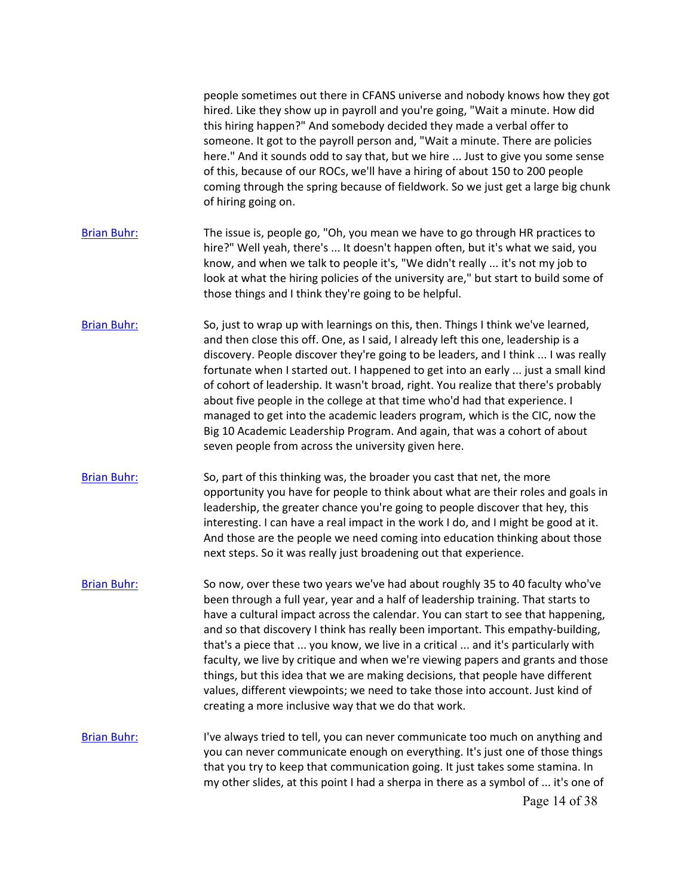|                    | people sometimes out there in CFANS universe and nobody knows how they got<br>hired. Like they show up in payroll and you're going, "Wait a minute. How did<br>this hiring happen?" And somebody decided they made a verbal offer to<br>someone. It got to the payroll person and, "Wait a minute. There are policies<br>here." And it sounds odd to say that, but we hire  Just to give you some sense<br>of this, because of our ROCs, we'll have a hiring of about 150 to 200 people<br>coming through the spring because of fieldwork. So we just get a large big chunk<br>of hiring going on.                                                                                                                                        |
|--------------------|-------------------------------------------------------------------------------------------------------------------------------------------------------------------------------------------------------------------------------------------------------------------------------------------------------------------------------------------------------------------------------------------------------------------------------------------------------------------------------------------------------------------------------------------------------------------------------------------------------------------------------------------------------------------------------------------------------------------------------------------|
| <b>Brian Buhr:</b> | The issue is, people go, "Oh, you mean we have to go through HR practices to<br>hire?" Well yeah, there's  It doesn't happen often, but it's what we said, you<br>know, and when we talk to people it's, "We didn't really  it's not my job to<br>look at what the hiring policies of the university are," but start to build some of<br>those things and I think they're going to be helpful.                                                                                                                                                                                                                                                                                                                                            |
| <b>Brian Buhr:</b> | So, just to wrap up with learnings on this, then. Things I think we've learned,<br>and then close this off. One, as I said, I already left this one, leadership is a<br>discovery. People discover they're going to be leaders, and I think  I was really<br>fortunate when I started out. I happened to get into an early  just a small kind<br>of cohort of leadership. It wasn't broad, right. You realize that there's probably<br>about five people in the college at that time who'd had that experience. I<br>managed to get into the academic leaders program, which is the CIC, now the<br>Big 10 Academic Leadership Program. And again, that was a cohort of about<br>seven people from across the university given here.      |
| <b>Brian Buhr:</b> | So, part of this thinking was, the broader you cast that net, the more<br>opportunity you have for people to think about what are their roles and goals in<br>leadership, the greater chance you're going to people discover that hey, this<br>interesting. I can have a real impact in the work I do, and I might be good at it.<br>And those are the people we need coming into education thinking about those<br>next steps. So it was really just broadening out that experience.                                                                                                                                                                                                                                                     |
| <b>Brian Buhr:</b> | So now, over these two years we've had about roughly 35 to 40 faculty who've<br>been through a full year, year and a half of leadership training. That starts to<br>have a cultural impact across the calendar. You can start to see that happening,<br>and so that discovery I think has really been important. This empathy-building,<br>that's a piece that  you know, we live in a critical  and it's particularly with<br>faculty, we live by critique and when we're viewing papers and grants and those<br>things, but this idea that we are making decisions, that people have different<br>values, different viewpoints; we need to take those into account. Just kind of<br>creating a more inclusive way that we do that work. |
| <b>Brian Buhr:</b> | I've always tried to tell, you can never communicate too much on anything and<br>you can never communicate enough on everything. It's just one of those things<br>that you try to keep that communication going. It just takes some stamina. In<br>my other slides, at this point I had a sherpa in there as a symbol of  it's one of<br>Page 14 of 38                                                                                                                                                                                                                                                                                                                                                                                    |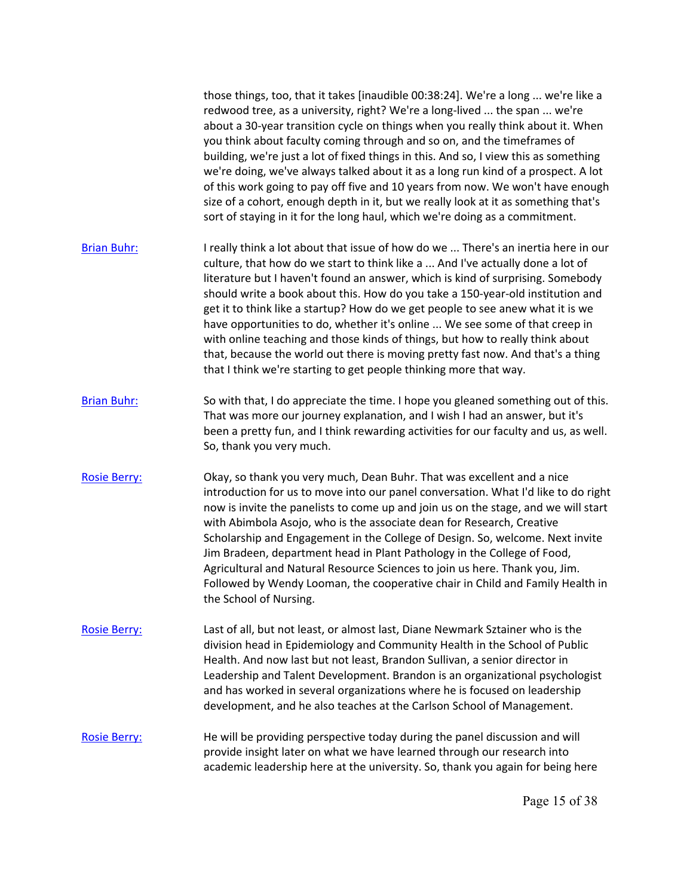|                     | those things, too, that it takes [inaudible 00:38:24]. We're a long  we're like a<br>redwood tree, as a university, right? We're a long-lived  the span  we're<br>about a 30-year transition cycle on things when you really think about it. When<br>you think about faculty coming through and so on, and the timeframes of<br>building, we're just a lot of fixed things in this. And so, I view this as something<br>we're doing, we've always talked about it as a long run kind of a prospect. A lot<br>of this work going to pay off five and 10 years from now. We won't have enough<br>size of a cohort, enough depth in it, but we really look at it as something that's<br>sort of staying in it for the long haul, which we're doing as a commitment. |
|---------------------|------------------------------------------------------------------------------------------------------------------------------------------------------------------------------------------------------------------------------------------------------------------------------------------------------------------------------------------------------------------------------------------------------------------------------------------------------------------------------------------------------------------------------------------------------------------------------------------------------------------------------------------------------------------------------------------------------------------------------------------------------------------|
| <b>Brian Buhr:</b>  | I really think a lot about that issue of how do we  There's an inertia here in our<br>culture, that how do we start to think like a  And I've actually done a lot of<br>literature but I haven't found an answer, which is kind of surprising. Somebody<br>should write a book about this. How do you take a 150-year-old institution and<br>get it to think like a startup? How do we get people to see anew what it is we<br>have opportunities to do, whether it's online  We see some of that creep in<br>with online teaching and those kinds of things, but how to really think about<br>that, because the world out there is moving pretty fast now. And that's a thing<br>that I think we're starting to get people thinking more that way.              |
| <b>Brian Buhr:</b>  | So with that, I do appreciate the time. I hope you gleaned something out of this.<br>That was more our journey explanation, and I wish I had an answer, but it's<br>been a pretty fun, and I think rewarding activities for our faculty and us, as well.<br>So, thank you very much.                                                                                                                                                                                                                                                                                                                                                                                                                                                                             |
| <b>Rosie Berry:</b> | Okay, so thank you very much, Dean Buhr. That was excellent and a nice<br>introduction for us to move into our panel conversation. What I'd like to do right<br>now is invite the panelists to come up and join us on the stage, and we will start<br>with Abimbola Asojo, who is the associate dean for Research, Creative<br>Scholarship and Engagement in the College of Design. So, welcome. Next invite<br>Jim Bradeen, department head in Plant Pathology in the College of Food,<br>Agricultural and Natural Resource Sciences to join us here. Thank you, Jim.<br>Followed by Wendy Looman, the cooperative chair in Child and Family Health in<br>the School of Nursing.                                                                                |
| <b>Rosie Berry:</b> | Last of all, but not least, or almost last, Diane Newmark Sztainer who is the<br>division head in Epidemiology and Community Health in the School of Public<br>Health. And now last but not least, Brandon Sullivan, a senior director in<br>Leadership and Talent Development. Brandon is an organizational psychologist<br>and has worked in several organizations where he is focused on leadership<br>development, and he also teaches at the Carlson School of Management.                                                                                                                                                                                                                                                                                  |
| <b>Rosie Berry:</b> | He will be providing perspective today during the panel discussion and will<br>provide insight later on what we have learned through our research into<br>academic leadership here at the university. So, thank you again for being here                                                                                                                                                                                                                                                                                                                                                                                                                                                                                                                         |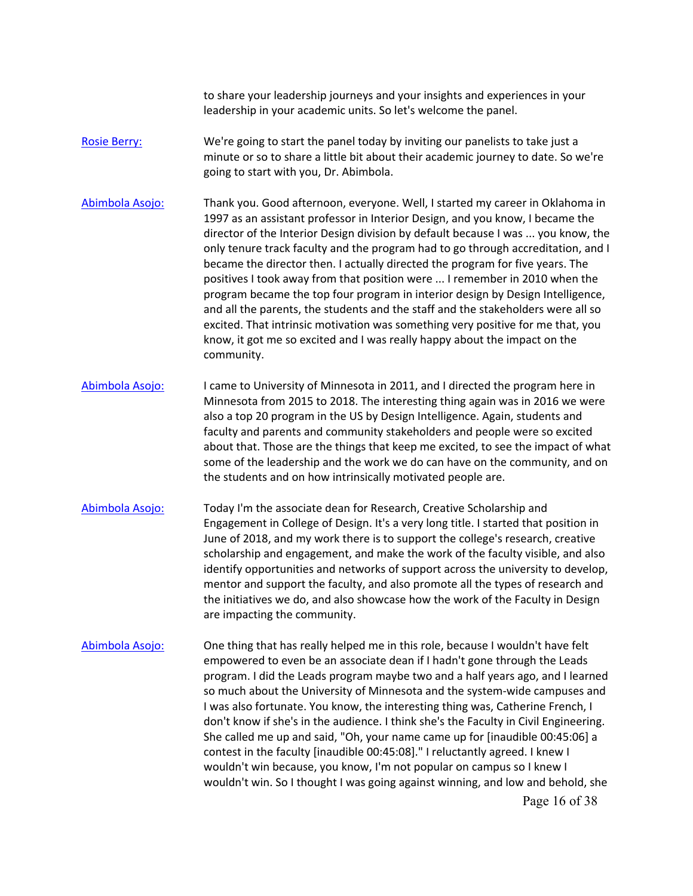leadership in your academic units. So let's welcome the panel. to share your leadership journeys and your insights and experiences in your

- [Rosie Berry:](https://www.rev.com/transcript-editor/Edit?token=VVh-0LOWGATtwdMDufWIf-1IzoJ_qte5w3Xaruuhy8R7ekoPOL145HKh4hSU6X46swzqQgaCY4_tozLc4-xlHklGAMI&loadFrom=DocumentSpeakerNameDeeplink&ts=2490.2) We're going to start the panel today by inviting our panelists to take just a minute or so to share a little bit about their academic journey to date. So we're going to start with you, Dr. Abimbola.
- director of the Interior Design division by default because I was ... you know, the [Abimbola Asojo:](https://www.rev.com/transcript-editor/Edit?token=TloMno0mJNubYtSE3_pxkGwIBl9CWF6DdMQA_lKnLRZuIgJodKi9-BFi-vfgcdv-G82ZnTPDhcrhrj90M75IFZImKec&loadFrom=DocumentSpeakerNameDeeplink&ts=2502.64) Thank you. Good afternoon, everyone. Well, I started my career in Oklahoma in 1997 as an assistant professor in Interior Design, and you know, I became the only tenure track faculty and the program had to go through accreditation, and I became the director then. I actually directed the program for five years. The positives I took away from that position were ... I remember in 2010 when the program became the top four program in interior design by Design Intelligence, and all the parents, the students and the staff and the stakeholders were all so excited. That intrinsic motivation was something very positive for me that, you know, it got me so excited and I was really happy about the impact on the community.
- about that. Those are the things that keep me excited, to see the impact of what some of the leadership and the work we do can have on the community, and on [Abimbola Asojo:](https://www.rev.com/transcript-editor/Edit?token=VY4mOabVl8C-Y3dIPRef9QS-rkN2D_7aed6WMWqgI6A7EyJngjv8GkUtZqJe7pzoxv3roh4pbkZ2_ex8cScIB0uQBUk&loadFrom=DocumentSpeakerNameDeeplink&ts=2575.16) I came to University of Minnesota in 2011, and I directed the program here in Minnesota from 2015 to 2018. The interesting thing again was in 2016 we were also a top 20 program in the US by Design Intelligence. Again, students and faculty and parents and community stakeholders and people were so excited the students and on how intrinsically motivated people are.
- [Abimbola Asojo:](https://www.rev.com/transcript-editor/Edit?token=pc0YADAVvsko1F-rwvqRWOvSrg8fSIJ1e5AngTvnmlGPu3rg0Cd_26df2nrWskmW9Ehx0GLalcssXB-lyuPAStI_xkw&loadFrom=DocumentSpeakerNameDeeplink&ts=2628.61) Today I'm the associate dean for Research, Creative Scholarship and Engagement in College of Design. It's a very long title. I started that position in June of 2018, and my work there is to support the college's research, creative scholarship and engagement, and make the work of the faculty visible, and also identify opportunities and networks of support across the university to develop, mentor and support the faculty, and also promote all the types of research and the initiatives we do, and also showcase how the work of the Faculty in Design are impacting the community.
- [Abimbola Asojo:](https://www.rev.com/transcript-editor/Edit?token=CSywEx_GlPKAekBikI08fUo8BRNkF-D6yc7BhTMUznnK_X4ykiFJAhZ1wtSbuhZx8vpd1erCHyQOkJYL0jBWxJr2i-g&loadFrom=DocumentSpeakerNameDeeplink&ts=2672.1) One thing that has really helped me in this role, because I wouldn't have felt empowered to even be an associate dean if I hadn't gone through the Leads program. I did the Leads program maybe two and a half years ago, and I learned so much about the University of Minnesota and the system-wide campuses and I was also fortunate. You know, the interesting thing was, Catherine French, I don't know if she's in the audience. I think she's the Faculty in Civil Engineering. She called me up and said, "Oh, your name came up for [inaudible 00:45:06] a contest in the faculty [inaudible 00:45:08]." I reluctantly agreed. I knew I wouldn't win because, you know, I'm not popular on campus so I knew I wouldn't win. So I thought I was going against winning, and low and behold, she Page 16 of 38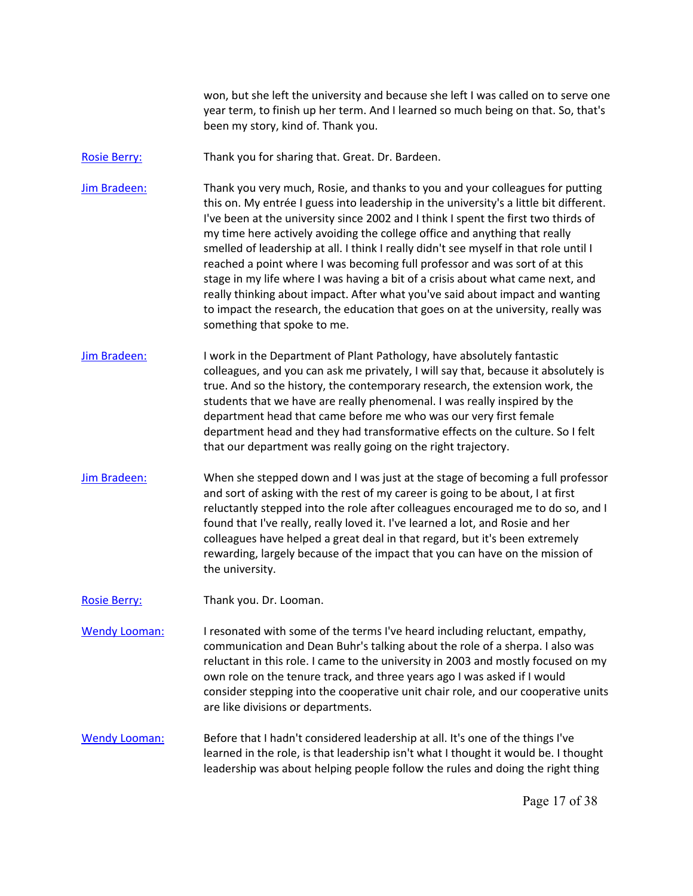year term, to finish up her term. And I learned so much being on that. So, that's won, but she left the university and because she left I was called on to serve one been my story, kind of. Thank you.

[Rosie Berry:](https://www.rev.com/transcript-editor/Edit?token=51VrsakBwYhGEBx5xgXwbGndAU-giseW7gJ3-DGMZbR8XNnmRf8aPYDzdp8yDXOxv-DOoYtx3PU4Teofv-XoYc_ANp0&loadFrom=DocumentSpeakerNameDeeplink&ts=2737.33) Thank you for sharing that. Great. Dr. Bardeen.

[Jim Bradeen:](https://www.rev.com/transcript-editor/Edit?token=4qSXZ4oS92XMYyYKAww_b3qKESNgwehfy3xCdg2FwRHdVzK-9F6WfGp170t_YyRLmsPBwiN6l51uDG3bNI4OIcYhlIA&loadFrom=DocumentSpeakerNameDeeplink&ts=2741.93) Thank you very much, Rosie, and thanks to you and your colleagues for putting this on. My entrée I guess into leadership in the university's a little bit different. I've been at the university since 2002 and I think I spent the first two thirds of my time here actively avoiding the college office and anything that really smelled of leadership at all. I think I really didn't see myself in that role until I reached a point where I was becoming full professor and was sort of at this stage in my life where I was having a bit of a crisis about what came next, and really thinking about impact. After what you've said about impact and wanting to impact the research, the education that goes on at the university, really was something that spoke to me.

- colleagues, and you can ask me privately, I will say that, because it absolutely is that our department was really going on the right trajectory. [Jim Bradeen:](https://www.rev.com/transcript-editor/Edit?token=GbvJW2v2POm8JUjq_XDgonetBDeKsE96ZwHNj_TipZaPNo6JFw14iRta5mqLdMNLvNlN73x6GFFqiHFOZ4VhMD2-2D4&loadFrom=DocumentSpeakerNameDeeplink&ts=2793.59) I work in the Department of Plant Pathology, have absolutely fantastic true. And so the history, the contemporary research, the extension work, the students that we have are really phenomenal. I was really inspired by the department head that came before me who was our very first female department head and they had transformative effects on the culture. So I felt
- rewarding, largely because of the impact that you can have on the mission of [Jim Bradeen:](https://www.rev.com/transcript-editor/Edit?token=HEs5iv784CymNPQ1KsIH0BLuq_0KwjfMG9fvlgugGpZjzTzIwL5lnd181osYEwdzaiRPQ-KfaUAqe7GnRpoyvb3wVsE&loadFrom=DocumentSpeakerNameDeeplink&ts=2825.48) When she stepped down and I was just at the stage of becoming a full professor and sort of asking with the rest of my career is going to be about, I at first reluctantly stepped into the role after colleagues encouraged me to do so, and I found that I've really, really loved it. I've learned a lot, and Rosie and her colleagues have helped a great deal in that regard, but it's been extremely the university.
- [Rosie Berry:](https://www.rev.com/transcript-editor/Edit?token=KiubDRlSvmkl5CMEqrgEBIKgsGxMLstOv7a266CVJBYoI95RWl4NRkHghCcwR9bQEhP_vsNot0GTBM8SdFriqZ8TR_U&loadFrom=DocumentSpeakerNameDeeplink&ts=2852.86) Thank you. Dr. Looman.

[Wendy Looman:](https://www.rev.com/transcript-editor/Edit?token=jMJFDXo3gN30gnoEI8_3nbI67fCWjYtLc_1J_obmx8l4yETQ_m1RQGT1ujRotpoEtu30OFEhyPYgx3CESWEylxgM-HQ&loadFrom=DocumentSpeakerNameDeeplink&ts=2858.5) I resonated with some of the terms I've heard including reluctant, empathy, communication and Dean Buhr's talking about the role of a sherpa. I also was reluctant in this role. I came to the university in 2003 and mostly focused on my own role on the tenure track, and three years ago I was asked if I would consider stepping into the cooperative unit chair role, and our cooperative units are like divisions or departments.

 leadership was about helping people follow the rules and doing the right thing [Wendy Looman:](https://www.rev.com/transcript-editor/Edit?token=9VHHpAyytwH91U5G6ChqykXgZ69seoe0g4WJHm-fxk3A76Gwg9NtlmowVsTEM0iT9YExWS-2grTkIbfHSaKY8JtrigQ&loadFrom=DocumentSpeakerNameDeeplink&ts=2893.29) Before that I hadn't considered leadership at all. It's one of the things I've learned in the role, is that leadership isn't what I thought it would be. I thought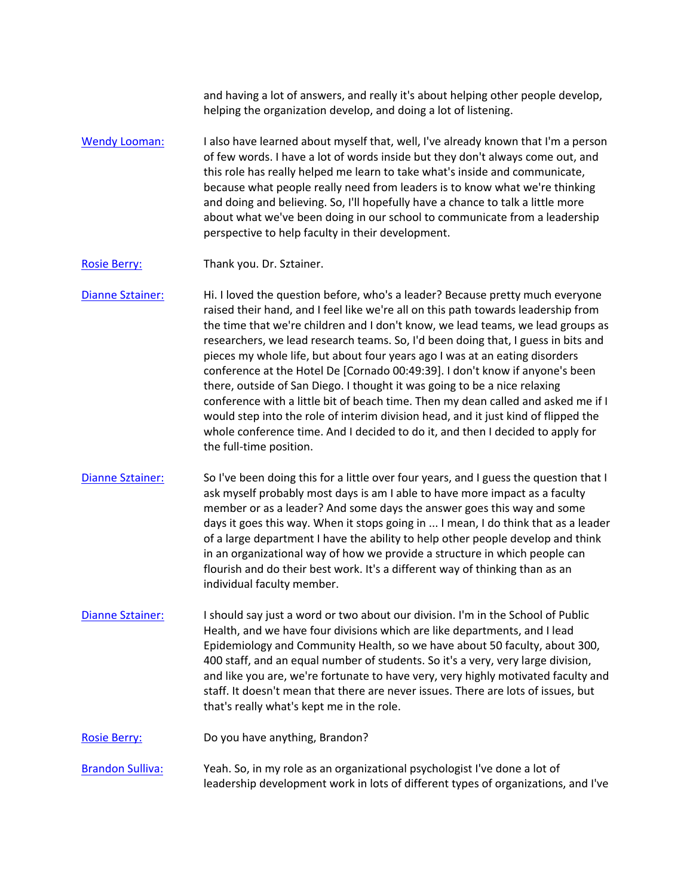helping the organization develop, and doing a lot of listening. and having a lot of answers, and really it's about helping other people develop,

 about what we've been doing in our school to communicate from a leadership [Wendy Looman:](https://www.rev.com/transcript-editor/Edit?token=kc00Q8aEAln4wUJCeBbOfmCot5k6ad7u6eygkKHdlZK1ESEC21Ssnj78lzqTAcC1c7pRZEy2yasNM3zP9eHKLU9dZGk&loadFrom=DocumentSpeakerNameDeeplink&ts=2916.5) I also have learned about myself that, well, I've already known that I'm a person of few words. I have a lot of words inside but they don't always come out, and this role has really helped me learn to take what's inside and communicate, because what people really need from leaders is to know what we're thinking and doing and believing. So, I'll hopefully have a chance to talk a little more perspective to help faculty in their development.

[Rosie Berry:](https://www.rev.com/transcript-editor/Edit?token=3I0QT2J2xOufp0-1FGTtBMv9WOUOLq0ShVNaLEvGyU1tOO61lv674SGTWntKKlPT7vGr_uzBBKWLdJJfukFZ6ooHreQ&loadFrom=DocumentSpeakerNameDeeplink&ts=2946.25) Thank you. Dr. Sztainer.

[Dianne Sztainer:](https://www.rev.com/transcript-editor/Edit?token=ce_W5PXyjr7DArc9LS4RUhq2LqbuIh50xkCurOAVLZ24-vxXBZs98J3ox6rcSy4x3_bPjdtmq0kBQ43x5VwkBMdjBic&loadFrom=DocumentSpeakerNameDeeplink&ts=2949.66) Hi. I loved the question before, who's a leader? Because pretty much everyone raised their hand, and I feel like we're all on this path towards leadership from the time that we're children and I don't know, we lead teams, we lead groups as researchers, we lead research teams. So, I'd been doing that, I guess in bits and pieces my whole life, but about four years ago I was at an eating disorders conference at the Hotel De [Cornado 00:49:39]. I don't know if anyone's been there, outside of San Diego. I thought it was going to be a nice relaxing conference with a little bit of beach time. Then my dean called and asked me if I would step into the role of interim division head, and it just kind of flipped the whole conference time. And I decided to do it, and then I decided to apply for the full-time position.

- [Dianne Sztainer:](https://www.rev.com/transcript-editor/Edit?token=5toscwRHtroSo1BYsmhK8C9ONKT9sS9tH6NQ_toquTirzW0CIGsr-QAX0Lo1JqU8B7EdO6RnHuaKYTDkr5DewO9tcXI&loadFrom=DocumentSpeakerNameDeeplink&ts=3006.64) So I've been doing this for a little over four years, and I guess the question that I ask myself probably most days is am I able to have more impact as a faculty member or as a leader? And some days the answer goes this way and some days it goes this way. When it stops going in ... I mean, I do think that as a leader of a large department I have the ability to help other people develop and think in an organizational way of how we provide a structure in which people can flourish and do their best work. It's a different way of thinking than as an individual faculty member.
- [Dianne Sztainer:](https://www.rev.com/transcript-editor/Edit?token=zGZvnDbzSjGaapNELgEtT7bPJFQtL291xSifDiH1yHROCC7L54lIjydkazvHc6CuyhyLUQc6uDRfna0OaINvp7hGWNg&loadFrom=DocumentSpeakerNameDeeplink&ts=3054.91) I should say just a word or two about our division. I'm in the School of Public Health, and we have four divisions which are like departments, and I lead Epidemiology and Community Health, so we have about 50 faculty, about 300, 400 staff, and an equal number of students. So it's a very, very large division, and like you are, we're fortunate to have very, very highly motivated faculty and staff. It doesn't mean that there are never issues. There are lots of issues, but that's really what's kept me in the role.

[Rosie Berry:](https://www.rev.com/transcript-editor/Edit?token=hGK2ClAqGMs33Uhm1C9Hx5tvuAwbeI33bROz4qbLWurzoI4hx65bQU7M8LTow-LP94bcFaZw3kBmneJPkAoeKuFlHoI&loadFrom=DocumentSpeakerNameDeeplink&ts=3088.64) Do you have anything, Brandon?

[Brandon Sulliva:](https://www.rev.com/transcript-editor/Edit?token=tkFlPxBsipgG1SD-h9gachsjk-XiBnSB5oKnLmXjdMJS83pjW5T_V-4LOA18PGvmKQ9dUHfP1aNIp8xXQ-7EmdK0hgc&loadFrom=DocumentSpeakerNameDeeplink&ts=3092.15) Yeah. So, in my role as an organizational psychologist I've done a lot of leadership development work in lots of different types of organizations, and I've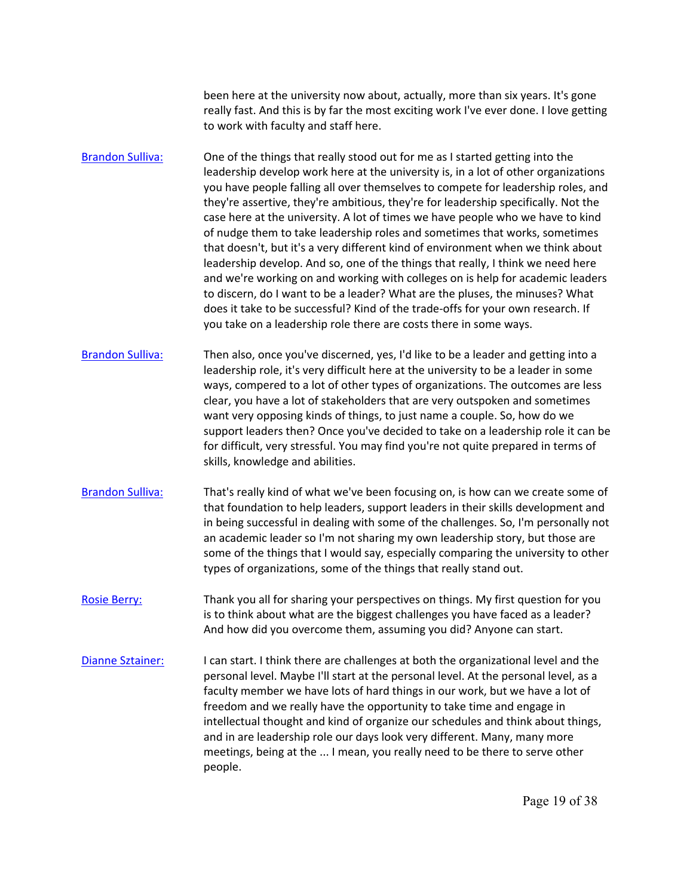really fast. And this is by far the most exciting work I've ever done. I love getting been here at the university now about, actually, more than six years. It's gone to work with faculty and staff here.

 leadership develop. And so, one of the things that really, I think we need here [Brandon Sulliva:](https://www.rev.com/transcript-editor/Edit?token=LhfVTXAd1EB6BAqVAc_eXFSg_55L095lHgk9p5lDga6i9AqXjo32aES263OO1Npm8iYkx9pWHuEHsH5NMHB3xGerP_Y&loadFrom=DocumentSpeakerNameDeeplink&ts=3112.26) One of the things that really stood out for me as I started getting into the leadership develop work here at the university is, in a lot of other organizations you have people falling all over themselves to compete for leadership roles, and they're assertive, they're ambitious, they're for leadership specifically. Not the case here at the university. A lot of times we have people who we have to kind of nudge them to take leadership roles and sometimes that works, sometimes that doesn't, but it's a very different kind of environment when we think about and we're working on and working with colleges on is help for academic leaders to discern, do I want to be a leader? What are the pluses, the minuses? What does it take to be successful? Kind of the trade-offs for your own research. If you take on a leadership role there are costs there in some ways.

 support leaders then? Once you've decided to take on a leadership role it can be [Brandon Sulliva:](https://www.rev.com/transcript-editor/Edit?token=z8O8dNlLVrZrkHL15EmcqXYoj51eht5izUU3UcL-2Td5YPwSSAqDc9NH53oGlEZ7DHzLJDfzjmLNP7KZ2lWk8hanhhY&loadFrom=DocumentSpeakerNameDeeplink&ts=3169.44) Then also, once you've discerned, yes, I'd like to be a leader and getting into a leadership role, it's very difficult here at the university to be a leader in some ways, compered to a lot of other types of organizations. The outcomes are less clear, you have a lot of stakeholders that are very outspoken and sometimes want very opposing kinds of things, to just name a couple. So, how do we for difficult, very stressful. You may find you're not quite prepared in terms of skills, knowledge and abilities.

- [Brandon Sulliva:](https://www.rev.com/transcript-editor/Edit?token=W4QNvaHD6t-1N0Qe57cfgaQy9PF4gFp84oSBK9uLmPg_FVhJO5E7JjCTKER-ZQSMm0cTv3eyIv6F681L7SG3I8r0nOc&loadFrom=DocumentSpeakerNameDeeplink&ts=3200.5) That's really kind of what we've been focusing on, is how can we create some of that foundation to help leaders, support leaders in their skills development and in being successful in dealing with some of the challenges. So, I'm personally not an academic leader so I'm not sharing my own leadership story, but those are some of the things that I would say, especially comparing the university to other types of organizations, some of the things that really stand out.
- [Rosie Berry:](https://www.rev.com/transcript-editor/Edit?token=KA0fct5fxfH8ICNyTtPm_JinRWkfL9FQP8FZiQUogOIvbe6gObBxXVedFRzJoHnf5cNvGMWnokiSj-YTs-eiK30DbuM&loadFrom=DocumentSpeakerNameDeeplink&ts=3229.29) Thank you all for sharing your perspectives on things. My first question for you is to think about what are the biggest challenges you have faced as a leader? And how did you overcome them, assuming you did? Anyone can start.
- faculty member we have lots of hard things in our work, but we have a lot of freedom and we really have the opportunity to take time and engage in [Dianne Sztainer:](https://www.rev.com/transcript-editor/Edit?token=KO6AwkbDv-TtoyT7xizkqq18VUpPsn_FkqC5UIxUV0cYYgmc8Q3clM33mOaXI_x9WB7T6OFK6w6rkX_6M3YQLGQQknY&loadFrom=DocumentSpeakerNameDeeplink&ts=3247.77) I can start. I think there are challenges at both the organizational level and the personal level. Maybe I'll start at the personal level. At the personal level, as a intellectual thought and kind of organize our schedules and think about things, and in are leadership role our days look very different. Many, many more meetings, being at the ... I mean, you really need to be there to serve other people.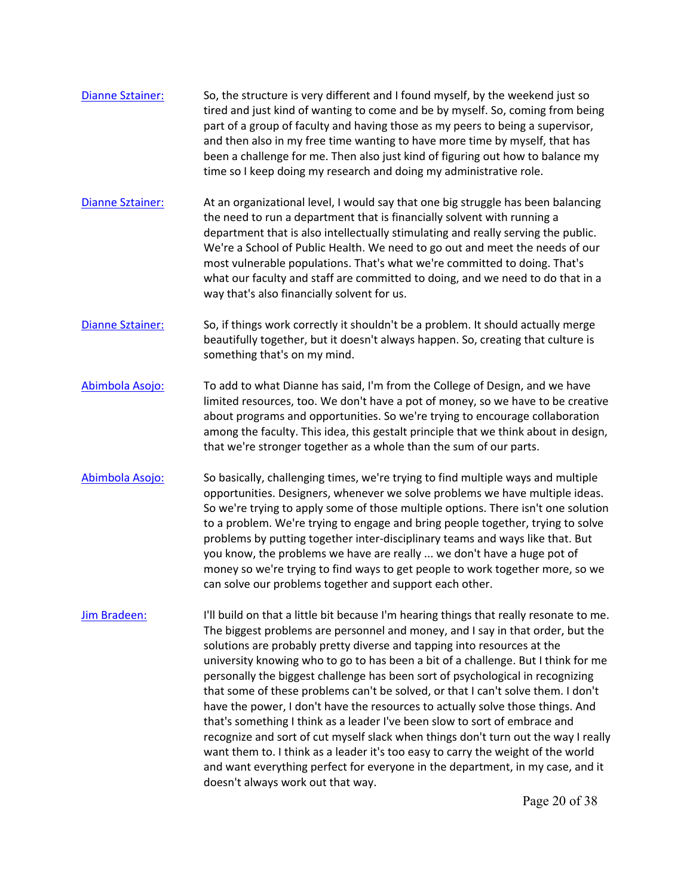- [Dianne Sztainer:](https://www.rev.com/transcript-editor/Edit?token=mKbDS_2-88UijLdcCCjcQQoE2WcKvKHLB2AAcVr4i-1qXzAg2AK6QuBuPLUNhDQqnZ-QoDkp-DvUgTd9JeW0i6hogQk&loadFrom=DocumentSpeakerNameDeeplink&ts=3290.81) So, the structure is very different and I found myself, by the weekend just so tired and just kind of wanting to come and be by myself. So, coming from being part of a group of faculty and having those as my peers to being a supervisor, and then also in my free time wanting to have more time by myself, that has been a challenge for me. Then also just kind of figuring out how to balance my time so I keep doing my research and doing my administrative role.
- [Dianne Sztainer:](https://www.rev.com/transcript-editor/Edit?token=nev9bvJvwe0jT83lnPeAC1E0Tik0BOQjU-F1Kq_tJBBKcGsQnyki-NQzq7wHlCpyaFSFHCtK4T_Gl05VXHgOJrD2DI8&loadFrom=DocumentSpeakerNameDeeplink&ts=3323.11) At an organizational level, I would say that one big struggle has been balancing the need to run a department that is financially solvent with running a department that is also intellectually stimulating and really serving the public. We're a School of Public Health. We need to go out and meet the needs of our most vulnerable populations. That's what we're committed to doing. That's what our faculty and staff are committed to doing, and we need to do that in a way that's also financially solvent for us.
- [Dianne Sztainer:](https://www.rev.com/transcript-editor/Edit?token=EhwlZ6IUxvQ6gtqd7yzBGWNW9Ymhcsg2MSAyWM2IBfaGI3d6DGeLrZbLWIZYES04oXzO_OKc4eTzWxH8GPQ7bxSikQE&loadFrom=DocumentSpeakerNameDeeplink&ts=3366.4) So, if things work correctly it shouldn't be a problem. It should actually merge beautifully together, but it doesn't always happen. So, creating that culture is something that's on my mind.
- [Abimbola Asojo:](https://www.rev.com/transcript-editor/Edit?token=nme1kpBQV1y9G570bueHKCC_qXxDyfkgieQltyv4A-7i7bIU6E00lphpxU3j8HbB7mqb-q1w_DO5nmccCPoGfmYJ05k&loadFrom=DocumentSpeakerNameDeeplink&ts=3379.88) To add to what Dianne has said, I'm from the College of Design, and we have limited resources, too. We don't have a pot of money, so we have to be creative about programs and opportunities. So we're trying to encourage collaboration among the faculty. This idea, this gestalt principle that we think about in design, that we're stronger together as a whole than the sum of our parts.
- opportunities. Designers, whenever we solve problems we have multiple ideas. [Abimbola Asojo:](https://www.rev.com/transcript-editor/Edit?token=EOIsxg9SdzAICLswAWIq4j1Cr4mpeV4ToQCHtwZ4eJvc2XdQ0ZoIjWeqMUinvDSnM7Lx-cPy9TVl4T1c5q308hFxAXg&loadFrom=DocumentSpeakerNameDeeplink&ts=3414.53) So basically, challenging times, we're trying to find multiple ways and multiple So we're trying to apply some of those multiple options. There isn't one solution to a problem. We're trying to engage and bring people together, trying to solve problems by putting together inter-disciplinary teams and ways like that. But you know, the problems we have are really ... we don't have a huge pot of money so we're trying to find ways to get people to work together more, so we can solve our problems together and support each other.
- university knowing who to go to has been a bit of a challenge. But I think for me [Jim Bradeen:](https://www.rev.com/transcript-editor/Edit?token=WDWS7Jzm8fziUx1rmWbx42zF6atveplzkQ1qTM0ywCaN220Htd7Lqg9G1ryAHq2K7SRWuFwe7nDnL40Q7nQc9IVTakU&loadFrom=DocumentSpeakerNameDeeplink&ts=3464.49) I'll build on that a little bit because I'm hearing things that really resonate to me. The biggest problems are personnel and money, and I say in that order, but the solutions are probably pretty diverse and tapping into resources at the personally the biggest challenge has been sort of psychological in recognizing that some of these problems can't be solved, or that I can't solve them. I don't have the power, I don't have the resources to actually solve those things. And that's something I think as a leader I've been slow to sort of embrace and recognize and sort of cut myself slack when things don't turn out the way I really want them to. I think as a leader it's too easy to carry the weight of the world and want everything perfect for everyone in the department, in my case, and it doesn't always work out that way.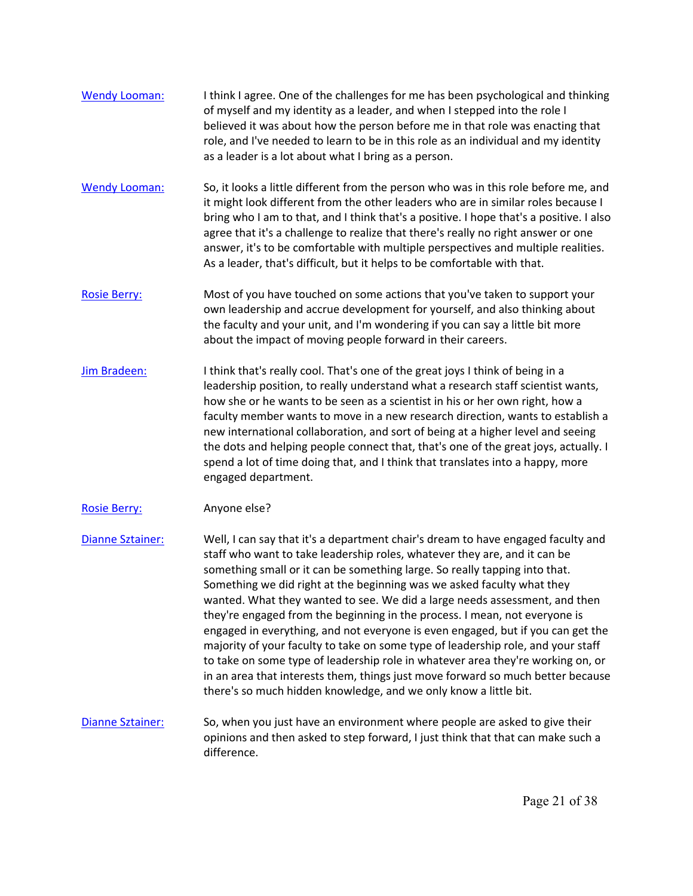- of myself and my identity as a leader, and when I stepped into the role I [Wendy Looman:](https://www.rev.com/transcript-editor/Edit?token=VddAGxv0eltfB1H_46tD8lq8L1gI5fO8okpTjTyvPvvKQL0BmYv4H-HrCyoz79ADOeG-kj-Mig_JEMPrDWVuokjWL7Q&loadFrom=DocumentSpeakerNameDeeplink&ts=3521.24) I think I agree. One of the challenges for me has been psychological and thinking believed it was about how the person before me in that role was enacting that role, and I've needed to learn to be in this role as an individual and my identity as a leader is a lot about what I bring as a person.
- it might look different from the other leaders who are in similar roles because I [Wendy Looman:](https://www.rev.com/transcript-editor/Edit?token=2G8tbg4_9pkxCnds_GrmJwLoGG9Acp1g-bVjdY7B5gH7WCc56LANOJSEoJlOkDqAWmbLiEquqv6p7QNrC_LbZANo5No&loadFrom=DocumentSpeakerNameDeeplink&ts=3547.34) So, it looks a little different from the person who was in this role before me, and bring who I am to that, and I think that's a positive. I hope that's a positive. I also agree that it's a challenge to realize that there's really no right answer or one answer, it's to be comfortable with multiple perspectives and multiple realities. As a leader, that's difficult, but it helps to be comfortable with that.
- [Rosie Berry:](https://www.rev.com/transcript-editor/Edit?token=8pbUTIMIDzkP6CHUqnoFSZWONg3kknRObnYcgstdu69ktXWlnbl9fn-cEv0R5rnib8R61vU7G-ljeaFcmISEW8XKMeM&loadFrom=DocumentSpeakerNameDeeplink&ts=3579.76) Most of you have touched on some actions that you've taken to support your own leadership and accrue development for yourself, and also thinking about the faculty and your unit, and I'm wondering if you can say a little bit more about the impact of moving people forward in their careers.
- [Jim Bradeen:](https://www.rev.com/transcript-editor/Edit?token=TDkIdDFjvFAhbMCe7eonTfcxEz3eGUbIpGlBbtCuguy-MEhjb98Y4xCOAvKkra_6_fAJZEebjSVyQzKgvUak4liTPnI&loadFrom=DocumentSpeakerNameDeeplink&ts=3600.2) I think that's really cool. That's one of the great joys I think of being in a leadership position, to really understand what a research staff scientist wants, how she or he wants to be seen as a scientist in his or her own right, how a faculty member wants to move in a new research direction, wants to establish a new international collaboration, and sort of being at a higher level and seeing the dots and helping people connect that, that's one of the great joys, actually. I spend a lot of time doing that, and I think that translates into a happy, more engaged department.

## [Rosie Berry:](https://www.rev.com/transcript-editor/Edit?token=wGw_grgkg846Uu8rm4F2fSUJH7Pwm5zejzXxfUtYz1SM61CvgIhf7GcI2ZQ6TPxAPwGJBSZix-22MIHFA5UQ1WwFNRY&loadFrom=DocumentSpeakerNameDeeplink&ts=3639.86) Anyone else?

[Dianne Sztainer:](https://www.rev.com/transcript-editor/Edit?token=VwognHw5mqAQau8up2oAV0WNjyfc8KxAuPhnfKExcDo1m-3XN7wiscswyVW9D9lUUqOI1BLvpTBCxYyO7dnbvrnSCNg&loadFrom=DocumentSpeakerNameDeeplink&ts=3641.42) Well, I can say that it's a department chair's dream to have engaged faculty and staff who want to take leadership roles, whatever they are, and it can be something small or it can be something large. So really tapping into that. Something we did right at the beginning was we asked faculty what they wanted. What they wanted to see. We did a large needs assessment, and then they're engaged from the beginning in the process. I mean, not everyone is engaged in everything, and not everyone is even engaged, but if you can get the majority of your faculty to take on some type of leadership role, and your staff to take on some type of leadership role in whatever area they're working on, or in an area that interests them, things just move forward so much better because there's so much hidden knowledge, and we only know a little bit.

[Dianne Sztainer:](https://www.rev.com/transcript-editor/Edit?token=zrGkmGG8xzWQdxyecQ6lHnjob9zDn9PrKQRueS1Ipe2kfhwFe75iVOtnd3otvn33qNwjQmgzGvkHYTSXKw7j5QNZemc&loadFrom=DocumentSpeakerNameDeeplink&ts=3699.04) So, when you just have an environment where people are asked to give their opinions and then asked to step forward, I just think that that can make such a difference.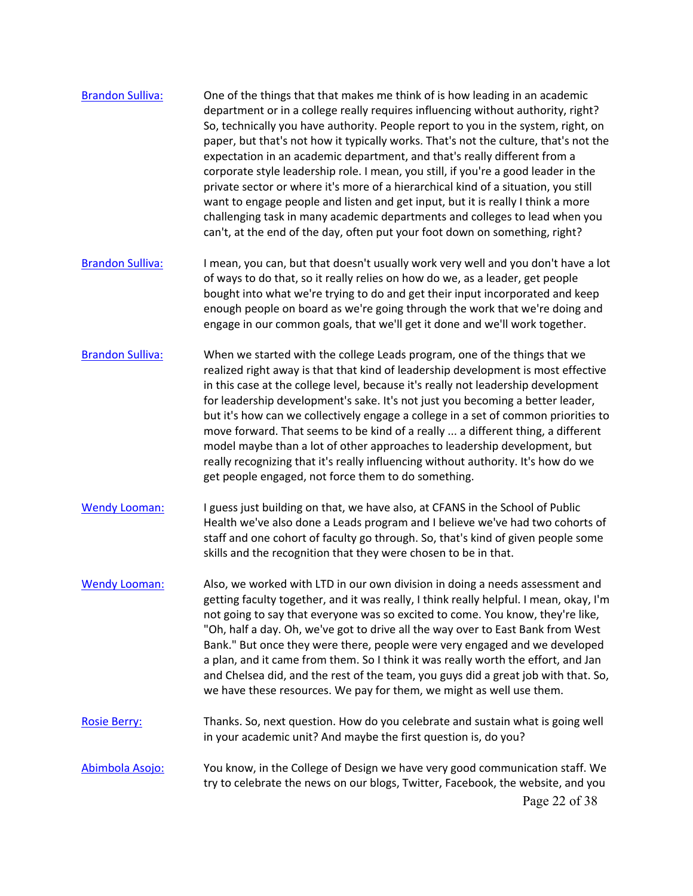| <b>Brandon Sulliva:</b> | One of the things that that makes me think of is how leading in an academic<br>department or in a college really requires influencing without authority, right?<br>So, technically you have authority. People report to you in the system, right, on<br>paper, but that's not how it typically works. That's not the culture, that's not the<br>expectation in an academic department, and that's really different from a<br>corporate style leadership role. I mean, you still, if you're a good leader in the<br>private sector or where it's more of a hierarchical kind of a situation, you still<br>want to engage people and listen and get input, but it is really I think a more<br>challenging task in many academic departments and colleges to lead when you<br>can't, at the end of the day, often put your foot down on something, right? |
|-------------------------|--------------------------------------------------------------------------------------------------------------------------------------------------------------------------------------------------------------------------------------------------------------------------------------------------------------------------------------------------------------------------------------------------------------------------------------------------------------------------------------------------------------------------------------------------------------------------------------------------------------------------------------------------------------------------------------------------------------------------------------------------------------------------------------------------------------------------------------------------------|
| <b>Brandon Sulliva:</b> | I mean, you can, but that doesn't usually work very well and you don't have a lot<br>of ways to do that, so it really relies on how do we, as a leader, get people<br>bought into what we're trying to do and get their input incorporated and keep<br>enough people on board as we're going through the work that we're doing and<br>engage in our common goals, that we'll get it done and we'll work together.                                                                                                                                                                                                                                                                                                                                                                                                                                      |
| <b>Brandon Sulliva:</b> | When we started with the college Leads program, one of the things that we<br>realized right away is that that kind of leadership development is most effective<br>in this case at the college level, because it's really not leadership development<br>for leadership development's sake. It's not just you becoming a better leader,<br>but it's how can we collectively engage a college in a set of common priorities to<br>move forward. That seems to be kind of a really  a different thing, a different<br>model maybe than a lot of other approaches to leadership development, but<br>really recognizing that it's really influencing without authority. It's how do we<br>get people engaged, not force them to do something.                                                                                                                |
| <b>Wendy Looman:</b>    | I guess just building on that, we have also, at CFANS in the School of Public<br>Health we've also done a Leads program and I believe we've had two cohorts of<br>staff and one cohort of faculty go through. So, that's kind of given people some<br>skills and the recognition that they were chosen to be in that.                                                                                                                                                                                                                                                                                                                                                                                                                                                                                                                                  |
| <b>Wendy Looman:</b>    | Also, we worked with LTD in our own division in doing a needs assessment and<br>getting faculty together, and it was really, I think really helpful. I mean, okay, I'm<br>not going to say that everyone was so excited to come. You know, they're like,<br>"Oh, half a day. Oh, we've got to drive all the way over to East Bank from West<br>Bank." But once they were there, people were very engaged and we developed<br>a plan, and it came from them. So I think it was really worth the effort, and Jan<br>and Chelsea did, and the rest of the team, you guys did a great job with that. So,<br>we have these resources. We pay for them, we might as well use them.                                                                                                                                                                           |
| <b>Rosie Berry:</b>     | Thanks. So, next question. How do you celebrate and sustain what is going well<br>in your academic unit? And maybe the first question is, do you?                                                                                                                                                                                                                                                                                                                                                                                                                                                                                                                                                                                                                                                                                                      |
| Abimbola Asojo:         | You know, in the College of Design we have very good communication staff. We<br>try to celebrate the news on our blogs, Twitter, Facebook, the website, and you<br>Page 22 of 38                                                                                                                                                                                                                                                                                                                                                                                                                                                                                                                                                                                                                                                                       |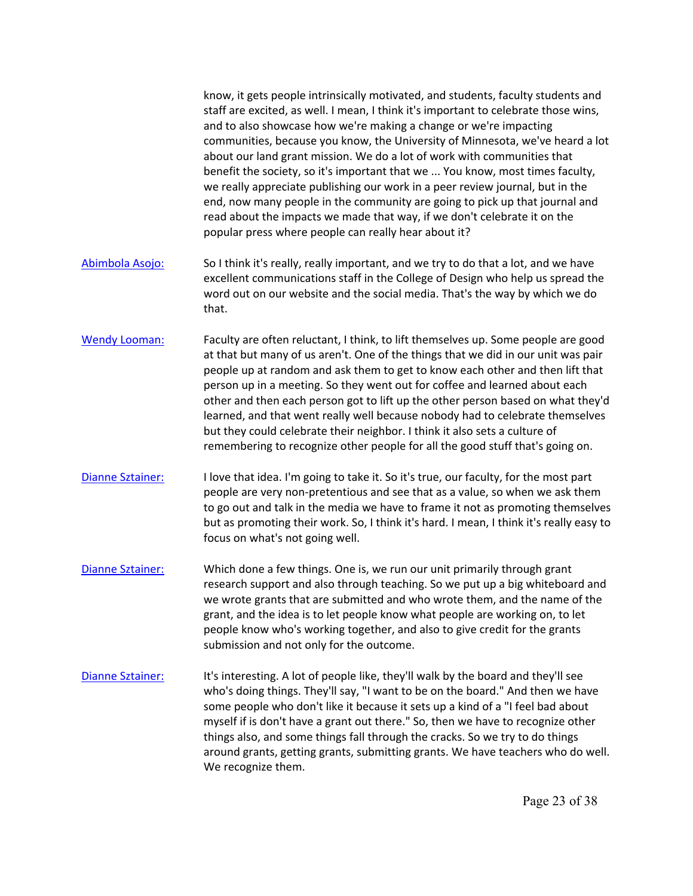and to also showcase how we're making a change or we're impacting know, it gets people intrinsically motivated, and students, faculty students and staff are excited, as well. I mean, I think it's important to celebrate those wins, communities, because you know, the University of Minnesota, we've heard a lot about our land grant mission. We do a lot of work with communities that benefit the society, so it's important that we ... You know, most times faculty, we really appreciate publishing our work in a peer review journal, but in the end, now many people in the community are going to pick up that journal and read about the impacts we made that way, if we don't celebrate it on the popular press where people can really hear about it?

- [Abimbola Asojo:](https://www.rev.com/transcript-editor/Edit?token=qBuoPTejpOZogKWMjglmDa5QyUUYbwUzpFc3NA4S58ck0QyLeUwNbS-XldwlYOqouER4IFmTwF8IC3EH8oDHA0qCQAI&loadFrom=DocumentSpeakerNameDeeplink&ts=3966.43) So I think it's really, really important, and we try to do that a lot, and we have excellent communications staff in the College of Design who help us spread the word out on our website and the social media. That's the way by which we do that.
- [Wendy Looman:](https://www.rev.com/transcript-editor/Edit?token=tMLI4la3GJusYVKh5UHekOMfhmL_MPD_2hozhOq09t9Sm9c5mEX7OseZeXf3eOQ1l0BwwQpA2Dm9w7VWBIqPhEoxrU4&loadFrom=DocumentSpeakerNameDeeplink&ts=3985.6) Faculty are often reluctant, I think, to lift themselves up. Some people are good at that but many of us aren't. One of the things that we did in our unit was pair people up at random and ask them to get to know each other and then lift that person up in a meeting. So they went out for coffee and learned about each other and then each person got to lift up the other person based on what they'd learned, and that went really well because nobody had to celebrate themselves but they could celebrate their neighbor. I think it also sets a culture of remembering to recognize other people for all the good stuff that's going on.
- [Dianne Sztainer:](https://www.rev.com/transcript-editor/Edit?token=yqO6UPA4Lsj1IY6SruiLGIGA6cu-Ri_E53I1jXCI6duy7SbxIhHZOMNx6Ky_PFqRTqLr7ubFhg9w9btNJ0Gmo9UO00I&loadFrom=DocumentSpeakerNameDeeplink&ts=4025.01) I love that idea. I'm going to take it. So it's true, our faculty, for the most part people are very non-pretentious and see that as a value, so when we ask them to go out and talk in the media we have to frame it not as promoting themselves but as promoting their work. So, I think it's hard. I mean, I think it's really easy to focus on what's not going well.
- [Dianne Sztainer:](https://www.rev.com/transcript-editor/Edit?token=C5zf1chyDRuuXbw2jhHk6M2iYIMND3t01ObIUPNrKl-E5mPRvk0mp149CTpdw5bOAfZtwXDwxiKb12QT9NhCQJESvsk&loadFrom=DocumentSpeakerNameDeeplink&ts=4048.75) Which done a few things. One is, we run our unit primarily through grant research support and also through teaching. So we put up a big whiteboard and we wrote grants that are submitted and who wrote them, and the name of the grant, and the idea is to let people know what people are working on, to let people know who's working together, and also to give credit for the grants submission and not only for the outcome.
- [Dianne Sztainer:](https://www.rev.com/transcript-editor/Edit?token=fJuaAOci8r0dakJYVVqm53Qv0hLDJru2vTJt3xvfJ4fgJR7rnPWrrklvYrlNnXCSXstWYxFQ-wPPhVUepaYv9o8Z2pA&loadFrom=DocumentSpeakerNameDeeplink&ts=4084.23) It's interesting. A lot of people like, they'll walk by the board and they'll see who's doing things. They'll say, "I want to be on the board." And then we have some people who don't like it because it sets up a kind of a "I feel bad about myself if is don't have a grant out there." So, then we have to recognize other things also, and some things fall through the cracks. So we try to do things around grants, getting grants, submitting grants. We have teachers who do well. We recognize them.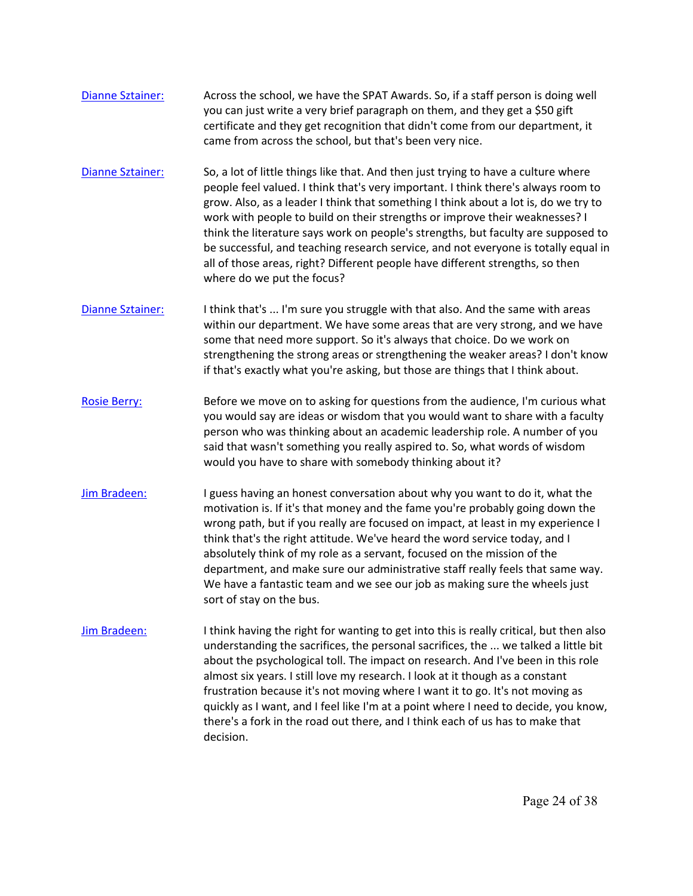- [Dianne Sztainer:](https://www.rev.com/transcript-editor/Edit?token=s9Pfs6EapR54BBExvV5npFys70kv5hjo3hBEEtEJCUCjZ_5yAjzLo6P9lm8D5KlOWkSwgp_OYB75aSydiudj10J_orU&loadFrom=DocumentSpeakerNameDeeplink&ts=4113.43) Across the school, we have the SPAT Awards. So, if a staff person is doing well you can just write a very brief paragraph on them, and they get a \$50 gift certificate and they get recognition that didn't come from our department, it came from across the school, but that's been very nice.
- [Dianne Sztainer:](https://www.rev.com/transcript-editor/Edit?token=6ZBknbhNsJedV8Ij1NtTzxGolLQMxy6_-SElk0nztguYgLa6bt8__HnLhZ69iHk_FYtID9gKp-47plHriEJcFM9wEcU&loadFrom=DocumentSpeakerNameDeeplink&ts=4131.4) So, a lot of little things like that. And then just trying to have a culture where people feel valued. I think that's very important. I think there's always room to grow. Also, as a leader I think that something I think about a lot is, do we try to work with people to build on their strengths or improve their weaknesses? I think the literature says work on people's strengths, but faculty are supposed to be successful, and teaching research service, and not everyone is totally equal in all of those areas, right? Different people have different strengths, so then where do we put the focus?
- [Dianne Sztainer:](https://www.rev.com/transcript-editor/Edit?token=H4GepCp9QhqQB_hbeZ2vfqvw8V450BJ3KLmhH3_zPtkgSvit8lTZXE_tyTDpFb4Qqb1mBDui9R3GP0R714TCaq4Je40&loadFrom=DocumentSpeakerNameDeeplink&ts=4179.25) I think that's ... I'm sure you struggle with that also. And the same with areas within our department. We have some areas that are very strong, and we have some that need more support. So it's always that choice. Do we work on strengthening the strong areas or strengthening the weaker areas? I don't know if that's exactly what you're asking, but those are things that I think about.
- [Rosie Berry:](https://www.rev.com/transcript-editor/Edit?token=YguPIrB9w8ip6U_3b1s32x0rmX_Ov7GCSI2jIjQ0IvlxGMLd0qV6mn92baSrsBj88sHJs-MNAAWj7hyMtCiWmeBzZcE&loadFrom=DocumentSpeakerNameDeeplink&ts=4200.87) Before we move on to asking for questions from the audience, I'm curious what you would say are ideas or wisdom that you would want to share with a faculty person who was thinking about an academic leadership role. A number of you said that wasn't something you really aspired to. So, what words of wisdom would you have to share with somebody thinking about it?
- [Jim Bradeen:](https://www.rev.com/transcript-editor/Edit?token=W4C3fTyO5BlATZI6SGpmuB7kBn8ROR-1HvyIydr3jn82yn3cQ_zGvUyXFnRIf05QjkF2tVbpLXLali2A6f8QSLVUMOs&loadFrom=DocumentSpeakerNameDeeplink&ts=4223.87) I guess having an honest conversation about why you want to do it, what the motivation is. If it's that money and the fame you're probably going down the wrong path, but if you really are focused on impact, at least in my experience I think that's the right attitude. We've heard the word service today, and I absolutely think of my role as a servant, focused on the mission of the department, and make sure our administrative staff really feels that same way. We have a fantastic team and we see our job as making sure the wheels just sort of stay on the bus.
- [Jim Bradeen:](https://www.rev.com/transcript-editor/Edit?token=OVcKVZgC9Pw6UUoYxymS3JvIgINSlPF4QEKw5ru-gzNCpfwfgPfX0-Un_U3V1wvbUadxyyy-jvEJ8sGEwvhN1WV2jBo&loadFrom=DocumentSpeakerNameDeeplink&ts=4262.25) I think having the right for wanting to get into this is really critical, but then also understanding the sacrifices, the personal sacrifices, the ... we talked a little bit about the psychological toll. The impact on research. And I've been in this role almost six years. I still love my research. I look at it though as a constant frustration because it's not moving where I want it to go. It's not moving as quickly as I want, and I feel like I'm at a point where I need to decide, you know, there's a fork in the road out there, and I think each of us has to make that decision.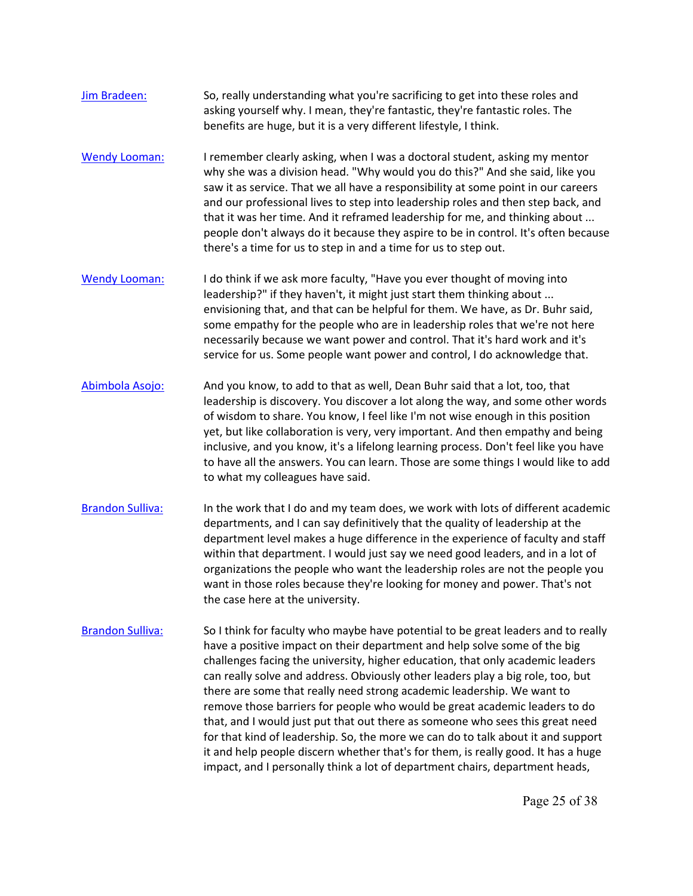- [Jim Bradeen:](https://www.rev.com/transcript-editor/Edit?token=-zjebCaTWxj4wR1WcKGX-BVRyG1ibCla5TiALX9vXAkVfPDVqeIaYc2WjDsyeNzd8m04bjjK7YF7xb9l9enWuMKykuU&loadFrom=DocumentSpeakerNameDeeplink&ts=4301.01) So, really understanding what you're sacrificing to get into these roles and asking yourself why. I mean, they're fantastic, they're fantastic roles. The benefits are huge, but it is a very different lifestyle, I think.
- [Wendy Looman:](https://www.rev.com/transcript-editor/Edit?token=MuGpbFwt9LkOb38Jj1yf8SYkM-A195Mplp0bPwLcNbS-PxWCB2Pbyv4CPpgBQe0ASw309DX1GRaMYIklYYtLUo_lgOI&loadFrom=DocumentSpeakerNameDeeplink&ts=4316.62) I remember clearly asking, when I was a doctoral student, asking my mentor why she was a division head. "Why would you do this?" And she said, like you saw it as service. That we all have a responsibility at some point in our careers and our professional lives to step into leadership roles and then step back, and that it was her time. And it reframed leadership for me, and thinking about ... people don't always do it because they aspire to be in control. It's often because there's a time for us to step in and a time for us to step out.
- [Wendy Looman:](https://www.rev.com/transcript-editor/Edit?token=Aud2G8uJzdYI-o8eRLg1tRV2ylUPpd_gfDsu2foslVkeggk_mh9wubeOAzSHlg-8QSEgHOAFaznvj-uC4z0g1PDOVgU&loadFrom=DocumentSpeakerNameDeeplink&ts=4349.2) I do think if we ask more faculty, "Have you ever thought of moving into leadership?" if they haven't, it might just start them thinking about ... envisioning that, and that can be helpful for them. We have, as Dr. Buhr said, some empathy for the people who are in leadership roles that we're not here necessarily because we want power and control. That it's hard work and it's service for us. Some people want power and control, I do acknowledge that.
- [Abimbola Asojo:](https://www.rev.com/transcript-editor/Edit?token=E9PyxDfTJe61XdpGcICoH3GufLhxSwJRqCTPU7oKO7QX187LCcUOCXBGU6aeGTSwFlChSM65HZjXuAZljEO3ZL2ENZY&loadFrom=DocumentSpeakerNameDeeplink&ts=4377.32) And you know, to add to that as well, Dean Buhr said that a lot, too, that leadership is discovery. You discover a lot along the way, and some other words of wisdom to share. You know, I feel like I'm not wise enough in this position yet, but like collaboration is very, very important. And then empathy and being inclusive, and you know, it's a lifelong learning process. Don't feel like you have to have all the answers. You can learn. Those are some things I would like to add to what my colleagues have said.
- [Brandon Sulliva:](https://www.rev.com/transcript-editor/Edit?token=fiaC0XWjYhvXqjnD8PAmEabQ72WFi02wQ0R0a_SMlpV-ajCTxNzHfTunbfiuTQQ9S_0lRXdugxtTZqI80odXR-g8Qj0&loadFrom=DocumentSpeakerNameDeeplink&ts=4423.21) In the work that I do and my team does, we work with lots of different academic departments, and I can say definitively that the quality of leadership at the department level makes a huge difference in the experience of faculty and staff within that department. I would just say we need good leaders, and in a lot of organizations the people who want the leadership roles are not the people you want in those roles because they're looking for money and power. That's not the case here at the university.
- challenges facing the university, higher education, that only academic leaders [Brandon Sulliva:](https://www.rev.com/transcript-editor/Edit?token=jz-3kVciokpvYWeb-IXD02Pd62m2GHM6fji0kE517jrls0bxgr83eg5h-KLuTofgCmeaZcRfeU_GLGqBMmkXBRVx_Ug&loadFrom=DocumentSpeakerNameDeeplink&ts=4456.73) So I think for faculty who maybe have potential to be great leaders and to really have a positive impact on their department and help solve some of the big can really solve and address. Obviously other leaders play a big role, too, but there are some that really need strong academic leadership. We want to remove those barriers for people who would be great academic leaders to do that, and I would just put that out there as someone who sees this great need for that kind of leadership. So, the more we can do to talk about it and support it and help people discern whether that's for them, is really good. It has a huge impact, and I personally think a lot of department chairs, department heads,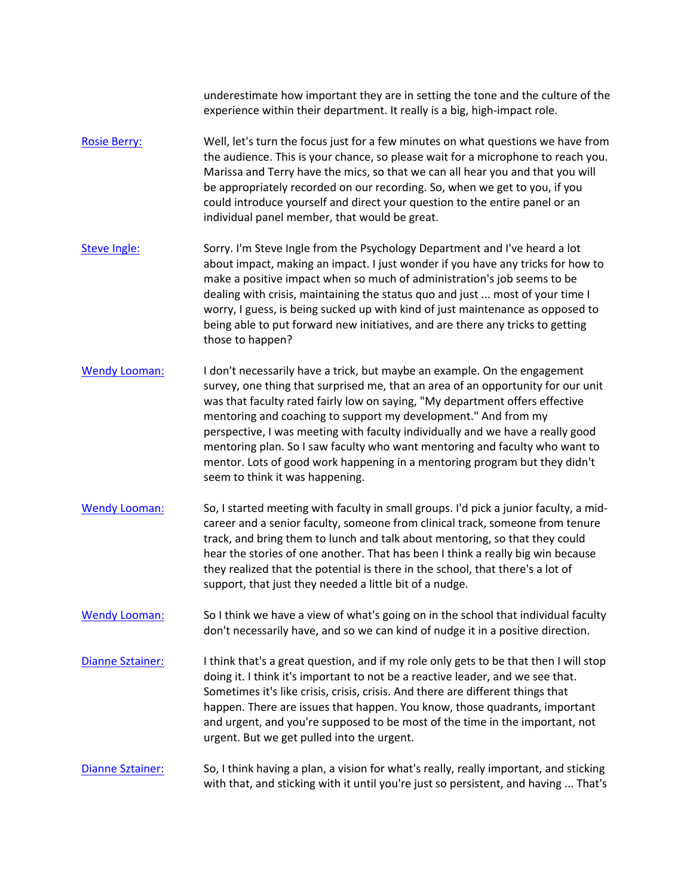underestimate how important they are in setting the tone and the culture of the experience within their department. It really is a big, high-impact role.

- [Rosie Berry:](https://www.rev.com/transcript-editor/Edit?token=wr0mG1H4F1k8BSru_W5keGrxlgyuOok-PAunENAsjsdUWnxso7a1HdHupkfCfVRyScw9T-qxvEbSJc3B9RHAsBecspA&loadFrom=DocumentSpeakerNameDeeplink&ts=4519.8) Well, let's turn the focus just for a few minutes on what questions we have from the audience. This is your chance, so please wait for a microphone to reach you. Marissa and Terry have the mics, so that we can all hear you and that you will be appropriately recorded on our recording. So, when we get to you, if you could introduce yourself and direct your question to the entire panel or an individual panel member, that would be great.
- [Steve Ingle:](https://www.rev.com/transcript-editor/Edit?token=AyWx-CLcbZ8ULMPAN-2KawDFH1pDFqs3etucrayz4fWmPA4Bgi8S8WwOpW5RCPROimAApucZsA7RAVHB4RY7aNcq_X0&loadFrom=DocumentSpeakerNameDeeplink&ts=4550.6) Sorry. I'm Steve Ingle from the Psychology Department and I've heard a lot about impact, making an impact. I just wonder if you have any tricks for how to make a positive impact when so much of administration's job seems to be dealing with crisis, maintaining the status quo and just ... most of your time I worry, I guess, is being sucked up with kind of just maintenance as opposed to being able to put forward new initiatives, and are there any tricks to getting those to happen?
- [Wendy Looman:](https://www.rev.com/transcript-editor/Edit?token=I1KtjZJXjUYQet5nB7zG6kbBKTzzRCZYHo_xa-dngQI_XB_SepW9G39XRylQAkVyY3oX2vWfwcqrAflOykupcD1eB6g&loadFrom=DocumentSpeakerNameDeeplink&ts=4583.83) I don't necessarily have a trick, but maybe an example. On the engagement survey, one thing that surprised me, that an area of an opportunity for our unit was that faculty rated fairly low on saying, "My department offers effective mentoring and coaching to support my development." And from my perspective, I was meeting with faculty individually and we have a really good mentoring plan. So I saw faculty who want mentoring and faculty who want to mentor. Lots of good work happening in a mentoring program but they didn't seem to think it was happening.
- career and a senior faculty, someone from clinical track, someone from tenure [Wendy Looman:](https://www.rev.com/transcript-editor/Edit?token=nev0FNmbpD4KpBt-c7KgH2bsdiH3U9NFjjEkF1V1e1M3WlpR0OMd7PSxBOe8x3eUh1kUSinjp6KrZdVpAoUmOuLSngY&loadFrom=DocumentSpeakerNameDeeplink&ts=4619.34) So, I started meeting with faculty in small groups. I'd pick a junior faculty, a midtrack, and bring them to lunch and talk about mentoring, so that they could hear the stories of one another. That has been I think a really big win because they realized that the potential is there in the school, that there's a lot of support, that just they needed a little bit of a nudge.
- [Wendy Looman:](https://www.rev.com/transcript-editor/Edit?token=Tdp6arnW5kKjXNaAYpZD834QnlRdXR8S3ZVuGC7OlIof0l9nYtpH_guA53YnrHZxcEJ3JG2T6Cno_HvFQ99fCADLXA4&loadFrom=DocumentSpeakerNameDeeplink&ts=4645.38) So I think we have a view of what's going on in the school that individual faculty don't necessarily have, and so we can kind of nudge it in a positive direction.
- doing it. I think it's important to not be a reactive leader, and we see that. and urgent, and you're supposed to be most of the time in the important, not [Dianne Sztainer:](https://www.rev.com/transcript-editor/Edit?token=brbG2VYLUzgu-tyt2jGYf0mWtt0YUtmPQ7FXLKyYKzB4VKJLUABaz2J_IO6uakU8wO1AApFjs1soJOLE_8xhW18Y-8Y&loadFrom=DocumentSpeakerNameDeeplink&ts=4657.24) I think that's a great question, and if my role only gets to be that then I will stop Sometimes it's like crisis, crisis, crisis. And there are different things that happen. There are issues that happen. You know, those quadrants, important urgent. But we get pulled into the urgent.

# [Dianne Sztainer:](https://www.rev.com/transcript-editor/Edit?token=xn-ZLuZWUN9ze_u_h6-Mt241IfrT1AE-1jaD1jbkW2pwO57l65lpHC7cpDqH07lV6NlJ3Gzs3G3gH073VECymApcysM&loadFrom=DocumentSpeakerNameDeeplink&ts=4687.22) So, I think having a plan, a vision for what's really, really important, and sticking with that, and sticking with it until you're just so persistent, and having ... That's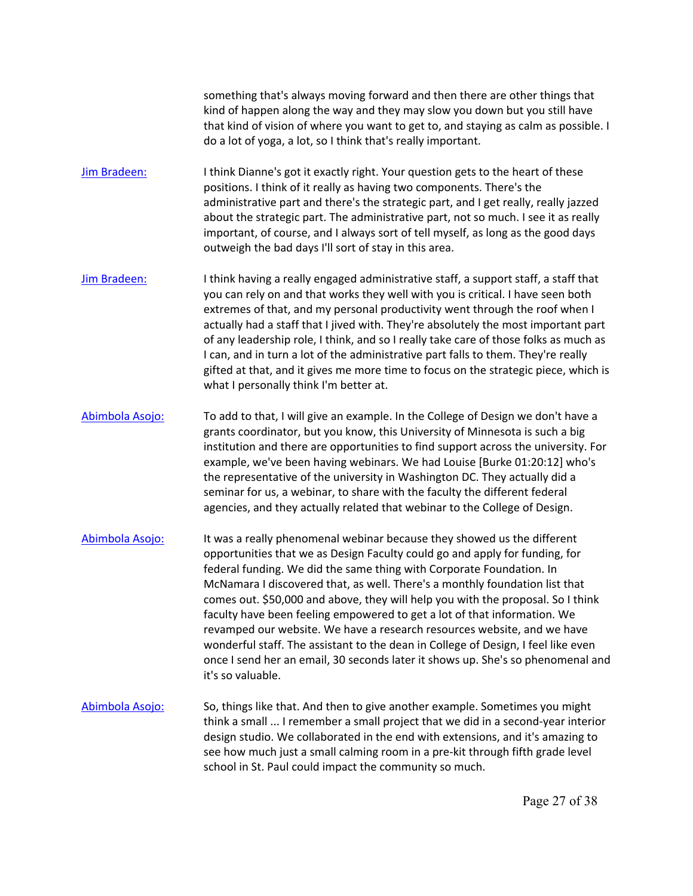something that's always moving forward and then there are other things that kind of happen along the way and they may slow you down but you still have that kind of vision of where you want to get to, and staying as calm as possible. I do a lot of yoga, a lot, so I think that's really important.

- administrative part and there's the strategic part, and I get really, really jazzed [Jim Bradeen:](https://www.rev.com/transcript-editor/Edit?token=A4n4wAwJcTt_sOmTwVzEChsa5wVg-yaRa0YoKyHmrvfCipXj1vn_Mr4QiLNdighws2-uFRSeuCAI-Dunf5aCn10yuy4&loadFrom=DocumentSpeakerNameDeeplink&ts=4720.96) I think Dianne's got it exactly right. Your question gets to the heart of these positions. I think of it really as having two components. There's the about the strategic part. The administrative part, not so much. I see it as really important, of course, and I always sort of tell myself, as long as the good days outweigh the bad days I'll sort of stay in this area.
- [Jim Bradeen:](https://www.rev.com/transcript-editor/Edit?token=4P7DyNasvQDgVZzdzlr_dbefVCaByAGPHb6bfEjpOPpQh1zNI1gnRHq5lFhnt8avhfPP35S-xroJ7VtyvqRMSXge9NY&loadFrom=DocumentSpeakerNameDeeplink&ts=4746.74) I think having a really engaged administrative staff, a support staff, a staff that you can rely on and that works they well with you is critical. I have seen both extremes of that, and my personal productivity went through the roof when I actually had a staff that I jived with. They're absolutely the most important part of any leadership role, I think, and so I really take care of those folks as much as I can, and in turn a lot of the administrative part falls to them. They're really gifted at that, and it gives me more time to focus on the strategic piece, which is what I personally think I'm better at.
- [Abimbola Asojo:](https://www.rev.com/transcript-editor/Edit?token=lod7YojLv79HPB-mX2Uwr9Ot_bQO88zNYq14W0XK9fItb8Fzods740ygLeuUkdUScdRDeXr6FQhyWi4lfFU3GI1r3q8&loadFrom=DocumentSpeakerNameDeeplink&ts=4790.78) To add to that, I will give an example. In the College of Design we don't have a grants coordinator, but you know, this University of Minnesota is such a big institution and there are opportunities to find support across the university. For example, we've been having webinars. We had Louise [Burke 01:20:12] who's the representative of the university in Washington DC. They actually did a seminar for us, a webinar, to share with the faculty the different federal agencies, and they actually related that webinar to the College of Design.
- [Abimbola Asojo:](https://www.rev.com/transcript-editor/Edit?token=jOS0b39uEDy8doPHUa-6cA3PwTQGOiEdfQRxapOq1IXcHZs8zUvl7M2o4C9KhD97LFWniNSsymddH8_MTHWxTWVV9-c&loadFrom=DocumentSpeakerNameDeeplink&ts=4835.35) It was a really phenomenal webinar because they showed us the different opportunities that we as Design Faculty could go and apply for funding, for federal funding. We did the same thing with Corporate Foundation. In McNamara I discovered that, as well. There's a monthly foundation list that comes out. \$50,000 and above, they will help you with the proposal. So I think faculty have been feeling empowered to get a lot of that information. We revamped our website. We have a research resources website, and we have wonderful staff. The assistant to the dean in College of Design, I feel like even once I send her an email, 30 seconds later it shows up. She's so phenomenal and it's so valuable.
- [Abimbola Asojo:](https://www.rev.com/transcript-editor/Edit?token=juT6rqs9KMEiuhOx6dkbdDngQncVir9i-udar2d3_RPrIFSop8rku76qrD-JqxXYt16VvBJWi8hT8xYWK5REd2DKqv0&loadFrom=DocumentSpeakerNameDeeplink&ts=4889.02) So, things like that. And then to give another example. Sometimes you might think a small ... I remember a small project that we did in a second-year interior design studio. We collaborated in the end with extensions, and it's amazing to see how much just a small calming room in a pre-kit through fifth grade level school in St. Paul could impact the community so much.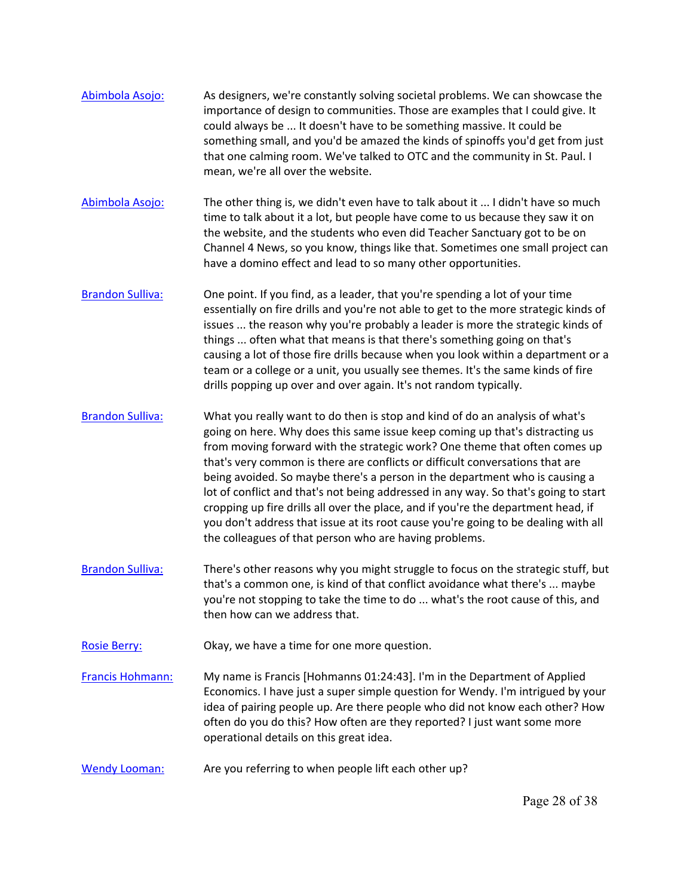- [Abimbola Asojo:](https://www.rev.com/transcript-editor/Edit?token=VkUSnuC1bg9gwKR5c6BHukkxBOds7LJkoFonNwvahEffizByN7omEbuDdBKQvPsUI2IgjTId4EnZy5G-KrMrYw2y4W8&loadFrom=DocumentSpeakerNameDeeplink&ts=4919.68) As designers, we're constantly solving societal problems. We can showcase the importance of design to communities. Those are examples that I could give. It could always be ... It doesn't have to be something massive. It could be something small, and you'd be amazed the kinds of spinoffs you'd get from just that one calming room. We've talked to OTC and the community in St. Paul. I mean, we're all over the website.
- [Abimbola Asojo:](https://www.rev.com/transcript-editor/Edit?token=DEH6WHifVn8uDWNvYj1BinHCo_EP-8iguYFG-tr90ZOj0co8NtowOhuZJl7QW0WnHncnsX244itrBzH7vGKJP19XsvM&loadFrom=DocumentSpeakerNameDeeplink&ts=4951.81) The other thing is, we didn't even have to talk about it ... I didn't have so much the website, and the students who even did Teacher Sanctuary got to be on time to talk about it a lot, but people have come to us because they saw it on Channel 4 News, so you know, things like that. Sometimes one small project can have a domino effect and lead to so many other opportunities.
- team or a college or a unit, you usually see themes. It's the same kinds of fire [Brandon Sulliva:](https://www.rev.com/transcript-editor/Edit?token=iVXOsJkrEgR5DjWRaROwoVC9CZJxG0d3T0nrzviKyRNfFFi92LJgdBcO7p4jwaodUJZS5xbU-0RwFyQsUR23r3csaoo&loadFrom=DocumentSpeakerNameDeeplink&ts=4984.56) One point. If you find, as a leader, that you're spending a lot of your time essentially on fire drills and you're not able to get to the more strategic kinds of issues ... the reason why you're probably a leader is more the strategic kinds of things ... often what that means is that there's something going on that's causing a lot of those fire drills because when you look within a department or a drills popping up over and over again. It's not random typically.
- [Brandon Sulliva:](https://www.rev.com/transcript-editor/Edit?token=K4rpAIZbIn2CqV05nsm7g1j1zegPIg_KhN7SEqV-9gvw7tGsfPcpFQspqVnIwTO93zHV_IQIWC9Akw_7hK8xzVYG1bU&loadFrom=DocumentSpeakerNameDeeplink&ts=5013.66) What you really want to do then is stop and kind of do an analysis of what's going on here. Why does this same issue keep coming up that's distracting us from moving forward with the strategic work? One theme that often comes up that's very common is there are conflicts or difficult conversations that are being avoided. So maybe there's a person in the department who is causing a lot of conflict and that's not being addressed in any way. So that's going to start cropping up fire drills all over the place, and if you're the department head, if you don't address that issue at its root cause you're going to be dealing with all the colleagues of that person who are having problems.
- [Brandon Sulliva:](https://www.rev.com/transcript-editor/Edit?token=tVe5GP9CKxHtpRK3VY2fLyAx4omZNZ7T94_UTXcxcfKqnXmsYFv-teDrwIHpFOpoDLjT5E0IK-s-tQOb7pFOMTGPoys&loadFrom=DocumentSpeakerNameDeeplink&ts=5058.01) There's other reasons why you might struggle to focus on the strategic stuff, but that's a common one, is kind of that conflict avoidance what there's ... maybe you're not stopping to take the time to do ... what's the root cause of this, and then how can we address that.
- [Rosie Berry:](https://www.rev.com/transcript-editor/Edit?token=TJSWzs44nOFS2Y-ETbeiIBg1fnuIMreuI_vjiLxEzvKztfWflNp7Gjwp1mObs0Fgy6cW3ESlHa0Rf_kC2eVsHOZ_K-Q&loadFrom=DocumentSpeakerNameDeeplink&ts=5072.94) Okay, we have a time for one more question.
- [Francis Hohmann:](https://www.rev.com/transcript-editor/Edit?token=OLGOLNkN2O30A2Vp99g3Y9VoshoR5ERFK2aWDsPgWYWyJ8UpWmognYGkXcSblQ4srO0a_t5uUc6u8Ihn9jN8h7xo694&loadFrom=DocumentSpeakerNameDeeplink&ts=5082.28) My name is Francis [Hohmanns 01:24:43]. I'm in the Department of Applied Economics. I have just a super simple question for Wendy. I'm intrigued by your idea of pairing people up. Are there people who did not know each other? How often do you do this? How often are they reported? I just want some more operational details on this great idea.
- [Wendy Looman:](https://www.rev.com/transcript-editor/Edit?token=5Vm72rcZ6_wa6w11QrGgKULSSkMFSGLZZYxfpduDj5M_5xRPb2xc862Pw0CSiRVP8Mv4KFHJtOI5A_gM3YFaCsTCu-g&loadFrom=DocumentSpeakerNameDeeplink&ts=5100.51) Are you referring to when people lift each other up?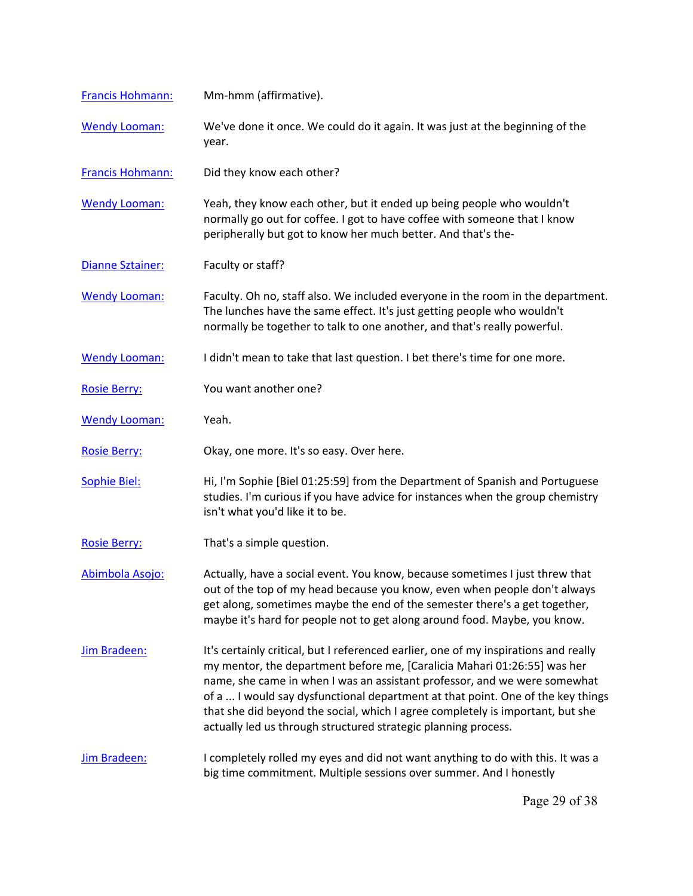| Francis Hohmann:        | Mm-hmm (affirmative).                                                                                                                                                                                                                                                                                                                                                                                                                                                                |
|-------------------------|--------------------------------------------------------------------------------------------------------------------------------------------------------------------------------------------------------------------------------------------------------------------------------------------------------------------------------------------------------------------------------------------------------------------------------------------------------------------------------------|
| <b>Wendy Looman:</b>    | We've done it once. We could do it again. It was just at the beginning of the<br>year.                                                                                                                                                                                                                                                                                                                                                                                               |
| <b>Francis Hohmann:</b> | Did they know each other?                                                                                                                                                                                                                                                                                                                                                                                                                                                            |
| <b>Wendy Looman:</b>    | Yeah, they know each other, but it ended up being people who wouldn't<br>normally go out for coffee. I got to have coffee with someone that I know<br>peripherally but got to know her much better. And that's the-                                                                                                                                                                                                                                                                  |
| <b>Dianne Sztainer:</b> | Faculty or staff?                                                                                                                                                                                                                                                                                                                                                                                                                                                                    |
| <b>Wendy Looman:</b>    | Faculty. Oh no, staff also. We included everyone in the room in the department.<br>The lunches have the same effect. It's just getting people who wouldn't<br>normally be together to talk to one another, and that's really powerful.                                                                                                                                                                                                                                               |
| <b>Wendy Looman:</b>    | I didn't mean to take that last question. I bet there's time for one more.                                                                                                                                                                                                                                                                                                                                                                                                           |
| <b>Rosie Berry:</b>     | You want another one?                                                                                                                                                                                                                                                                                                                                                                                                                                                                |
| <b>Wendy Looman:</b>    | Yeah.                                                                                                                                                                                                                                                                                                                                                                                                                                                                                |
| <b>Rosie Berry:</b>     | Okay, one more. It's so easy. Over here.                                                                                                                                                                                                                                                                                                                                                                                                                                             |
| <b>Sophie Biel:</b>     | Hi, I'm Sophie [Biel 01:25:59] from the Department of Spanish and Portuguese<br>studies. I'm curious if you have advice for instances when the group chemistry<br>isn't what you'd like it to be.                                                                                                                                                                                                                                                                                    |
| <b>Rosie Berry:</b>     | That's a simple question.                                                                                                                                                                                                                                                                                                                                                                                                                                                            |
| Abimbola Asojo:         | Actually, have a social event. You know, because sometimes I just threw that<br>out of the top of my head because you know, even when people don't always<br>get along, sometimes maybe the end of the semester there's a get together,<br>maybe it's hard for people not to get along around food. Maybe, you know.                                                                                                                                                                 |
| <b>Jim Bradeen:</b>     | It's certainly critical, but I referenced earlier, one of my inspirations and really<br>my mentor, the department before me, [Caralicia Mahari 01:26:55] was her<br>name, she came in when I was an assistant professor, and we were somewhat<br>of a  I would say dysfunctional department at that point. One of the key things<br>that she did beyond the social, which I agree completely is important, but she<br>actually led us through structured strategic planning process. |
| Jim Bradeen:            | I completely rolled my eyes and did not want anything to do with this. It was a<br>big time commitment. Multiple sessions over summer. And I honestly                                                                                                                                                                                                                                                                                                                                |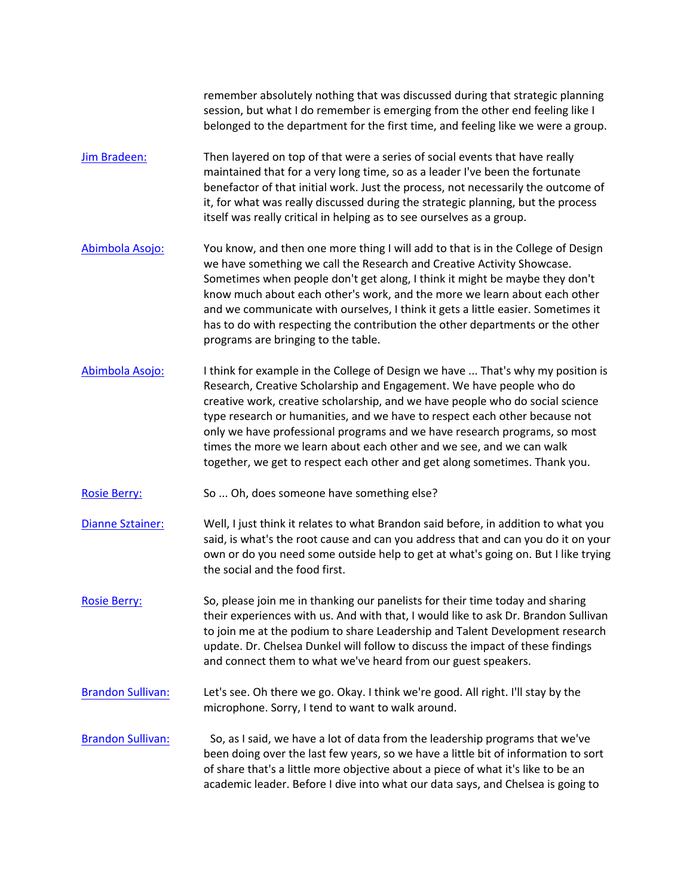session, but what I do remember is emerging from the other end feeling like I remember absolutely nothing that was discussed during that strategic planning belonged to the department for the first time, and feeling like we were a group.

- [Jim Bradeen:](https://www.rev.com/transcript-editor/Edit?token=DUVV2mzYhMZju5lQfa5z438CutGE1eesjyjVcgsIconR2N1KcM3PpqEwfMYzfFpUHvxWqBK3a5kgWxvxp75ZSb57Rb0&loadFrom=DocumentSpeakerNameDeeplink&ts=5257.14) Then layered on top of that were a series of social events that have really maintained that for a very long time, so as a leader I've been the fortunate benefactor of that initial work. Just the process, not necessarily the outcome of it, for what was really discussed during the strategic planning, but the process itself was really critical in helping as to see ourselves as a group.
- [Abimbola Asojo:](https://www.rev.com/transcript-editor/Edit?token=S7jvWmeJuroBSIbkPLk8l4oXKCXJOa8VB0qdcjm4iWo_xN-vzMN31ETU-qg0Vja3h9AbwDinq5gwN1REmVxxGAW4Ubw&loadFrom=DocumentSpeakerNameDeeplink&ts=5278) You know, and then one more thing I will add to that is in the College of Design we have something we call the Research and Creative Activity Showcase. Sometimes when people don't get along, I think it might be maybe they don't know much about each other's work, and the more we learn about each other and we communicate with ourselves, I think it gets a little easier. Sometimes it has to do with respecting the contribution the other departments or the other programs are bringing to the table.
- [Abimbola Asojo:](https://www.rev.com/transcript-editor/Edit?token=f_zQucK-bCPxq8J32SzsJG30uLlR-wJ4ikmkIKPQupZmWrpRBl8OZLxyljldp6WtNH30SHuIpvp-oUIEs01XMftpf5o&loadFrom=DocumentSpeakerNameDeeplink&ts=5313.01) I think for example in the College of Design we have ... That's why my position is Research, Creative Scholarship and Engagement. We have people who do creative work, creative scholarship, and we have people who do social science type research or humanities, and we have to respect each other because not only we have professional programs and we have research programs, so most times the more we learn about each other and we see, and we can walk together, we get to respect each other and get along sometimes. Thank you.
- [Rosie Berry:](https://www.rev.com/transcript-editor/Edit?token=3sPv0QntOvZqKafoLLh5ugpzFMA3I-_de5ZrlXFy1Hu8TrsTJURAAVrZ521nATb--o_LvRSGdq4LPZe-OrGz0-mZUO8&loadFrom=DocumentSpeakerNameDeeplink&ts=5352.15) So ... Oh, does someone have something else?
- own or do you need some outside help to get at what's going on. But I like trying [Dianne Sztainer:](https://www.rev.com/transcript-editor/Edit?token=G-rbkplQ9H2r1w5Rhncad3rYtWkmkv5jyEjqjPY0d2B2VTuWRaSZ34EDBfJES1d7P-jQb7PaEbsb3r44hbQrVKrJWjQ&loadFrom=DocumentSpeakerNameDeeplink&ts=5354.67) Well, I just think it relates to what Brandon said before, in addition to what you said, is what's the root cause and can you address that and can you do it on your the social and the food first.
- [Rosie Berry:](https://www.rev.com/transcript-editor/Edit?token=SmtIKqqcQg9CsJ684NMG_3Yx3qLDc61o2Iveq6UKczWL0NBG_PViwcvqEH2-r8hce7Ea2xDHDcb8PAVk7weKjb-hJ7w&loadFrom=DocumentSpeakerNameDeeplink&ts=5375.94) So, please join me in thanking our panelists for their time today and sharing their experiences with us. And with that, I would like to ask Dr. Brandon Sullivan to join me at the podium to share Leadership and Talent Development research update. Dr. Chelsea Dunkel will follow to discuss the impact of these findings and connect them to what we've heard from our guest speakers.
- [Brandon Sulliva](https://www.rev.com/transcript-editor/Edit?token=ylLjZsSBoEtMDzXT9_UmD40Y1KhsGuF9qRkPCNLtvb4Ljfw5qSCeUv0zxYu_MYCTrmrIRpe3hyTjdiNemguw5gVw5-M&loadFrom=DocumentSpeakerNameDeeplink&ts=5402.85)n: Let's see. Oh there we go. Okay. I think we're good. All right. I'll stay by the microphone. Sorry, I tend to want to walk around.
- been doing over the last few years, so we have a little bit of information to sort academic leader. Before I dive into what our data says, and Chelsea is going to [Brandon Sulliva](https://www.rev.com/transcript-editor/Edit?token=b4QbNwc5FVBdNQtChotgK51XfFMC5SxWceKwaaPNTTCYv1seDpGunpEH22FRdz508plc99Rb7I-OJKMLWhRdw9DriV8&loadFrom=DocumentSpeakerNameDeeplink&ts=5411.97)n: So, as I said, we have a lot of data from the leadership programs that we've of share that's a little more objective about a piece of what it's like to be an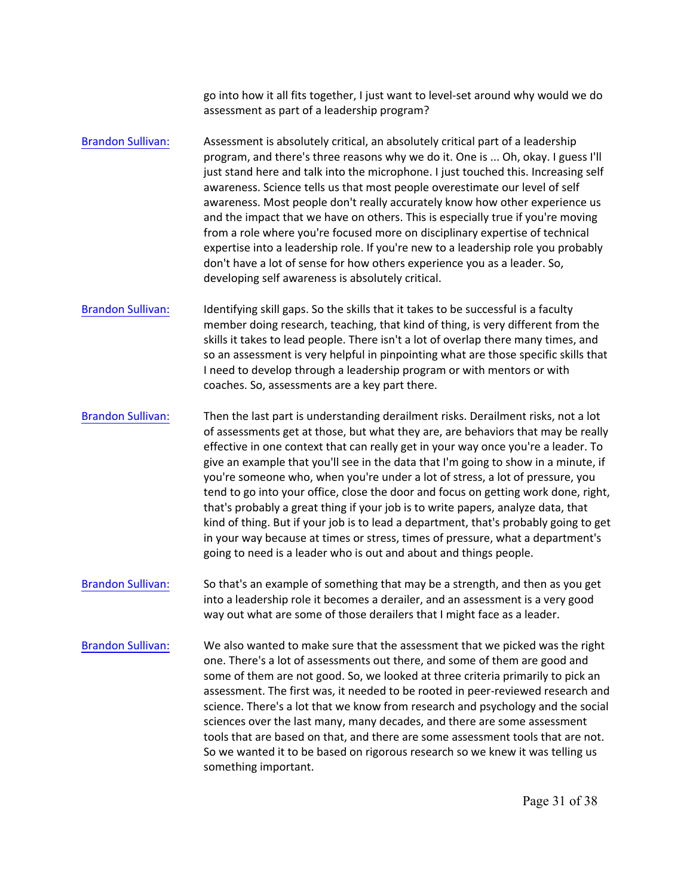go into how it all fits together, I just want to level-set around why would we do assessment as part of a leadership program?

- [Brandon Sulliva](https://www.rev.com/transcript-editor/Edit?token=6lGdsb8spVA4a0YnBRmV7RoSd5I5udBgrkBhrmKXr5AgtuXjmIzhiM4J8PLek4oPp-9lMbyEsDhln94NP6j4ReKdMxs&loadFrom=DocumentSpeakerNameDeeplink&ts=5442.14)n: Assessment is absolutely critical, an absolutely critical part of a leadership program, and there's three reasons why we do it. One is ... Oh, okay. I guess I'll just stand here and talk into the microphone. I just touched this. Increasing self awareness. Science tells us that most people overestimate our level of self awareness. Most people don't really accurately know how other experience us and the impact that we have on others. This is especially true if you're moving from a role where you're focused more on disciplinary expertise of technical expertise into a leadership role. If you're new to a leadership role you probably don't have a lot of sense for how others experience you as a leader. So, developing self awareness is absolutely critical.
- skills it takes to lead people. There isn't a lot of overlap there many times, and [Brandon Sulliva](https://www.rev.com/transcript-editor/Edit?token=u8p4oWjXUDgzbjDxThR4X-WseVaOkzWZUygQbs-lKEybOoqIdZ2uut12Mn1ukvyePpvXe-OOMP1m7OxlzvMCHAHGlTM&loadFrom=DocumentSpeakerNameDeeplink&ts=5486.9)n: Identifying skill gaps. So the skills that it takes to be successful is a faculty member doing research, teaching, that kind of thing, is very different from the so an assessment is very helpful in pinpointing what are those specific skills that I need to develop through a leadership program or with mentors or with coaches. So, assessments are a key part there.
- that's probably a great thing if your job is to write papers, analyze data, that [Brandon Sulliva](https://www.rev.com/transcript-editor/Edit?token=CvZR0gmdbeAky7W9hauVJ01w_kuHSqg6aLXrHnZHVR8QoCGtppTGdbX09VUEcbBA-w-NIWg14jFSSgFCeVmNHXNIpd4&loadFrom=DocumentSpeakerNameDeeplink&ts=5514.7)n: Then the last part is understanding derailment risks. Derailment risks, not a lot of assessments get at those, but what they are, are behaviors that may be really effective in one context that can really get in your way once you're a leader. To give an example that you'll see in the data that I'm going to show in a minute, if you're someone who, when you're under a lot of stress, a lot of pressure, you tend to go into your office, close the door and focus on getting work done, right, kind of thing. But if your job is to lead a department, that's probably going to get in your way because at times or stress, times of pressure, what a department's going to need is a leader who is out and about and things people.
- [Brandon Sulliva](https://www.rev.com/transcript-editor/Edit?token=TI4_QUNyhVispgpoJs773PgK9PS5fMXh2sdR96IPiRhhQGj4BSy6YYvHvrZvRwgUCh0p7h48s4x-mEm96pWnQu-E4j4&loadFrom=DocumentSpeakerNameDeeplink&ts=5559.74)n: So that's an example of something that may be a strength, and then as you get into a leadership role it becomes a derailer, and an assessment is a very good way out what are some of those derailers that I might face as a leader.
- science. There's a lot that we know from research and psychology and the social [Brandon Sulliva](https://www.rev.com/transcript-editor/Edit?token=kvv8-tScrOYcQM8kRA8rw5KhsDrVlB5QCDkrM31aH4DVzc5lNBAUZ1MiCjqmqYar3T0BxmLN_FMHEYD3sgb65fWo1ME&loadFrom=DocumentSpeakerNameDeeplink&ts=5573.49)n: We also wanted to make sure that the assessment that we picked was the right one. There's a lot of assessments out there, and some of them are good and some of them are not good. So, we looked at three criteria primarily to pick an assessment. The first was, it needed to be rooted in peer-reviewed research and sciences over the last many, many decades, and there are some assessment tools that are based on that, and there are some assessment tools that are not. So we wanted it to be based on rigorous research so we knew it was telling us something important.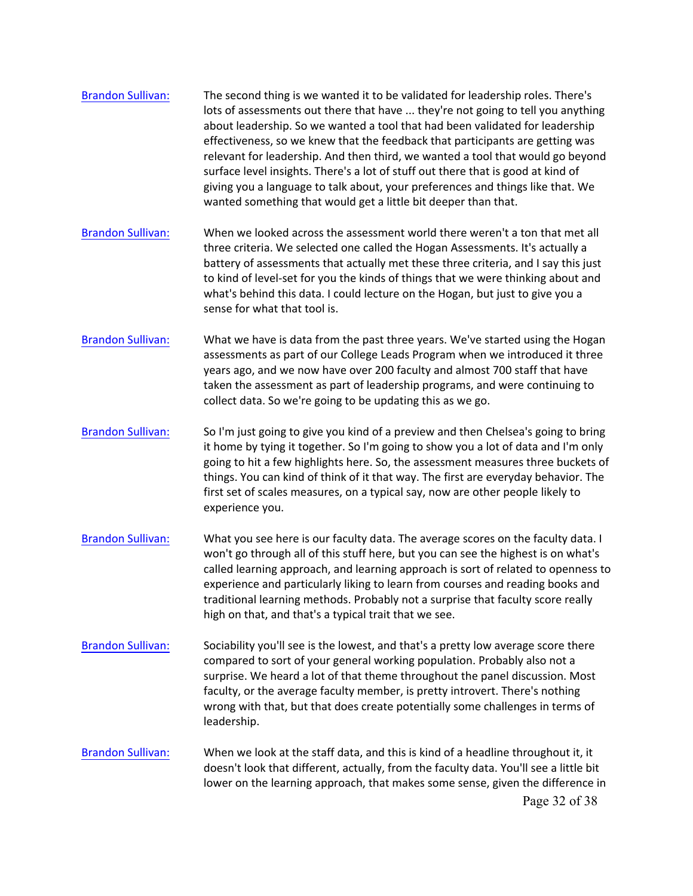| <b>Brandon Sullivan:</b> | The second thing is we wanted it to be validated for leadership roles. There's<br>lots of assessments out there that have  they're not going to tell you anything<br>about leadership. So we wanted a tool that had been validated for leadership<br>effectiveness, so we knew that the feedback that participants are getting was<br>relevant for leadership. And then third, we wanted a tool that would go beyond<br>surface level insights. There's a lot of stuff out there that is good at kind of<br>giving you a language to talk about, your preferences and things like that. We<br>wanted something that would get a little bit deeper than that. |
|--------------------------|--------------------------------------------------------------------------------------------------------------------------------------------------------------------------------------------------------------------------------------------------------------------------------------------------------------------------------------------------------------------------------------------------------------------------------------------------------------------------------------------------------------------------------------------------------------------------------------------------------------------------------------------------------------|
| <b>Brandon Sullivan:</b> | When we looked across the assessment world there weren't a ton that met all<br>three criteria. We selected one called the Hogan Assessments. It's actually a<br>battery of assessments that actually met these three criteria, and I say this just<br>to kind of level-set for you the kinds of things that we were thinking about and<br>what's behind this data. I could lecture on the Hogan, but just to give you a<br>sense for what that tool is.                                                                                                                                                                                                      |
| <b>Brandon Sullivan:</b> | What we have is data from the past three years. We've started using the Hogan<br>assessments as part of our College Leads Program when we introduced it three<br>years ago, and we now have over 200 faculty and almost 700 staff that have<br>taken the assessment as part of leadership programs, and were continuing to<br>collect data. So we're going to be updating this as we go.                                                                                                                                                                                                                                                                     |
| <b>Brandon Sullivan:</b> | So I'm just going to give you kind of a preview and then Chelsea's going to bring<br>it home by tying it together. So I'm going to show you a lot of data and I'm only<br>going to hit a few highlights here. So, the assessment measures three buckets of<br>things. You can kind of think of it that way. The first are everyday behavior. The<br>first set of scales measures, on a typical say, now are other people likely to<br>experience you.                                                                                                                                                                                                        |
| <b>Brandon Sullivan:</b> | What you see here is our faculty data. The average scores on the faculty data. I<br>won't go through all of this stuff here, but you can see the highest is on what's<br>called learning approach, and learning approach is sort of related to openness to<br>experience and particularly liking to learn from courses and reading books and<br>traditional learning methods. Probably not a surprise that faculty score really<br>high on that, and that's a typical trait that we see.                                                                                                                                                                     |
| <b>Brandon Sullivan:</b> | Sociability you'll see is the lowest, and that's a pretty low average score there<br>compared to sort of your general working population. Probably also not a<br>surprise. We heard a lot of that theme throughout the panel discussion. Most<br>faculty, or the average faculty member, is pretty introvert. There's nothing<br>wrong with that, but that does create potentially some challenges in terms of<br>leadership.                                                                                                                                                                                                                                |
| <b>Brandon Sullivan:</b> | When we look at the staff data, and this is kind of a headline throughout it, it<br>doesn't look that different, actually, from the faculty data. You'll see a little bit<br>lower on the learning approach, that makes some sense, given the difference in<br>Page 32 of 38                                                                                                                                                                                                                                                                                                                                                                                 |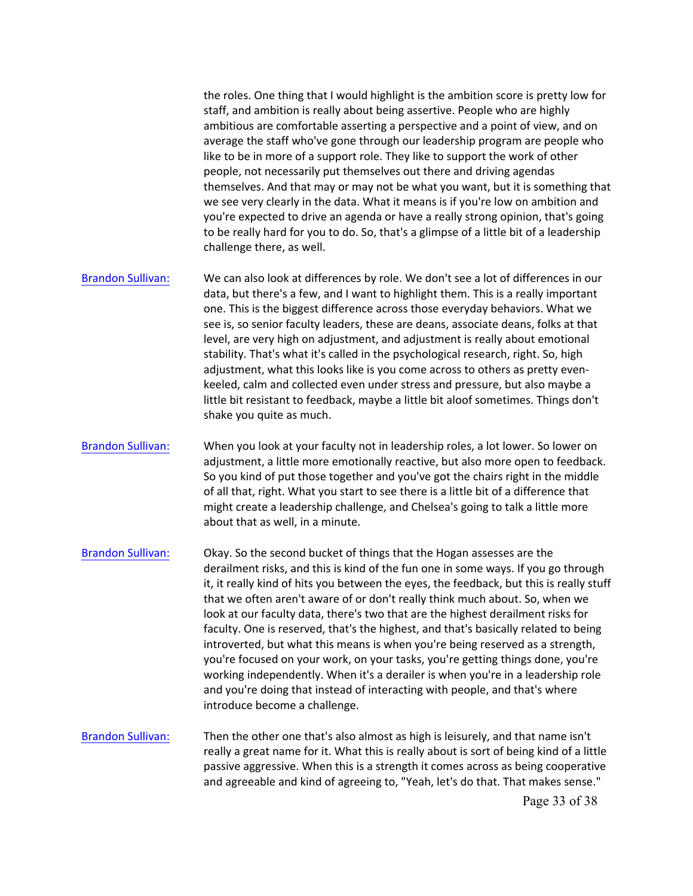the roles. One thing that I would highlight is the ambition score is pretty low for staff, and ambition is really about being assertive. People who are highly ambitious are comfortable asserting a perspective and a point of view, and on average the staff who've gone through our leadership program are people who like to be in more of a support role. They like to support the work of other people, not necessarily put themselves out there and driving agendas themselves. And that may or may not be what you want, but it is something that we see very clearly in the data. What it means is if you're low on ambition and you're expected to drive an agenda or have a really strong opinion, that's going to be really hard for you to do. So, that's a glimpse of a little bit of a leadership challenge there, as well.

- [Brandon Sulliva](https://www.rev.com/transcript-editor/Edit?token=mwMK6nLaMJoXQT4EVma_jhtvaWtVCs6h1JnTjF4gnAnXsca3jNPfktyNYts9XoivpkBAqba7ndWgpEIt2xFnCShIDG8&loadFrom=DocumentSpeakerNameDeeplink&ts=5821.27)n: We can also look at differences by role. We don't see a lot of differences in our data, but there's a few, and I want to highlight them. This is a really important one. This is the biggest difference across those everyday behaviors. What we see is, so senior faculty leaders, these are deans, associate deans, folks at that level, are very high on adjustment, and adjustment is really about emotional stability. That's what it's called in the psychological research, right. So, high adjustment, what this looks like is you come across to others as pretty evenkeeled, calm and collected even under stress and pressure, but also maybe a little bit resistant to feedback, maybe a little bit aloof sometimes. Things don't shake you quite as much.
- So you kind of put those together and you've got the chairs right in the middle [Brandon Sulliva](https://www.rev.com/transcript-editor/Edit?token=CHWl8CntjJA7W1OG94YV1c6SHGf8LRSmwzWMu-dFW50Z92XToOn6vN6i9S5kpmIKfieGlktlM4md-SC1TJ7SmLc5k84&loadFrom=DocumentSpeakerNameDeeplink&ts=5863.63)n: When you look at your faculty not in leadership roles, a lot lower. So lower on adjustment, a little more emotionally reactive, but also more open to feedback. of all that, right. What you start to see there is a little bit of a difference that might create a leadership challenge, and Chelsea's going to talk a little more about that as well, in a minute.
- [Brandon Sulliva](https://www.rev.com/transcript-editor/Edit?token=jajElyfGrTOHOH_PSvqxiNA1GOoU9YGxtzPvwMTGc-OhB3uJnH-Dvx3Umlip6wVbzjzJMbYywcNI4eClOFH3SlYIc_s&loadFrom=DocumentSpeakerNameDeeplink&ts=5885.93)n: Okay. So the second bucket of things that the Hogan assesses are the derailment risks, and this is kind of the fun one in some ways. If you go through it, it really kind of hits you between the eyes, the feedback, but this is really stuff that we often aren't aware of or don't really think much about. So, when we look at our faculty data, there's two that are the highest derailment risks for faculty. One is reserved, that's the highest, and that's basically related to being introverted, but what this means is when you're being reserved as a strength, you're focused on your work, on your tasks, you're getting things done, you're working independently. When it's a derailer is when you're in a leadership role and you're doing that instead of interacting with people, and that's where introduce become a challenge.
- [Brandon Sulliva](https://www.rev.com/transcript-editor/Edit?token=K7xmFyFn7MHZ7du7V7x_SxvEaQzghocY47fQ7FJx9F5Ihxjqt4zsCx4LuaQy7S98azPeIpUQ8TU4_rbXRfWL6s5jJTI&loadFrom=DocumentSpeakerNameDeeplink&ts=5933.71)n: Then the other one that's also almost as high is leisurely, and that name isn't really a great name for it. What this is really about is sort of being kind of a little passive aggressive. When this is a strength it comes across as being cooperative and agreeable and kind of agreeing to, "Yeah, let's do that. That makes sense."

Page 33 of 38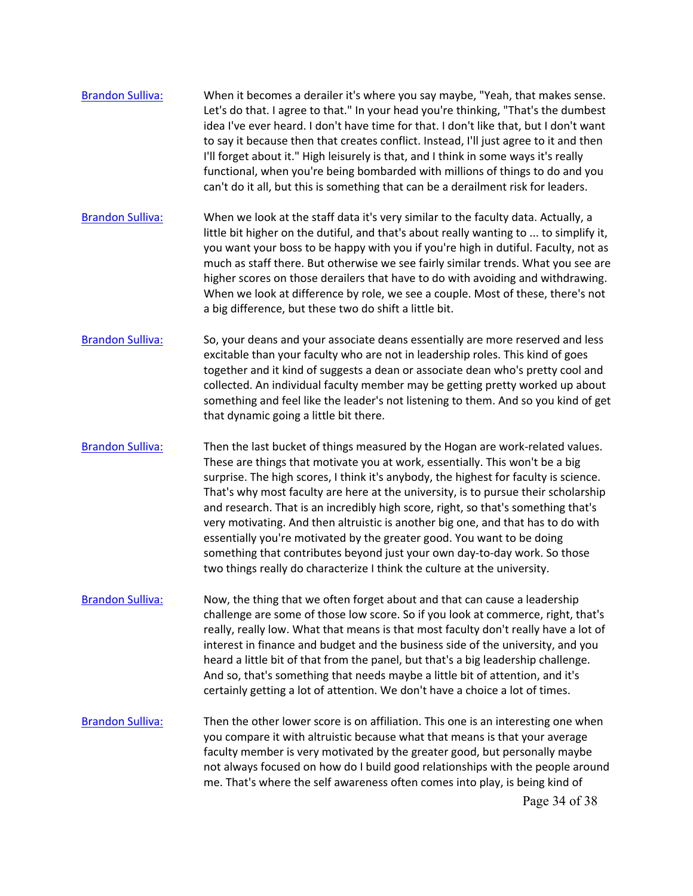- [Brandon Sulliva:](https://www.rev.com/transcript-editor/Edit?token=I0Nq0Tz5aMPaFlRQo0SALrIRB69HzX2DArpwMkZNC6_9R7OSswyNrTi2m-95hhvAandD1RsmALDDUasT1UniE-_27dc&loadFrom=DocumentSpeakerNameDeeplink&ts=5954.6) When it becomes a derailer it's where you say maybe, "Yeah, that makes sense. Let's do that. I agree to that." In your head you're thinking, "That's the dumbest idea I've ever heard. I don't have time for that. I don't like that, but I don't want to say it because then that creates conflict. Instead, I'll just agree to it and then I'll forget about it." High leisurely is that, and I think in some ways it's really functional, when you're being bombarded with millions of things to do and you can't do it all, but this is something that can be a derailment risk for leaders.
- [Brandon Sulliva:](https://www.rev.com/transcript-editor/Edit?token=71VpMCMHAuLVAZdXNv1IO4th7r2rwXO_Hal8nCZ0SMjmXBoWSac55Cly9GLfg_QjMpZfc069i6qQr8BiBWK3hVze9fc&loadFrom=DocumentSpeakerNameDeeplink&ts=5984.5) When we look at the staff data it's very similar to the faculty data. Actually, a little bit higher on the dutiful, and that's about really wanting to ... to simplify it, you want your boss to be happy with you if you're high in dutiful. Faculty, not as much as staff there. But otherwise we see fairly similar trends. What you see are higher scores on those derailers that have to do with avoiding and withdrawing. When we look at difference by role, we see a couple. Most of these, there's not a big difference, but these two do shift a little bit.
- [Brandon Sulliva:](https://www.rev.com/transcript-editor/Edit?token=7uqhD2jd-SMvXANG8iRCZT6SAmEIBbs7b-21eeZ76duQLwyKemNi3SfJs9GTKi2Vy-QouAQUYSWWAONBoxps_g5ZMpI&loadFrom=DocumentSpeakerNameDeeplink&ts=6023.24) So, your deans and your associate deans essentially are more reserved and less excitable than your faculty who are not in leadership roles. This kind of goes together and it kind of suggests a dean or associate dean who's pretty cool and collected. An individual faculty member may be getting pretty worked up about something and feel like the leader's not listening to them. And so you kind of get that dynamic going a little bit there.
- [Brandon Sulliva:](https://www.rev.com/transcript-editor/Edit?token=e8cSCKNyHTbCStfKn9q6u4T9eadTPyf6H6efkd-AKbjq_2dJezSmyeeBKotXuot9_tPBBQ2B5SmWdyHCCHHZFQ3gZ4k&loadFrom=DocumentSpeakerNameDeeplink&ts=6050.21) Then the last bucket of things measured by the Hogan are work-related values. These are things that motivate you at work, essentially. This won't be a big surprise. The high scores, I think it's anybody, the highest for faculty is science. That's why most faculty are here at the university, is to pursue their scholarship and research. That is an incredibly high score, right, so that's something that's very motivating. And then altruistic is another big one, and that has to do with essentially you're motivated by the greater good. You want to be doing something that contributes beyond just your own day-to-day work. So those two things really do characterize I think the culture at the university.
- [Brandon Sulliva:](https://www.rev.com/transcript-editor/Edit?token=urQ4heCekxaovQQ3HpgJ_BzhvYdGDsSA76I2Q55UyzD5DEWv7JTmL_34JcxwwtJ4xlUh6NegFM0Odk4pyh-4mcV5BVo&loadFrom=DocumentSpeakerNameDeeplink&ts=6089.87) Now, the thing that we often forget about and that can cause a leadership challenge are some of those low score. So if you look at commerce, right, that's really, really low. What that means is that most faculty don't really have a lot of interest in finance and budget and the business side of the university, and you heard a little bit of that from the panel, but that's a big leadership challenge. And so, that's something that needs maybe a little bit of attention, and it's certainly getting a lot of attention. We don't have a choice a lot of times.
- me. That's where the self awareness often comes into play, is being kind of [Brandon Sulliva:](https://www.rev.com/transcript-editor/Edit?token=zeLomHpX_GLP76EZChbR6Yrxkz_MPJjKc_J8cFtzDTYEvirpVDXyS67LhW_4i16CItpp1W0GIm_qHXqOhJTCgRWw7Uo&loadFrom=DocumentSpeakerNameDeeplink&ts=6120.08) Then the other lower score is on affiliation. This one is an interesting one when you compare it with altruistic because what that means is that your average faculty member is very motivated by the greater good, but personally maybe not always focused on how do I build good relationships with the people around Page 34 of 38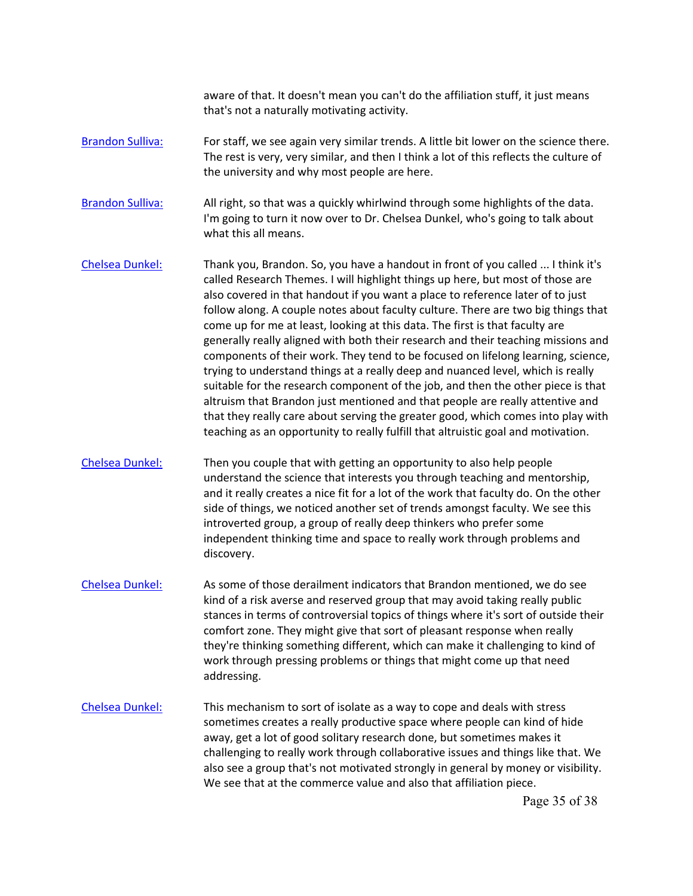aware of that. It doesn't mean you can't do the affiliation stuff, it just means that's not a naturally motivating activity.

- [Brandon Sulliva:](https://www.rev.com/transcript-editor/Edit?token=6B_00ARdZmPgX3NwGctIGS2Tzk0cPlHM-23oyrDWnSuijSvvysrOLTUdNHvI4b2MtSBT7XwcVheDkIYZS8trlYRNZ1M&loadFrom=DocumentSpeakerNameDeeplink&ts=6153.89) For staff, we see again very similar trends. A little bit lower on the science there. The rest is very, very similar, and then I think a lot of this reflects the culture of the university and why most people are here.
- [Brandon Sulliva:](https://www.rev.com/transcript-editor/Edit?token=57x4LsarKkasYXUhtAO9coMc-WKNyWW8z08XgNJBtCdqOfyK7UHov9jCKq4cL7VTT4tDRGWMnU3790AifTCsduqj5k0&loadFrom=DocumentSpeakerNameDeeplink&ts=6169.28) All right, so that was a quickly whirlwind through some highlights of the data. I'm going to turn it now over to Dr. Chelsea Dunkel, who's going to talk about what this all means.
- come up for me at least, looking at this data. The first is that faculty are [Chelsea Dunkel:](https://www.rev.com/transcript-editor/Edit?token=tkSOgT6GoLcnEl25IQWo9mAkhBxhJ5DaGRH7z9xW8nj_S8cZB_PxWd1cnNbAS15msqo-yzmmb9US-AdHe5QMRi2jk0s&loadFrom=DocumentSpeakerNameDeeplink&ts=6181.19) Thank you, Brandon. So, you have a handout in front of you called ... I think it's called Research Themes. I will highlight things up here, but most of those are also covered in that handout if you want a place to reference later of to just follow along. A couple notes about faculty culture. There are two big things that generally really aligned with both their research and their teaching missions and components of their work. They tend to be focused on lifelong learning, science, trying to understand things at a really deep and nuanced level, which is really suitable for the research component of the job, and then the other piece is that altruism that Brandon just mentioned and that people are really attentive and that they really care about serving the greater good, which comes into play with teaching as an opportunity to really fulfill that altruistic goal and motivation.
- and it really creates a nice fit for a lot of the work that faculty do. On the other [Chelsea Dunkel:](https://www.rev.com/transcript-editor/Edit?token=X5PkUifRacTDZzRLJGWxypG7trCxUGjDkLFw3Z4teeKwkJPia6Mdfb4eiP6Gy-Vr-Prc1eYTRnlUiRTcSc1K2TDz7Kg&loadFrom=DocumentSpeakerNameDeeplink&ts=6245.96) Then you couple that with getting an opportunity to also help people understand the science that interests you through teaching and mentorship, side of things, we noticed another set of trends amongst faculty. We see this introverted group, a group of really deep thinkers who prefer some independent thinking time and space to really work through problems and discovery.
- [Chelsea Dunkel:](https://www.rev.com/transcript-editor/Edit?token=sX4KLq3cDC-zf1ehHRtw3tqeWKsK0CGal3NPIs7PBl0ECVec2IGGfHVBoeze7NS2PJ0llMY2bj6AKskFX4jPg0sgh00&loadFrom=DocumentSpeakerNameDeeplink&ts=6277.69) As some of those derailment indicators that Brandon mentioned, we do see kind of a risk averse and reserved group that may avoid taking really public stances in terms of controversial topics of things where it's sort of outside their comfort zone. They might give that sort of pleasant response when really they're thinking something different, which can make it challenging to kind of work through pressing problems or things that might come up that need addressing.
- [Chelsea Dunkel:](https://www.rev.com/transcript-editor/Edit?token=MJ7A_Whe67gvoGr3Rwu55Uf2h80SugGeSBJSOGhiMuzkV6_9t_tYD8v_3S4tABj1WjzoCfE5pBbi180kdBtGOeujKGk&loadFrom=DocumentSpeakerNameDeeplink&ts=6308.33) This mechanism to sort of isolate as a way to cope and deals with stress sometimes creates a really productive space where people can kind of hide away, get a lot of good solitary research done, but sometimes makes it challenging to really work through collaborative issues and things like that. We also see a group that's not motivated strongly in general by money or visibility. We see that at the commerce value and also that affiliation piece.

Page 35 of 38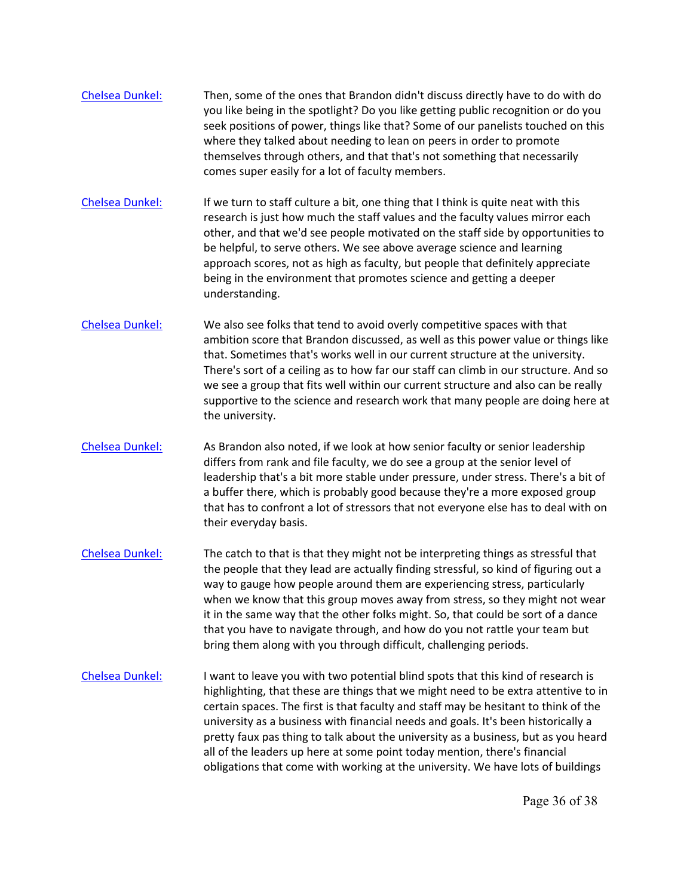- [Chelsea Dunkel:](https://www.rev.com/transcript-editor/Edit?token=gneVnPS-vhyT8A6VzHqXejZV3DQ6BX4WbHE_3A0zD_0q2jBb3JzsslCwW3XeyXeRzCmkjhnyA8stcAI4_1TXHKmyARM&loadFrom=DocumentSpeakerNameDeeplink&ts=6337.72) Then, some of the ones that Brandon didn't discuss directly have to do with do you like being in the spotlight? Do you like getting public recognition or do you seek positions of power, things like that? Some of our panelists touched on this where they talked about needing to lean on peers in order to promote themselves through others, and that that's not something that necessarily comes super easily for a lot of faculty members.
- [Chelsea Dunkel:](https://www.rev.com/transcript-editor/Edit?token=ovEQ7sG7GnCsDlsF8KGg9fHunFlTH8-Tvi97omhjlz0l9g-RI9OE99J2CocUG1DyLxU12-mgY-rpizVUMTHLJ3x0jlU&loadFrom=DocumentSpeakerNameDeeplink&ts=6368.01) If we turn to staff culture a bit, one thing that I think is quite neat with this research is just how much the staff values and the faculty values mirror each other, and that we'd see people motivated on the staff side by opportunities to be helpful, to serve others. We see above average science and learning approach scores, not as high as faculty, but people that definitely appreciate being in the environment that promotes science and getting a deeper understanding.
- we see a group that fits well within our current structure and also can be really [Chelsea Dunkel:](https://www.rev.com/transcript-editor/Edit?token=dnoMcOeFQ2MVMDGQzSvajB0-hPOqAfTsmE7u7rl9Z6Dg8O1EgpWk0_p3fd9Dr5MBK809ZedjyFoyBmAnjSuJtgLciYE&loadFrom=DocumentSpeakerNameDeeplink&ts=6401) We also see folks that tend to avoid overly competitive spaces with that ambition score that Brandon discussed, as well as this power value or things like that. Sometimes that's works well in our current structure at the university. There's sort of a ceiling as to how far our staff can climb in our structure. And so supportive to the science and research work that many people are doing here at the university.
- [Chelsea Dunkel:](https://www.rev.com/transcript-editor/Edit?token=cqXrN18wiJs6DKvmqmK2sLhS6nGtyIxWUvRVmhXlhfPtbP2bAkKdOoIolPXVEA_VPK0mAPJsvkpSYGD8-zzrXPLU0Oc&loadFrom=DocumentSpeakerNameDeeplink&ts=6436.12) As Brandon also noted, if we look at how senior faculty or senior leadership differs from rank and file faculty, we do see a group at the senior level of leadership that's a bit more stable under pressure, under stress. There's a bit of a buffer there, which is probably good because they're a more exposed group that has to confront a lot of stressors that not everyone else has to deal with on their everyday basis.
- bring them along with you through difficult, challenging periods. [Chelsea Dunkel:](https://www.rev.com/transcript-editor/Edit?token=VZUnpez3qjdlfeYcRd898PdiT8tVDk1yy-Ze9OODX3hwcre08SBBNA4t2TOfvr7G4tpDpt1USosAQOSz2UdV2ZlpL-M&loadFrom=DocumentSpeakerNameDeeplink&ts=6465.31) The catch to that is that they might not be interpreting things as stressful that the people that they lead are actually finding stressful, so kind of figuring out a way to gauge how people around them are experiencing stress, particularly when we know that this group moves away from stress, so they might not wear it in the same way that the other folks might. So, that could be sort of a dance that you have to navigate through, and how do you not rattle your team but
- [Chelsea Dunkel:](https://www.rev.com/transcript-editor/Edit?token=Oqvk2K7VzFow02qJvexNGn5NAln7uR5w9z6N4uXLHc8hdDrNcHDMsi4uT-FHzCvyVW0xTE6BuEbHE1QICuWVSjLQQ7w&loadFrom=DocumentSpeakerNameDeeplink&ts=6499.03) I want to leave you with two potential blind spots that this kind of research is highlighting, that these are things that we might need to be extra attentive to in certain spaces. The first is that faculty and staff may be hesitant to think of the university as a business with financial needs and goals. It's been historically a pretty faux pas thing to talk about the university as a business, but as you heard all of the leaders up here at some point today mention, there's financial obligations that come with working at the university. We have lots of buildings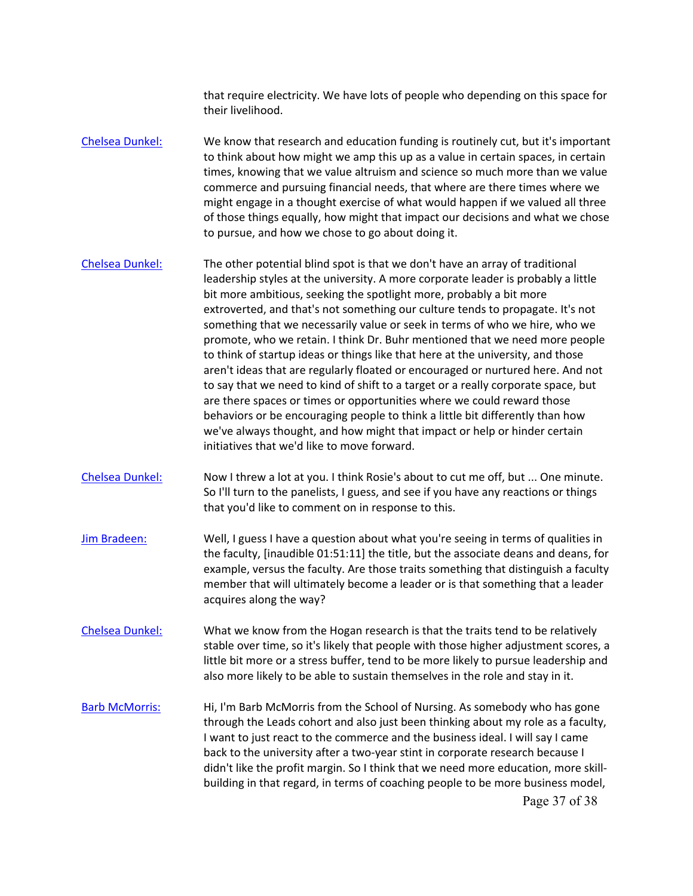that require electricity. We have lots of people who depending on this space for their livelihood.

- [Chelsea Dunkel:](https://www.rev.com/transcript-editor/Edit?token=Vp48tlnC6DLnyvxBhCQHLcg2t2RGKlhs9Zor0-0J9auoOpA7CgZuvir-eiorThunDAYFa_QxEtG5wo2HsrMB-LFaPOw&loadFrom=DocumentSpeakerNameDeeplink&ts=6542.67) We know that research and education funding is routinely cut, but it's important to think about how might we amp this up as a value in certain spaces, in certain times, knowing that we value altruism and science so much more than we value commerce and pursuing financial needs, that where are there times where we might engage in a thought exercise of what would happen if we valued all three of those things equally, how might that impact our decisions and what we chose to pursue, and how we chose to go about doing it.
- [Chelsea Dunkel:](https://www.rev.com/transcript-editor/Edit?token=mpE00WwNFSbfqBvNXHod82Fwu_qJmK8qarwY2uxfd7p_RCotznTFI_97MxUOkuHevB_waMe22hj2e0JAJ2exXPgD-FQ&loadFrom=DocumentSpeakerNameDeeplink&ts=6580.17) The other potential blind spot is that we don't have an array of traditional to say that we need to kind of shift to a target or a really corporate space, but leadership styles at the university. A more corporate leader is probably a little bit more ambitious, seeking the spotlight more, probably a bit more extroverted, and that's not something our culture tends to propagate. It's not something that we necessarily value or seek in terms of who we hire, who we promote, who we retain. I think Dr. Buhr mentioned that we need more people to think of startup ideas or things like that here at the university, and those aren't ideas that are regularly floated or encouraged or nurtured here. And not are there spaces or times or opportunities where we could reward those behaviors or be encouraging people to think a little bit differently than how we've always thought, and how might that impact or help or hinder certain initiatives that we'd like to move forward.
- So I'll turn to the panelists, I guess, and see if you have any reactions or things [Chelsea Dunkel:](https://www.rev.com/transcript-editor/Edit?token=F1rSiRDBhNMjK7xhw8HnA3e_mdKMPvWW7mtgKtCe8Vl6TgsFJmLCAu-pN9-xHgjv80ccf4MLxzcUyy9ZY2XDjvgWlq4&loadFrom=DocumentSpeakerNameDeeplink&ts=6644.78) Now I threw a lot at you. I think Rosie's about to cut me off, but ... One minute. that you'd like to comment on in response to this.
- member that will ultimately become a leader or is that something that a leader acquires along the way? [Jim Bradeen:](https://www.rev.com/transcript-editor/Edit?token=nuh0x-7GZAK6CoVaEKtAqM_aQq9dhVm8vjV-te7VkuZmZtHQFLLy-EshB0ngQ_y0K1RX1sl-J-eiKpEzPet9c6zkmG4&loadFrom=DocumentSpeakerNameDeeplink&ts=6659.93) Well, I guess I have a question about what you're seeing in terms of qualities in the faculty, [inaudible 01:51:11] the title, but the associate deans and deans, for example, versus the faculty. Are those traits something that distinguish a faculty
- [Chelsea Dunkel:](https://www.rev.com/transcript-editor/Edit?token=HsmxdhkdmK44_oeFo9LhsK-A135oufMShCmorkGYcK9QgJTonHVgnhLbozUyNwcboxLxFeHX886SnbnOVgMKHZYRQ-w&loadFrom=DocumentSpeakerNameDeeplink&ts=6687.05) What we know from the Hogan research is that the traits tend to be relatively stable over time, so it's likely that people with those higher adjustment scores, a little bit more or a stress buffer, tend to be more likely to pursue leadership and also more likely to be able to sustain themselves in the role and stay in it.
- [Barb McMorris:](https://www.rev.com/transcript-editor/Edit?token=u7J6L2NJpk2PaR1o2pHd67PBM-P4q2fmCxdH9UQ-1YGXvcuI9bi7iwYUvuH-IB0CjGzxavYxkAXUBg910ukLRt6cz5s&loadFrom=DocumentSpeakerNameDeeplink&ts=6709.1) Hi, I'm Barb McMorris from the School of Nursing. As somebody who has gone through the Leads cohort and also just been thinking about my role as a faculty, I want to just react to the commerce and the business ideal. I will say I came back to the university after a two-year stint in corporate research because I didn't like the profit margin. So I think that we need more education, more skillbuilding in that regard, in terms of coaching people to be more business model, Page 37 of 38